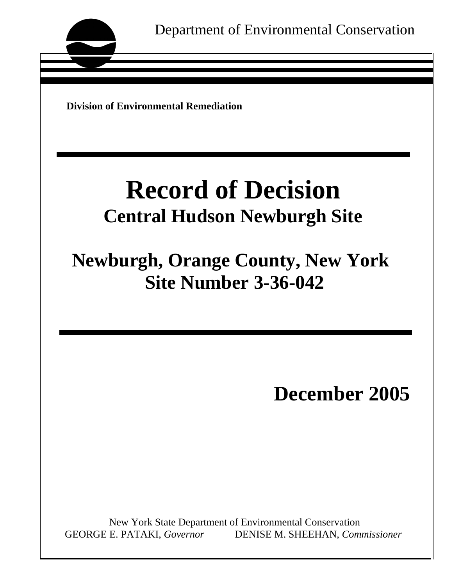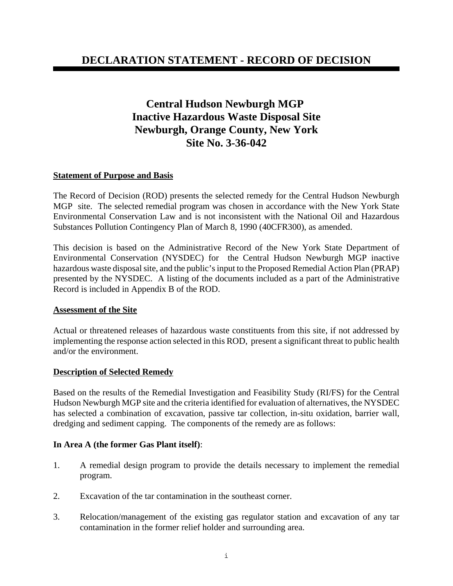# **DECLARATION STATEMENT - RECORD OF DECISION**

# **Central Hudson Newburgh MGP Inactive Hazardous Waste Disposal Site Newburgh, Orange County, New York Site No. 3-36-042**

#### **Statement of Purpose and Basis**

The Record of Decision (ROD) presents the selected remedy for the Central Hudson Newburgh MGP site. The selected remedial program was chosen in accordance with the New York State Environmental Conservation Law and is not inconsistent with the National Oil and Hazardous Substances Pollution Contingency Plan of March 8, 1990 (40CFR300), as amended.

This decision is based on the Administrative Record of the New York State Department of Environmental Conservation (NYSDEC) for the Central Hudson Newburgh MGP inactive hazardous waste disposal site, and the public's input to the Proposed Remedial Action Plan (PRAP) presented by the NYSDEC. A listing of the documents included as a part of the Administrative Record is included in Appendix B of the ROD.

#### **Assessment of the Site**

Actual or threatened releases of hazardous waste constituents from this site, if not addressed by implementing the response action selected in this ROD, present a significant threat to public health and/or the environment.

#### **Description of Selected Remedy**

Based on the results of the Remedial Investigation and Feasibility Study (RI/FS) for the Central Hudson Newburgh MGP site and the criteria identified for evaluation of alternatives, the NYSDEC has selected a combination of excavation, passive tar collection, in-situ oxidation, barrier wall, dredging and sediment capping. The components of the remedy are as follows:

#### **In Area A (the former Gas Plant itself)**:

- 1. A remedial design program to provide the details necessary to implement the remedial program.
- 2. Excavation of the tar contamination in the southeast corner.
- 3. Relocation/management of the existing gas regulator station and excavation of any tar contamination in the former relief holder and surrounding area.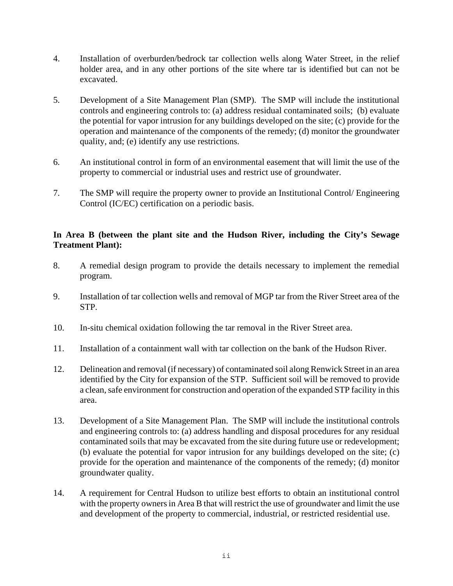- 4. Installation of overburden/bedrock tar collection wells along Water Street, in the relief holder area, and in any other portions of the site where tar is identified but can not be excavated.
- 5. Development of a Site Management Plan (SMP). The SMP will include the institutional controls and engineering controls to: (a) address residual contaminated soils; (b) evaluate the potential for vapor intrusion for any buildings developed on the site; (c) provide for the operation and maintenance of the components of the remedy; (d) monitor the groundwater quality, and; (e) identify any use restrictions.
- 6. An institutional control in form of an environmental easement that will limit the use of the property to commercial or industrial uses and restrict use of groundwater.
- 7. The SMP will require the property owner to provide an Institutional Control/ Engineering Control (IC/EC) certification on a periodic basis.

## **In Area B (between the plant site and the Hudson River, including the City's Sewage Treatment Plant):**

- 8. A remedial design program to provide the details necessary to implement the remedial program.
- 9. Installation of tar collection wells and removal of MGP tar from the River Street area of the STP.
- 10. In-situ chemical oxidation following the tar removal in the River Street area.
- 11. Installation of a containment wall with tar collection on the bank of the Hudson River.
- 12. Delineation and removal (if necessary) of contaminated soil along Renwick Street in an area identified by the City for expansion of the STP. Sufficient soil will be removed to provide a clean, safe environment for construction and operation of the expanded STP facility in this area.
- 13. Development of a Site Management Plan. The SMP will include the institutional controls and engineering controls to: (a) address handling and disposal procedures for any residual contaminated soils that may be excavated from the site during future use or redevelopment; (b) evaluate the potential for vapor intrusion for any buildings developed on the site; (c) provide for the operation and maintenance of the components of the remedy; (d) monitor groundwater quality.
- 14. A requirement for Central Hudson to utilize best efforts to obtain an institutional control with the property owners in Area B that will restrict the use of groundwater and limit the use and development of the property to commercial, industrial, or restricted residential use.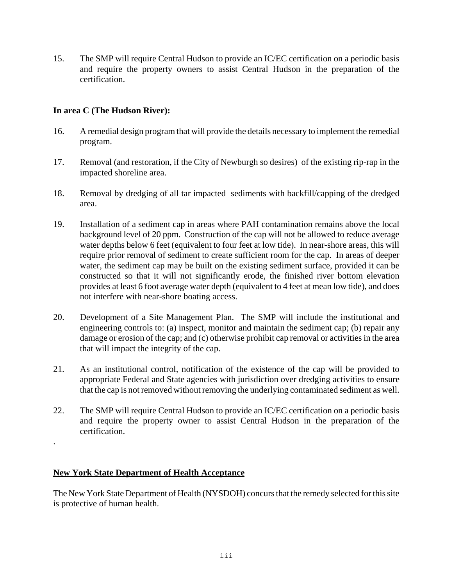15. The SMP will require Central Hudson to provide an IC/EC certification on a periodic basis and require the property owners to assist Central Hudson in the preparation of the certification.

### **In area C (The Hudson River):**

- 16. A remedial design program that will provide the details necessary to implement the remedial program.
- 17. Removal (and restoration, if the City of Newburgh so desires) of the existing rip-rap in the impacted shoreline area.
- 18. Removal by dredging of all tar impacted sediments with backfill/capping of the dredged area.
- 19. Installation of a sediment cap in areas where PAH contamination remains above the local background level of 20 ppm. Construction of the cap will not be allowed to reduce average water depths below 6 feet (equivalent to four feet at low tide). In near-shore areas, this will require prior removal of sediment to create sufficient room for the cap. In areas of deeper water, the sediment cap may be built on the existing sediment surface, provided it can be constructed so that it will not significantly erode, the finished river bottom elevation provides at least 6 foot average water depth (equivalent to 4 feet at mean low tide), and does not interfere with near-shore boating access.
- 20. Development of a Site Management Plan. The SMP will include the institutional and engineering controls to: (a) inspect, monitor and maintain the sediment cap; (b) repair any damage or erosion of the cap; and (c) otherwise prohibit cap removal or activities in the area that will impact the integrity of the cap.
- 21. As an institutional control, notification of the existence of the cap will be provided to appropriate Federal and State agencies with jurisdiction over dredging activities to ensure that the cap is not removed without removing the underlying contaminated sediment as well.
- 22. The SMP will require Central Hudson to provide an IC/EC certification on a periodic basis and require the property owner to assist Central Hudson in the preparation of the certification.

### **New York State Department of Health Acceptance**

.

The New York State Department of Health (NYSDOH) concurs that the remedy selected for this site is protective of human health.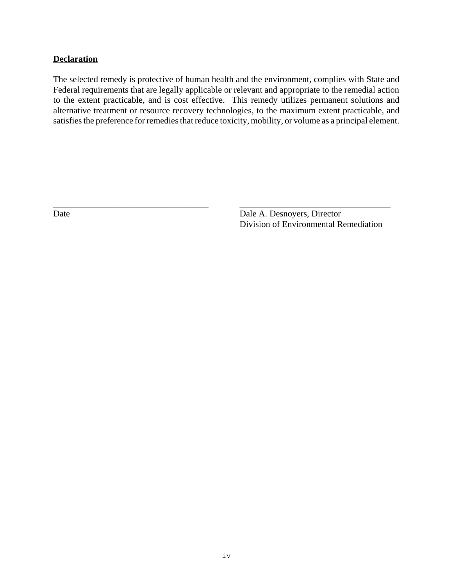### **Declaration**

The selected remedy is protective of human health and the environment, complies with State and Federal requirements that are legally applicable or relevant and appropriate to the remedial action to the extent practicable, and is cost effective. This remedy utilizes permanent solutions and alternative treatment or resource recovery technologies, to the maximum extent practicable, and satisfies the preference for remedies that reduce toxicity, mobility, or volume as a principal element.

\_\_\_\_\_\_\_\_\_\_\_\_\_\_\_\_\_\_\_\_\_\_\_\_\_\_\_\_\_\_\_\_\_\_\_ \_\_\_\_\_\_\_\_\_\_\_\_\_\_\_\_\_\_\_\_\_\_\_\_\_\_\_\_\_\_\_\_\_\_

Date Date Date A. Desnoyers, Director Division of Environmental Remediation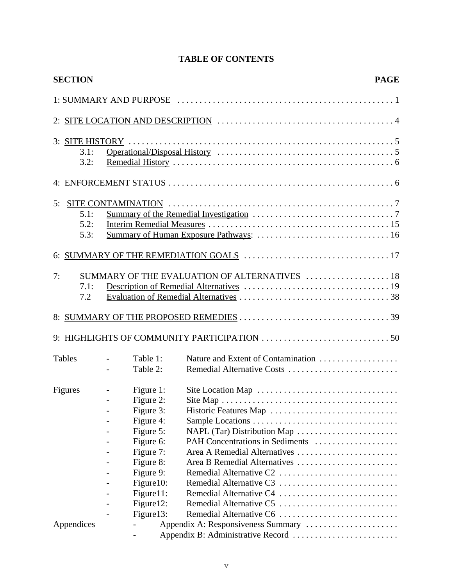# **TABLE OF CONTENTS**

| <b>SECTION</b> |                          |            | <b>PAGE</b>                                   |
|----------------|--------------------------|------------|-----------------------------------------------|
|                |                          |            |                                               |
|                |                          |            |                                               |
|                |                          |            |                                               |
| 3.1:           |                          |            |                                               |
| 3.2:           |                          |            |                                               |
|                |                          |            |                                               |
|                |                          |            |                                               |
| 5.1:           |                          |            |                                               |
| 5.2:           |                          |            |                                               |
| 5.3:           |                          |            |                                               |
|                |                          |            |                                               |
| 7:             |                          |            | SUMMARY OF THE EVALUATION OF ALTERNATIVES  18 |
| 7.1:           |                          |            |                                               |
| 7.2            |                          |            |                                               |
|                |                          |            |                                               |
|                |                          |            |                                               |
| <b>Tables</b>  | $\overline{a}$           | Table 1:   | Nature and Extent of Contamination            |
|                |                          | Table 2:   | Remedial Alternative Costs                    |
| Figures        | $\overline{\phantom{a}}$ | Figure 1:  |                                               |
|                |                          | Figure 2:  |                                               |
|                |                          | Figure 3:  | Historic Features Map                         |
|                |                          | Figure 4:  |                                               |
|                |                          | Figure 5:  | NAPL (Tar) Distribution Map                   |
|                |                          | Figure 6:  | PAH Concentrations in Sediments               |
|                |                          | Figure 7:  | Area A Remedial Alternatives                  |
|                |                          | Figure 8:  | Area B Remedial Alternatives                  |
|                |                          | Figure 9:  | Remedial Alternative C2                       |
|                |                          | Figure 10: | Remedial Alternative C3                       |
|                |                          | Figure 11: | Remedial Alternative C4                       |
|                |                          | Figure 12: | Remedial Alternative C5                       |
|                |                          | Figure 13: | Remedial Alternative C6                       |
| Appendices     |                          |            | Appendix A: Responsiveness Summary            |
|                |                          |            |                                               |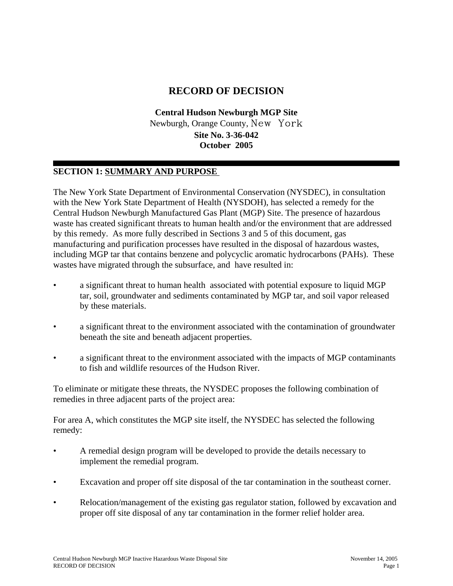# **RECORD OF DECISION**

**Central Hudson Newburgh MGP Site** Newburgh, Orange County, New York **Site No. 3-36-042 October 2005**

# **SECTION 1: SUMMARY AND PURPOSE**

The New York State Department of Environmental Conservation (NYSDEC), in consultation with the New York State Department of Health (NYSDOH), has selected a remedy for the Central Hudson Newburgh Manufactured Gas Plant (MGP) Site. The presence of hazardous waste has created significant threats to human health and/or the environment that are addressed by this remedy. As more fully described in Sections 3 and 5 of this document, gas manufacturing and purification processes have resulted in the disposal of hazardous wastes, including MGP tar that contains benzene and polycyclic aromatic hydrocarbons (PAHs). These wastes have migrated through the subsurface, and have resulted in:

- a significant threat to human health associated with potential exposure to liquid MGP tar, soil, groundwater and sediments contaminated by MGP tar, and soil vapor released by these materials.
- a significant threat to the environment associated with the contamination of groundwater beneath the site and beneath adjacent properties.
- a significant threat to the environment associated with the impacts of MGP contaminants to fish and wildlife resources of the Hudson River.

To eliminate or mitigate these threats, the NYSDEC proposes the following combination of remedies in three adjacent parts of the project area:

For area A, which constitutes the MGP site itself, the NYSDEC has selected the following remedy:

- A remedial design program will be developed to provide the details necessary to implement the remedial program.
- Excavation and proper off site disposal of the tar contamination in the southeast corner.
- Relocation/management of the existing gas regulator station, followed by excavation and proper off site disposal of any tar contamination in the former relief holder area.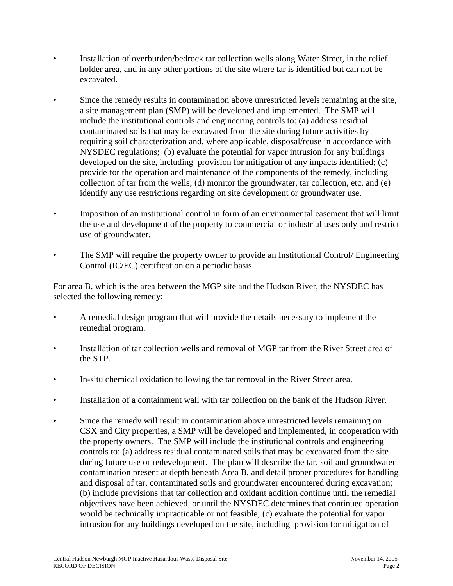- Installation of overburden/bedrock tar collection wells along Water Street, in the relief holder area, and in any other portions of the site where tar is identified but can not be excavated.
- Since the remedy results in contamination above unrestricted levels remaining at the site, a site management plan (SMP) will be developed and implemented. The SMP will include the institutional controls and engineering controls to: (a) address residual contaminated soils that may be excavated from the site during future activities by requiring soil characterization and, where applicable, disposal/reuse in accordance with NYSDEC regulations; (b) evaluate the potential for vapor intrusion for any buildings developed on the site, including provision for mitigation of any impacts identified; (c) provide for the operation and maintenance of the components of the remedy, including collection of tar from the wells; (d) monitor the groundwater, tar collection, etc. and (e) identify any use restrictions regarding on site development or groundwater use.
- Imposition of an institutional control in form of an environmental easement that will limit the use and development of the property to commercial or industrial uses only and restrict use of groundwater.
- The SMP will require the property owner to provide an Institutional Control/ Engineering Control (IC/EC) certification on a periodic basis.

For area B, which is the area between the MGP site and the Hudson River, the NYSDEC has selected the following remedy:

- A remedial design program that will provide the details necessary to implement the remedial program.
- Installation of tar collection wells and removal of MGP tar from the River Street area of the STP.
- In-situ chemical oxidation following the tar removal in the River Street area.
- Installation of a containment wall with tar collection on the bank of the Hudson River.
- Since the remedy will result in contamination above unrestricted levels remaining on CSX and City properties, a SMP will be developed and implemented, in cooperation with the property owners. The SMP will include the institutional controls and engineering controls to: (a) address residual contaminated soils that may be excavated from the site during future use or redevelopment. The plan will describe the tar, soil and groundwater contamination present at depth beneath Area B, and detail proper procedures for handling and disposal of tar, contaminated soils and groundwater encountered during excavation; (b) include provisions that tar collection and oxidant addition continue until the remedial objectives have been achieved, or until the NYSDEC determines that continued operation would be technically impracticable or not feasible; (c) evaluate the potential for vapor intrusion for any buildings developed on the site, including provision for mitigation of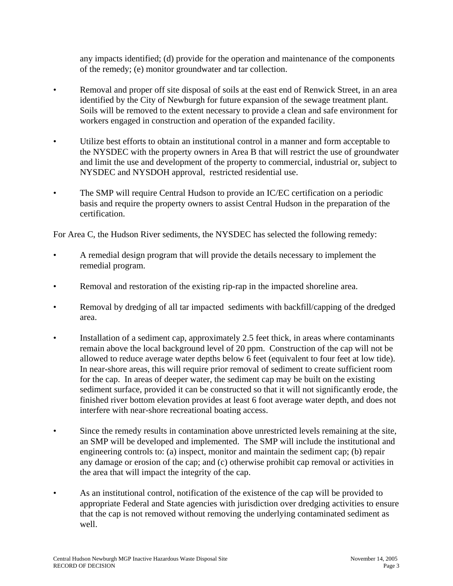any impacts identified; (d) provide for the operation and maintenance of the components of the remedy; (e) monitor groundwater and tar collection.

- Removal and proper off site disposal of soils at the east end of Renwick Street, in an area identified by the City of Newburgh for future expansion of the sewage treatment plant. Soils will be removed to the extent necessary to provide a clean and safe environment for workers engaged in construction and operation of the expanded facility.
- Utilize best efforts to obtain an institutional control in a manner and form acceptable to the NYSDEC with the property owners in Area B that will restrict the use of groundwater and limit the use and development of the property to commercial, industrial or, subject to NYSDEC and NYSDOH approval, restricted residential use.
- The SMP will require Central Hudson to provide an IC/EC certification on a periodic basis and require the property owners to assist Central Hudson in the preparation of the certification.

For Area C, the Hudson River sediments, the NYSDEC has selected the following remedy:

- A remedial design program that will provide the details necessary to implement the remedial program.
- Removal and restoration of the existing rip-rap in the impacted shoreline area.
- Removal by dredging of all tar impacted sediments with backfill/capping of the dredged area.
- Installation of a sediment cap, approximately 2.5 feet thick, in areas where contaminants remain above the local background level of 20 ppm. Construction of the cap will not be allowed to reduce average water depths below 6 feet (equivalent to four feet at low tide). In near-shore areas, this will require prior removal of sediment to create sufficient room for the cap. In areas of deeper water, the sediment cap may be built on the existing sediment surface, provided it can be constructed so that it will not significantly erode, the finished river bottom elevation provides at least 6 foot average water depth, and does not interfere with near-shore recreational boating access.
- Since the remedy results in contamination above unrestricted levels remaining at the site, an SMP will be developed and implemented. The SMP will include the institutional and engineering controls to: (a) inspect, monitor and maintain the sediment cap; (b) repair any damage or erosion of the cap; and (c) otherwise prohibit cap removal or activities in the area that will impact the integrity of the cap.
- As an institutional control, notification of the existence of the cap will be provided to appropriate Federal and State agencies with jurisdiction over dredging activities to ensure that the cap is not removed without removing the underlying contaminated sediment as well.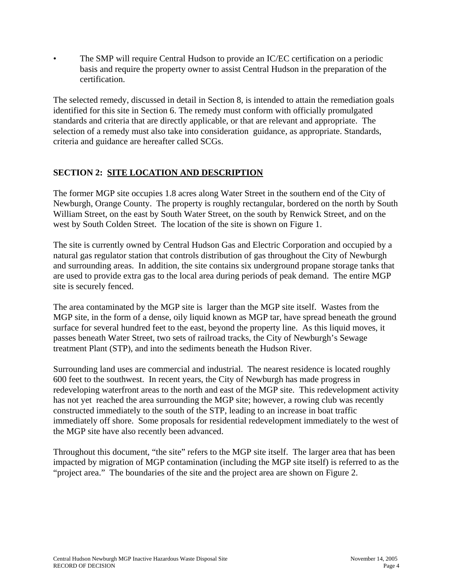• The SMP will require Central Hudson to provide an IC/EC certification on a periodic basis and require the property owner to assist Central Hudson in the preparation of the certification.

The selected remedy, discussed in detail in Section 8, is intended to attain the remediation goals identified for this site in Section 6. The remedy must conform with officially promulgated standards and criteria that are directly applicable, or that are relevant and appropriate. The selection of a remedy must also take into consideration guidance, as appropriate. Standards, criteria and guidance are hereafter called SCGs.

## **SECTION 2: SITE LOCATION AND DESCRIPTION**

The former MGP site occupies 1.8 acres along Water Street in the southern end of the City of Newburgh, Orange County. The property is roughly rectangular, bordered on the north by South William Street, on the east by South Water Street, on the south by Renwick Street, and on the west by South Colden Street. The location of the site is shown on Figure 1.

The site is currently owned by Central Hudson Gas and Electric Corporation and occupied by a natural gas regulator station that controls distribution of gas throughout the City of Newburgh and surrounding areas. In addition, the site contains six underground propane storage tanks that are used to provide extra gas to the local area during periods of peak demand. The entire MGP site is securely fenced.

The area contaminated by the MGP site is larger than the MGP site itself. Wastes from the MGP site, in the form of a dense, oily liquid known as MGP tar, have spread beneath the ground surface for several hundred feet to the east, beyond the property line. As this liquid moves, it passes beneath Water Street, two sets of railroad tracks, the City of Newburgh's Sewage treatment Plant (STP), and into the sediments beneath the Hudson River.

Surrounding land uses are commercial and industrial. The nearest residence is located roughly 600 feet to the southwest. In recent years, the City of Newburgh has made progress in redeveloping waterfront areas to the north and east of the MGP site. This redevelopment activity has not yet reached the area surrounding the MGP site; however, a rowing club was recently constructed immediately to the south of the STP, leading to an increase in boat traffic immediately off shore. Some proposals for residential redevelopment immediately to the west of the MGP site have also recently been advanced.

Throughout this document, "the site" refers to the MGP site itself. The larger area that has been impacted by migration of MGP contamination (including the MGP site itself) is referred to as the "project area." The boundaries of the site and the project area are shown on Figure 2.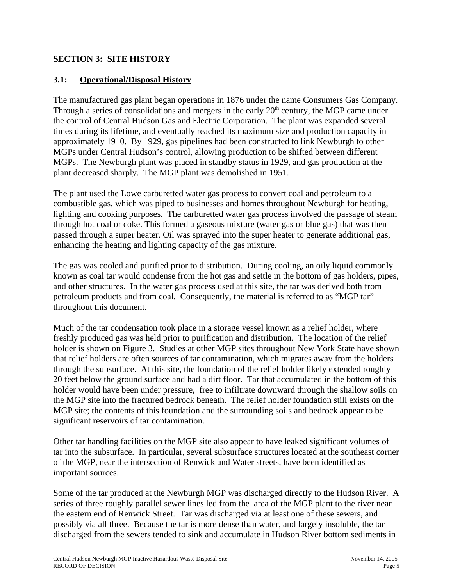## **SECTION 3: SITE HISTORY**

### **3.1: Operational/Disposal History**

The manufactured gas plant began operations in 1876 under the name Consumers Gas Company. Through a series of consolidations and mergers in the early  $20<sup>th</sup>$  century, the MGP came under the control of Central Hudson Gas and Electric Corporation. The plant was expanded several times during its lifetime, and eventually reached its maximum size and production capacity in approximately 1910. By 1929, gas pipelines had been constructed to link Newburgh to other MGPs under Central Hudson's control, allowing production to be shifted between different MGPs. The Newburgh plant was placed in standby status in 1929, and gas production at the plant decreased sharply. The MGP plant was demolished in 1951.

The plant used the Lowe carburetted water gas process to convert coal and petroleum to a combustible gas, which was piped to businesses and homes throughout Newburgh for heating, lighting and cooking purposes. The carburetted water gas process involved the passage of steam through hot coal or coke. This formed a gaseous mixture (water gas or blue gas) that was then passed through a super heater. Oil was sprayed into the super heater to generate additional gas, enhancing the heating and lighting capacity of the gas mixture.

The gas was cooled and purified prior to distribution. During cooling, an oily liquid commonly known as coal tar would condense from the hot gas and settle in the bottom of gas holders, pipes, and other structures. In the water gas process used at this site, the tar was derived both from petroleum products and from coal. Consequently, the material is referred to as "MGP tar" throughout this document.

Much of the tar condensation took place in a storage vessel known as a relief holder, where freshly produced gas was held prior to purification and distribution. The location of the relief holder is shown on Figure 3. Studies at other MGP sites throughout New York State have shown that relief holders are often sources of tar contamination, which migrates away from the holders through the subsurface. At this site, the foundation of the relief holder likely extended roughly 20 feet below the ground surface and had a dirt floor. Tar that accumulated in the bottom of this holder would have been under pressure, free to infiltrate downward through the shallow soils on the MGP site into the fractured bedrock beneath. The relief holder foundation still exists on the MGP site; the contents of this foundation and the surrounding soils and bedrock appear to be significant reservoirs of tar contamination.

Other tar handling facilities on the MGP site also appear to have leaked significant volumes of tar into the subsurface. In particular, several subsurface structures located at the southeast corner of the MGP, near the intersection of Renwick and Water streets, have been identified as important sources.

Some of the tar produced at the Newburgh MGP was discharged directly to the Hudson River. A series of three roughly parallel sewer lines led from the area of the MGP plant to the river near the eastern end of Renwick Street. Tar was discharged via at least one of these sewers, and possibly via all three. Because the tar is more dense than water, and largely insoluble, the tar discharged from the sewers tended to sink and accumulate in Hudson River bottom sediments in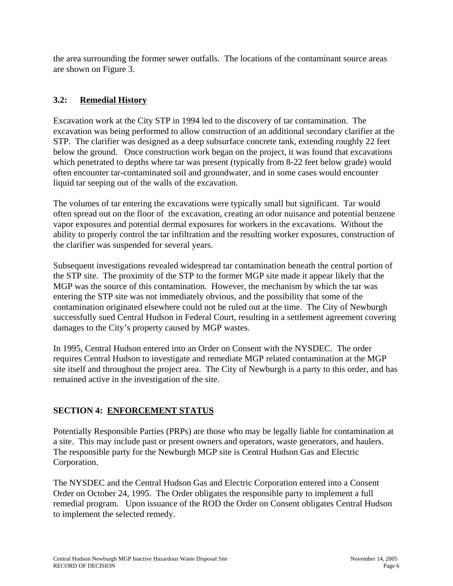the area surrounding the former sewer outfalls. The locations of the contaminant source areas are shown on Figure 3.

# **3.2: Remedial History**

Excavation work at the City STP in 1994 led to the discovery of tar contamination. The excavation was being performed to allow construction of an additional secondary clarifier at the STP. The clarifier was designed as a deep subsurface concrete tank, extending roughly 22 feet below the ground. Once construction work began on the project, it was found that excavations which penetrated to depths where tar was present (typically from 8-22 feet below grade) would often encounter tar-contaminated soil and groundwater, and in some cases would encounter liquid tar seeping out of the walls of the excavation.

The volumes of tar entering the excavations were typically small but significant. Tar would often spread out on the floor of the excavation, creating an odor nuisance and potential benzene vapor exposures and potential dermal exposures for workers in the excavations. Without the ability to properly control the tar infiltration and the resulting worker exposures, construction of the clarifier was suspended for several years.

Subsequent investigations revealed widespread tar contamination beneath the central portion of the STP site. The proximity of the STP to the former MGP site made it appear likely that the MGP was the source of this contamination. However, the mechanism by which the tar was entering the STP site was not immediately obvious, and the possibility that some of the contamination originated elsewhere could not be ruled out at the time. The City of Newburgh successfully sued Central Hudson in Federal Court, resulting in a settlement agreement covering damages to the City's property caused by MGP wastes.

In 1995, Central Hudson entered into an Order on Consent with the NYSDEC. The order requires Central Hudson to investigate and remediate MGP related contamination at the MGP site itself and throughout the project area. The City of Newburgh is a party to this order, and has remained active in the investigation of the site.

# **SECTION 4: ENFORCEMENT STATUS**

Potentially Responsible Parties (PRPs) are those who may be legally liable for contamination at a site. This may include past or present owners and operators, waste generators, and haulers. The responsible party for the Newburgh MGP site is Central Hudson Gas and Electric Corporation.

The NYSDEC and the Central Hudson Gas and Electric Corporation entered into a Consent Order on October 24, 1995. The Order obligates the responsible party to implement a full remedial program. Upon issuance of the ROD the Order on Consent obligates Central Hudson to implement the selected remedy.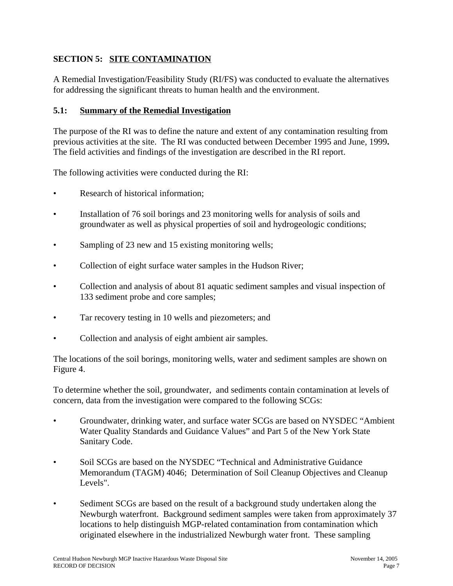# **SECTION 5: SITE CONTAMINATION**

A Remedial Investigation/Feasibility Study (RI/FS) was conducted to evaluate the alternatives for addressing the significant threats to human health and the environment.

### **5.1: Summary of the Remedial Investigation**

The purpose of the RI was to define the nature and extent of any contamination resulting from previous activities at the site. The RI was conducted between December 1995 and June, 1999**.**  The field activities and findings of the investigation are described in the RI report.

The following activities were conducted during the RI:

- Research of historical information:
- Installation of 76 soil borings and 23 monitoring wells for analysis of soils and groundwater as well as physical properties of soil and hydrogeologic conditions;
- Sampling of 23 new and 15 existing monitoring wells;
- Collection of eight surface water samples in the Hudson River;
- Collection and analysis of about 81 aquatic sediment samples and visual inspection of 133 sediment probe and core samples;
- Tar recovery testing in 10 wells and piezometers; and
- Collection and analysis of eight ambient air samples.

The locations of the soil borings, monitoring wells, water and sediment samples are shown on Figure 4.

To determine whether the soil, groundwater, and sediments contain contamination at levels of concern, data from the investigation were compared to the following SCGs:

- Groundwater, drinking water, and surface water SCGs are based on NYSDEC "Ambient Water Quality Standards and Guidance Values" and Part 5 of the New York State Sanitary Code.
- Soil SCGs are based on the NYSDEC "Technical and Administrative Guidance Memorandum (TAGM) 4046; Determination of Soil Cleanup Objectives and Cleanup Levels".
- Sediment SCGs are based on the result of a background study undertaken along the Newburgh waterfront. Background sediment samples were taken from approximately 37 locations to help distinguish MGP-related contamination from contamination which originated elsewhere in the industrialized Newburgh water front. These sampling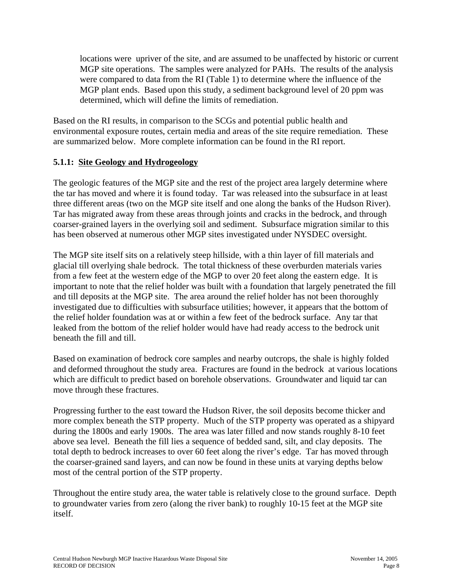locations were upriver of the site, and are assumed to be unaffected by historic or current MGP site operations. The samples were analyzed for PAHs. The results of the analysis were compared to data from the RI (Table 1) to determine where the influence of the MGP plant ends. Based upon this study, a sediment background level of 20 ppm was determined, which will define the limits of remediation.

Based on the RI results, in comparison to the SCGs and potential public health and environmental exposure routes, certain media and areas of the site require remediation. These are summarized below. More complete information can be found in the RI report.

## **5.1.1: Site Geology and Hydrogeology**

The geologic features of the MGP site and the rest of the project area largely determine where the tar has moved and where it is found today. Tar was released into the subsurface in at least three different areas (two on the MGP site itself and one along the banks of the Hudson River). Tar has migrated away from these areas through joints and cracks in the bedrock, and through coarser-grained layers in the overlying soil and sediment. Subsurface migration similar to this has been observed at numerous other MGP sites investigated under NYSDEC oversight.

The MGP site itself sits on a relatively steep hillside, with a thin layer of fill materials and glacial till overlying shale bedrock. The total thickness of these overburden materials varies from a few feet at the western edge of the MGP to over 20 feet along the eastern edge. It is important to note that the relief holder was built with a foundation that largely penetrated the fill and till deposits at the MGP site. The area around the relief holder has not been thoroughly investigated due to difficulties with subsurface utilities; however, it appears that the bottom of the relief holder foundation was at or within a few feet of the bedrock surface. Any tar that leaked from the bottom of the relief holder would have had ready access to the bedrock unit beneath the fill and till.

Based on examination of bedrock core samples and nearby outcrops, the shale is highly folded and deformed throughout the study area. Fractures are found in the bedrock at various locations which are difficult to predict based on borehole observations. Groundwater and liquid tar can move through these fractures.

Progressing further to the east toward the Hudson River, the soil deposits become thicker and more complex beneath the STP property. Much of the STP property was operated as a shipyard during the 1800s and early 1900s. The area was later filled and now stands roughly 8-10 feet above sea level. Beneath the fill lies a sequence of bedded sand, silt, and clay deposits. The total depth to bedrock increases to over 60 feet along the river's edge. Tar has moved through the coarser-grained sand layers, and can now be found in these units at varying depths below most of the central portion of the STP property.

Throughout the entire study area, the water table is relatively close to the ground surface. Depth to groundwater varies from zero (along the river bank) to roughly 10-15 feet at the MGP site itself.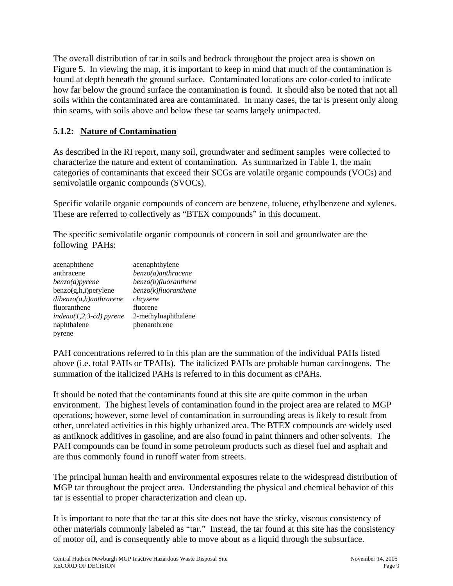The overall distribution of tar in soils and bedrock throughout the project area is shown on Figure 5. In viewing the map, it is important to keep in mind that much of the contamination is found at depth beneath the ground surface. Contaminated locations are color-coded to indicate how far below the ground surface the contamination is found. It should also be noted that not all soils within the contaminated area are contaminated. In many cases, the tar is present only along thin seams, with soils above and below these tar seams largely unimpacted.

# **5.1.2: Nature of Contamination**

As described in the RI report, many soil, groundwater and sediment samples were collected to characterize the nature and extent of contamination. As summarized in Table 1, the main categories of contaminants that exceed their SCGs are volatile organic compounds (VOCs) and semivolatile organic compounds (SVOCs).

Specific volatile organic compounds of concern are benzene, toluene, ethylbenzene and xylenes. These are referred to collectively as "BTEX compounds" in this document.

The specific semivolatile organic compounds of concern in soil and groundwater are the following PAHs:

| acenaphthene              | acenaphthylene          |
|---------------------------|-------------------------|
| anthracene                | $benzo(a)$ anthracene   |
| benzo(a)pyrene            | $benzo(b)$ fluoranthene |
| $benzo(g,h,i)$ per ylene  | benzo(k)fluoranthene    |
| $dibenzo(a,h)$ anthracene | chrysene                |
| fluoranthene              | fluorene                |
| $indeno(1,2,3-cd)$ pyrene | 2-methylnaphthalene     |
| naphthalene               | phenanthrene            |
| pyrene                    |                         |

PAH concentrations referred to in this plan are the summation of the individual PAHs listed above (i.e. total PAHs or TPAHs). The italicized PAHs are probable human carcinogens. The summation of the italicized PAHs is referred to in this document as cPAHs.

It should be noted that the contaminants found at this site are quite common in the urban environment. The highest levels of contamination found in the project area are related to MGP operations; however, some level of contamination in surrounding areas is likely to result from other, unrelated activities in this highly urbanized area. The BTEX compounds are widely used as antiknock additives in gasoline, and are also found in paint thinners and other solvents. The PAH compounds can be found in some petroleum products such as diesel fuel and asphalt and are thus commonly found in runoff water from streets.

The principal human health and environmental exposures relate to the widespread distribution of MGP tar throughout the project area. Understanding the physical and chemical behavior of this tar is essential to proper characterization and clean up.

It is important to note that the tar at this site does not have the sticky, viscous consistency of other materials commonly labeled as "tar." Instead, the tar found at this site has the consistency of motor oil, and is consequently able to move about as a liquid through the subsurface.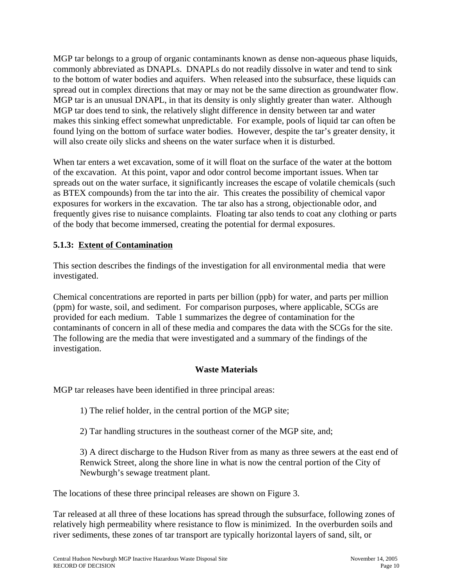MGP tar belongs to a group of organic contaminants known as dense non-aqueous phase liquids, commonly abbreviated as DNAPLs. DNAPLs do not readily dissolve in water and tend to sink to the bottom of water bodies and aquifers. When released into the subsurface, these liquids can spread out in complex directions that may or may not be the same direction as groundwater flow. MGP tar is an unusual DNAPL, in that its density is only slightly greater than water. Although MGP tar does tend to sink, the relatively slight difference in density between tar and water makes this sinking effect somewhat unpredictable. For example, pools of liquid tar can often be found lying on the bottom of surface water bodies. However, despite the tar's greater density, it will also create oily slicks and sheens on the water surface when it is disturbed.

When tar enters a wet excavation, some of it will float on the surface of the water at the bottom of the excavation. At this point, vapor and odor control become important issues. When tar spreads out on the water surface, it significantly increases the escape of volatile chemicals (such as BTEX compounds) from the tar into the air. This creates the possibility of chemical vapor exposures for workers in the excavation. The tar also has a strong, objectionable odor, and frequently gives rise to nuisance complaints. Floating tar also tends to coat any clothing or parts of the body that become immersed, creating the potential for dermal exposures.

# **5.1.3: Extent of Contamination**

This section describes the findings of the investigation for all environmental media that were investigated.

Chemical concentrations are reported in parts per billion (ppb) for water, and parts per million (ppm) for waste, soil, and sediment. For comparison purposes, where applicable, SCGs are provided for each medium. Table 1 summarizes the degree of contamination for the contaminants of concern in all of these media and compares the data with the SCGs for the site. The following are the media that were investigated and a summary of the findings of the investigation.

### **Waste Materials**

MGP tar releases have been identified in three principal areas:

1) The relief holder, in the central portion of the MGP site;

2) Tar handling structures in the southeast corner of the MGP site, and;

3) A direct discharge to the Hudson River from as many as three sewers at the east end of Renwick Street, along the shore line in what is now the central portion of the City of Newburgh's sewage treatment plant.

The locations of these three principal releases are shown on Figure 3.

Tar released at all three of these locations has spread through the subsurface, following zones of relatively high permeability where resistance to flow is minimized. In the overburden soils and river sediments, these zones of tar transport are typically horizontal layers of sand, silt, or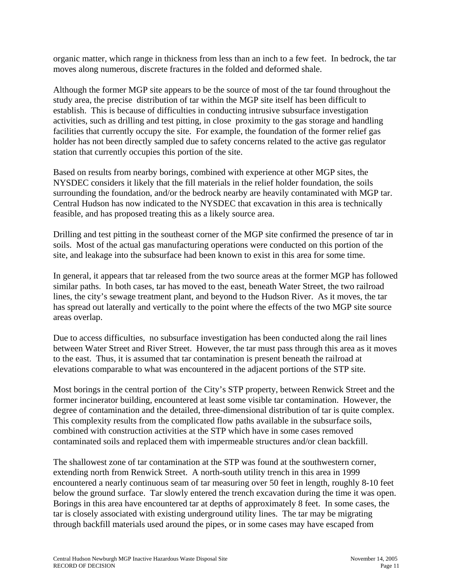organic matter, which range in thickness from less than an inch to a few feet. In bedrock, the tar moves along numerous, discrete fractures in the folded and deformed shale.

Although the former MGP site appears to be the source of most of the tar found throughout the study area, the precise distribution of tar within the MGP site itself has been difficult to establish. This is because of difficulties in conducting intrusive subsurface investigation activities, such as drilling and test pitting, in close proximity to the gas storage and handling facilities that currently occupy the site. For example, the foundation of the former relief gas holder has not been directly sampled due to safety concerns related to the active gas regulator station that currently occupies this portion of the site.

Based on results from nearby borings, combined with experience at other MGP sites, the NYSDEC considers it likely that the fill materials in the relief holder foundation, the soils surrounding the foundation, and/or the bedrock nearby are heavily contaminated with MGP tar. Central Hudson has now indicated to the NYSDEC that excavation in this area is technically feasible, and has proposed treating this as a likely source area.

Drilling and test pitting in the southeast corner of the MGP site confirmed the presence of tar in soils. Most of the actual gas manufacturing operations were conducted on this portion of the site, and leakage into the subsurface had been known to exist in this area for some time.

In general, it appears that tar released from the two source areas at the former MGP has followed similar paths. In both cases, tar has moved to the east, beneath Water Street, the two railroad lines, the city's sewage treatment plant, and beyond to the Hudson River. As it moves, the tar has spread out laterally and vertically to the point where the effects of the two MGP site source areas overlap.

Due to access difficulties, no subsurface investigation has been conducted along the rail lines between Water Street and River Street. However, the tar must pass through this area as it moves to the east. Thus, it is assumed that tar contamination is present beneath the railroad at elevations comparable to what was encountered in the adjacent portions of the STP site.

Most borings in the central portion of the City's STP property, between Renwick Street and the former incinerator building, encountered at least some visible tar contamination. However, the degree of contamination and the detailed, three-dimensional distribution of tar is quite complex. This complexity results from the complicated flow paths available in the subsurface soils, combined with construction activities at the STP which have in some cases removed contaminated soils and replaced them with impermeable structures and/or clean backfill.

The shallowest zone of tar contamination at the STP was found at the southwestern corner, extending north from Renwick Street. A north-south utility trench in this area in 1999 encountered a nearly continuous seam of tar measuring over 50 feet in length, roughly 8-10 feet below the ground surface. Tar slowly entered the trench excavation during the time it was open. Borings in this area have encountered tar at depths of approximately 8 feet. In some cases, the tar is closely associated with existing underground utility lines. The tar may be migrating through backfill materials used around the pipes, or in some cases may have escaped from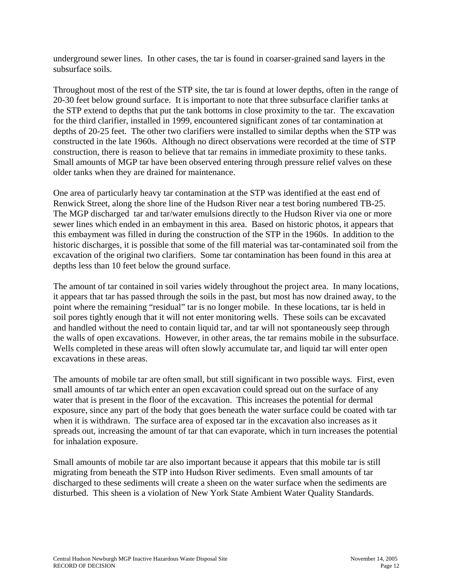underground sewer lines. In other cases, the tar is found in coarser-grained sand layers in the subsurface soils.

Throughout most of the rest of the STP site, the tar is found at lower depths, often in the range of 20-30 feet below ground surface. It is important to note that three subsurface clarifier tanks at the STP extend to depths that put the tank bottoms in close proximity to the tar. The excavation for the third clarifier, installed in 1999, encountered significant zones of tar contamination at depths of 20-25 feet. The other two clarifiers were installed to similar depths when the STP was constructed in the late 1960s. Although no direct observations were recorded at the time of STP construction, there is reason to believe that tar remains in immediate proximity to these tanks. Small amounts of MGP tar have been observed entering through pressure relief valves on these older tanks when they are drained for maintenance.

One area of particularly heavy tar contamination at the STP was identified at the east end of Renwick Street, along the shore line of the Hudson River near a test boring numbered TB-25. The MGP discharged tar and tar/water emulsions directly to the Hudson River via one or more sewer lines which ended in an embayment in this area. Based on historic photos, it appears that this embayment was filled in during the construction of the STP in the 1960s. In addition to the historic discharges, it is possible that some of the fill material was tar-contaminated soil from the excavation of the original two clarifiers. Some tar contamination has been found in this area at depths less than 10 feet below the ground surface.

The amount of tar contained in soil varies widely throughout the project area. In many locations, it appears that tar has passed through the soils in the past, but most has now drained away, to the point where the remaining "residual" tar is no longer mobile. In these locations, tar is held in soil pores tightly enough that it will not enter monitoring wells. These soils can be excavated and handled without the need to contain liquid tar, and tar will not spontaneously seep through the walls of open excavations. However, in other areas, the tar remains mobile in the subsurface. Wells completed in these areas will often slowly accumulate tar, and liquid tar will enter open excavations in these areas.

The amounts of mobile tar are often small, but still significant in two possible ways. First, even small amounts of tar which enter an open excavation could spread out on the surface of any water that is present in the floor of the excavation. This increases the potential for dermal exposure, since any part of the body that goes beneath the water surface could be coated with tar when it is withdrawn. The surface area of exposed tar in the excavation also increases as it spreads out, increasing the amount of tar that can evaporate, which in turn increases the potential for inhalation exposure.

Small amounts of mobile tar are also important because it appears that this mobile tar is still migrating from beneath the STP into Hudson River sediments. Even small amounts of tar discharged to these sediments will create a sheen on the water surface when the sediments are disturbed. This sheen is a violation of New York State Ambient Water Quality Standards.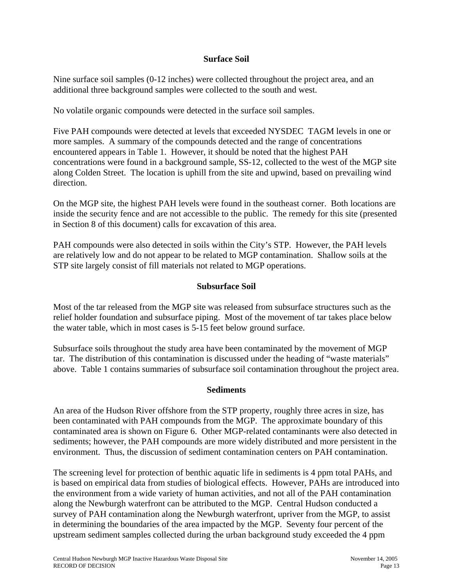### **Surface Soil**

Nine surface soil samples (0-12 inches) were collected throughout the project area, and an additional three background samples were collected to the south and west.

No volatile organic compounds were detected in the surface soil samples.

Five PAH compounds were detected at levels that exceeded NYSDEC TAGM levels in one or more samples. A summary of the compounds detected and the range of concentrations encountered appears in Table 1. However, it should be noted that the highest PAH concentrations were found in a background sample, SS-12, collected to the west of the MGP site along Colden Street. The location is uphill from the site and upwind, based on prevailing wind direction.

On the MGP site, the highest PAH levels were found in the southeast corner. Both locations are inside the security fence and are not accessible to the public. The remedy for this site (presented in Section 8 of this document) calls for excavation of this area.

PAH compounds were also detected in soils within the City's STP. However, the PAH levels are relatively low and do not appear to be related to MGP contamination. Shallow soils at the STP site largely consist of fill materials not related to MGP operations.

### **Subsurface Soil**

Most of the tar released from the MGP site was released from subsurface structures such as the relief holder foundation and subsurface piping. Most of the movement of tar takes place below the water table, which in most cases is 5-15 feet below ground surface.

Subsurface soils throughout the study area have been contaminated by the movement of MGP tar. The distribution of this contamination is discussed under the heading of "waste materials" above. Table 1 contains summaries of subsurface soil contamination throughout the project area.

#### **Sediments**

An area of the Hudson River offshore from the STP property, roughly three acres in size, has been contaminated with PAH compounds from the MGP. The approximate boundary of this contaminated area is shown on Figure 6. Other MGP-related contaminants were also detected in sediments; however, the PAH compounds are more widely distributed and more persistent in the environment. Thus, the discussion of sediment contamination centers on PAH contamination.

The screening level for protection of benthic aquatic life in sediments is 4 ppm total PAHs, and is based on empirical data from studies of biological effects. However, PAHs are introduced into the environment from a wide variety of human activities, and not all of the PAH contamination along the Newburgh waterfront can be attributed to the MGP. Central Hudson conducted a survey of PAH contamination along the Newburgh waterfront, upriver from the MGP, to assist in determining the boundaries of the area impacted by the MGP. Seventy four percent of the upstream sediment samples collected during the urban background study exceeded the 4 ppm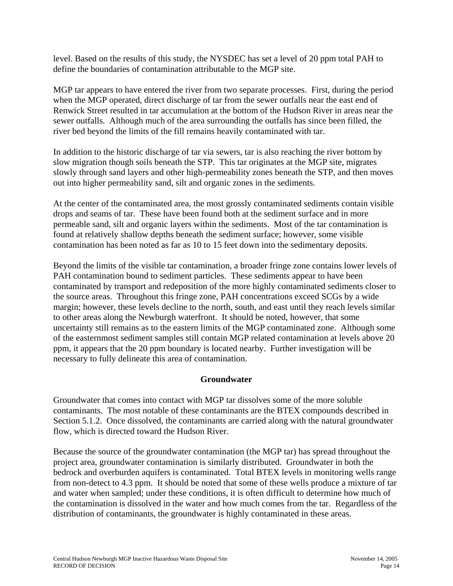level. Based on the results of this study, the NYSDEC has set a level of 20 ppm total PAH to define the boundaries of contamination attributable to the MGP site.

MGP tar appears to have entered the river from two separate processes. First, during the period when the MGP operated, direct discharge of tar from the sewer outfalls near the east end of Renwick Street resulted in tar accumulation at the bottom of the Hudson River in areas near the sewer outfalls. Although much of the area surrounding the outfalls has since been filled, the river bed beyond the limits of the fill remains heavily contaminated with tar.

In addition to the historic discharge of tar via sewers, tar is also reaching the river bottom by slow migration though soils beneath the STP. This tar originates at the MGP site, migrates slowly through sand layers and other high-permeability zones beneath the STP, and then moves out into higher permeability sand, silt and organic zones in the sediments.

At the center of the contaminated area, the most grossly contaminated sediments contain visible drops and seams of tar. These have been found both at the sediment surface and in more permeable sand, silt and organic layers within the sediments. Most of the tar contamination is found at relatively shallow depths beneath the sediment surface; however, some visible contamination has been noted as far as 10 to 15 feet down into the sedimentary deposits.

Beyond the limits of the visible tar contamination, a broader fringe zone contains lower levels of PAH contamination bound to sediment particles. These sediments appear to have been contaminated by transport and redeposition of the more highly contaminated sediments closer to the source areas. Throughout this fringe zone, PAH concentrations exceed SCGs by a wide margin; however, these levels decline to the north, south, and east until they reach levels similar to other areas along the Newburgh waterfront. It should be noted, however, that some uncertainty still remains as to the eastern limits of the MGP contaminated zone. Although some of the easternmost sediment samples still contain MGP related contamination at levels above 20 ppm, it appears that the 20 ppm boundary is located nearby. Further investigation will be necessary to fully delineate this area of contamination.

### **Groundwater**

Groundwater that comes into contact with MGP tar dissolves some of the more soluble contaminants. The most notable of these contaminants are the BTEX compounds described in Section 5.1.2. Once dissolved, the contaminants are carried along with the natural groundwater flow, which is directed toward the Hudson River.

Because the source of the groundwater contamination (the MGP tar) has spread throughout the project area, groundwater contamination is similarly distributed. Groundwater in both the bedrock and overburden aquifers is contaminated. Total BTEX levels in monitoring wells range from non-detect to 4.3 ppm. It should be noted that some of these wells produce a mixture of tar and water when sampled; under these conditions, it is often difficult to determine how much of the contamination is dissolved in the water and how much comes from the tar. Regardless of the distribution of contaminants, the groundwater is highly contaminated in these areas.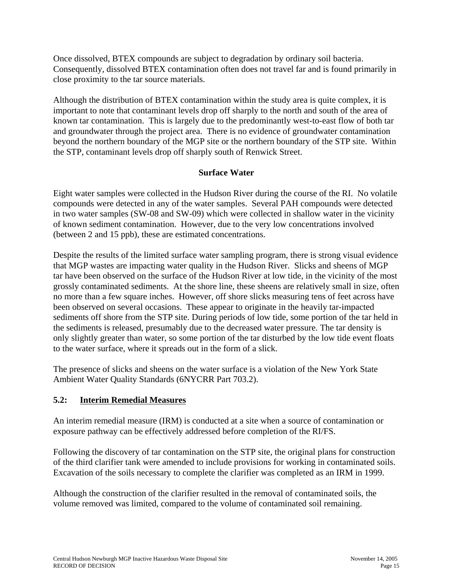Once dissolved, BTEX compounds are subject to degradation by ordinary soil bacteria. Consequently, dissolved BTEX contamination often does not travel far and is found primarily in close proximity to the tar source materials.

Although the distribution of BTEX contamination within the study area is quite complex, it is important to note that contaminant levels drop off sharply to the north and south of the area of known tar contamination. This is largely due to the predominantly west-to-east flow of both tar and groundwater through the project area. There is no evidence of groundwater contamination beyond the northern boundary of the MGP site or the northern boundary of the STP site. Within the STP, contaminant levels drop off sharply south of Renwick Street.

# **Surface Water**

Eight water samples were collected in the Hudson River during the course of the RI. No volatile compounds were detected in any of the water samples. Several PAH compounds were detected in two water samples (SW-08 and SW-09) which were collected in shallow water in the vicinity of known sediment contamination. However, due to the very low concentrations involved (between 2 and 15 ppb), these are estimated concentrations.

Despite the results of the limited surface water sampling program, there is strong visual evidence that MGP wastes are impacting water quality in the Hudson River. Slicks and sheens of MGP tar have been observed on the surface of the Hudson River at low tide, in the vicinity of the most grossly contaminated sediments. At the shore line, these sheens are relatively small in size, often no more than a few square inches. However, off shore slicks measuring tens of feet across have been observed on several occasions. These appear to originate in the heavily tar-impacted sediments off shore from the STP site. During periods of low tide, some portion of the tar held in the sediments is released, presumably due to the decreased water pressure. The tar density is only slightly greater than water, so some portion of the tar disturbed by the low tide event floats to the water surface, where it spreads out in the form of a slick.

The presence of slicks and sheens on the water surface is a violation of the New York State Ambient Water Quality Standards (6NYCRR Part 703.2).

# **5.2: Interim Remedial Measures**

An interim remedial measure (IRM) is conducted at a site when a source of contamination or exposure pathway can be effectively addressed before completion of the RI/FS.

Following the discovery of tar contamination on the STP site, the original plans for construction of the third clarifier tank were amended to include provisions for working in contaminated soils. Excavation of the soils necessary to complete the clarifier was completed as an IRM in 1999.

Although the construction of the clarifier resulted in the removal of contaminated soils, the volume removed was limited, compared to the volume of contaminated soil remaining.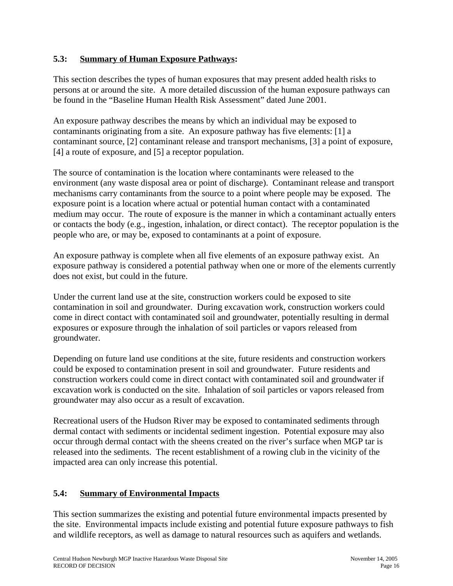# **5.3: Summary of Human Exposure Pathways:**

This section describes the types of human exposures that may present added health risks to persons at or around the site. A more detailed discussion of the human exposure pathways can be found in the "Baseline Human Health Risk Assessment" dated June 2001.

An exposure pathway describes the means by which an individual may be exposed to contaminants originating from a site. An exposure pathway has five elements: [1] a contaminant source, [2] contaminant release and transport mechanisms, [3] a point of exposure, [4] a route of exposure, and [5] a receptor population.

The source of contamination is the location where contaminants were released to the environment (any waste disposal area or point of discharge). Contaminant release and transport mechanisms carry contaminants from the source to a point where people may be exposed. The exposure point is a location where actual or potential human contact with a contaminated medium may occur. The route of exposure is the manner in which a contaminant actually enters or contacts the body (e.g., ingestion, inhalation, or direct contact). The receptor population is the people who are, or may be, exposed to contaminants at a point of exposure.

An exposure pathway is complete when all five elements of an exposure pathway exist. An exposure pathway is considered a potential pathway when one or more of the elements currently does not exist, but could in the future.

Under the current land use at the site, construction workers could be exposed to site contamination in soil and groundwater. During excavation work, construction workers could come in direct contact with contaminated soil and groundwater, potentially resulting in dermal exposures or exposure through the inhalation of soil particles or vapors released from groundwater.

Depending on future land use conditions at the site, future residents and construction workers could be exposed to contamination present in soil and groundwater. Future residents and construction workers could come in direct contact with contaminated soil and groundwater if excavation work is conducted on the site. Inhalation of soil particles or vapors released from groundwater may also occur as a result of excavation.

Recreational users of the Hudson River may be exposed to contaminated sediments through dermal contact with sediments or incidental sediment ingestion. Potential exposure may also occur through dermal contact with the sheens created on the river's surface when MGP tar is released into the sediments. The recent establishment of a rowing club in the vicinity of the impacted area can only increase this potential.

# **5.4: Summary of Environmental Impacts**

This section summarizes the existing and potential future environmental impacts presented by the site. Environmental impacts include existing and potential future exposure pathways to fish and wildlife receptors, as well as damage to natural resources such as aquifers and wetlands.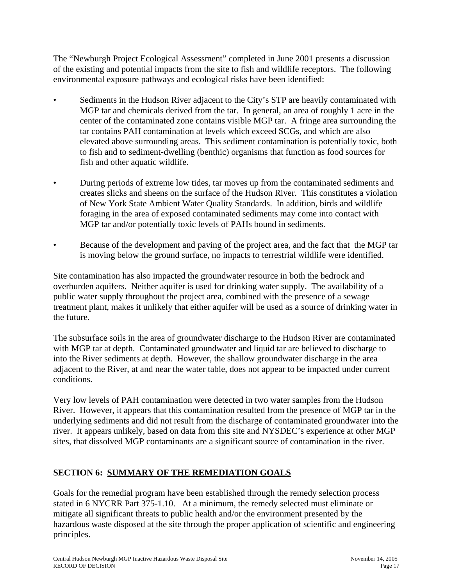The "Newburgh Project Ecological Assessment" completed in June 2001 presents a discussion of the existing and potential impacts from the site to fish and wildlife receptors. The following environmental exposure pathways and ecological risks have been identified:

- Sediments in the Hudson River adjacent to the City's STP are heavily contaminated with MGP tar and chemicals derived from the tar. In general, an area of roughly 1 acre in the center of the contaminated zone contains visible MGP tar. A fringe area surrounding the tar contains PAH contamination at levels which exceed SCGs, and which are also elevated above surrounding areas. This sediment contamination is potentially toxic, both to fish and to sediment-dwelling (benthic) organisms that function as food sources for fish and other aquatic wildlife.
- During periods of extreme low tides, tar moves up from the contaminated sediments and creates slicks and sheens on the surface of the Hudson River. This constitutes a violation of New York State Ambient Water Quality Standards. In addition, birds and wildlife foraging in the area of exposed contaminated sediments may come into contact with MGP tar and/or potentially toxic levels of PAHs bound in sediments.
- Because of the development and paving of the project area, and the fact that the MGP tar is moving below the ground surface, no impacts to terrestrial wildlife were identified.

Site contamination has also impacted the groundwater resource in both the bedrock and overburden aquifers. Neither aquifer is used for drinking water supply. The availability of a public water supply throughout the project area, combined with the presence of a sewage treatment plant, makes it unlikely that either aquifer will be used as a source of drinking water in the future.

The subsurface soils in the area of groundwater discharge to the Hudson River are contaminated with MGP tar at depth. Contaminated groundwater and liquid tar are believed to discharge to into the River sediments at depth. However, the shallow groundwater discharge in the area adjacent to the River, at and near the water table, does not appear to be impacted under current conditions.

Very low levels of PAH contamination were detected in two water samples from the Hudson River. However, it appears that this contamination resulted from the presence of MGP tar in the underlying sediments and did not result from the discharge of contaminated groundwater into the river. It appears unlikely, based on data from this site and NYSDEC's experience at other MGP sites, that dissolved MGP contaminants are a significant source of contamination in the river.

# **SECTION 6: SUMMARY OF THE REMEDIATION GOALS**

Goals for the remedial program have been established through the remedy selection process stated in 6 NYCRR Part 375-1.10. At a minimum, the remedy selected must eliminate or mitigate all significant threats to public health and/or the environment presented by the hazardous waste disposed at the site through the proper application of scientific and engineering principles.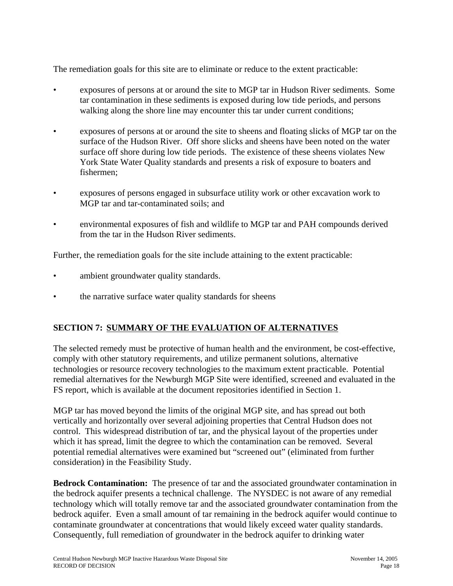The remediation goals for this site are to eliminate or reduce to the extent practicable:

- exposures of persons at or around the site to MGP tar in Hudson River sediments. Some tar contamination in these sediments is exposed during low tide periods, and persons walking along the shore line may encounter this tar under current conditions;
- exposures of persons at or around the site to sheens and floating slicks of MGP tar on the surface of the Hudson River. Off shore slicks and sheens have been noted on the water surface off shore during low tide periods. The existence of these sheens violates New York State Water Quality standards and presents a risk of exposure to boaters and fishermen;
- exposures of persons engaged in subsurface utility work or other excavation work to MGP tar and tar-contaminated soils; and
- environmental exposures of fish and wildlife to MGP tar and PAH compounds derived from the tar in the Hudson River sediments.

Further, the remediation goals for the site include attaining to the extent practicable:

- ambient groundwater quality standards.
- the narrative surface water quality standards for sheens

# **SECTION 7: SUMMARY OF THE EVALUATION OF ALTERNATIVES**

The selected remedy must be protective of human health and the environment, be cost-effective, comply with other statutory requirements, and utilize permanent solutions, alternative technologies or resource recovery technologies to the maximum extent practicable. Potential remedial alternatives for the Newburgh MGP Site were identified, screened and evaluated in the FS report, which is available at the document repositories identified in Section 1.

MGP tar has moved beyond the limits of the original MGP site, and has spread out both vertically and horizontally over several adjoining properties that Central Hudson does not control. This widespread distribution of tar, and the physical layout of the properties under which it has spread, limit the degree to which the contamination can be removed. Several potential remedial alternatives were examined but "screened out" (eliminated from further consideration) in the Feasibility Study.

**Bedrock Contamination:** The presence of tar and the associated groundwater contamination in the bedrock aquifer presents a technical challenge. The NYSDEC is not aware of any remedial technology which will totally remove tar and the associated groundwater contamination from the bedrock aquifer. Even a small amount of tar remaining in the bedrock aquifer would continue to contaminate groundwater at concentrations that would likely exceed water quality standards. Consequently, full remediation of groundwater in the bedrock aquifer to drinking water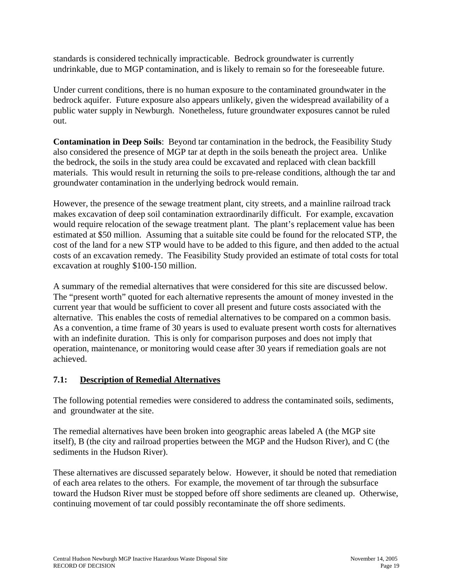standards is considered technically impracticable. Bedrock groundwater is currently undrinkable, due to MGP contamination, and is likely to remain so for the foreseeable future.

Under current conditions, there is no human exposure to the contaminated groundwater in the bedrock aquifer. Future exposure also appears unlikely, given the widespread availability of a public water supply in Newburgh. Nonetheless, future groundwater exposures cannot be ruled out.

**Contamination in Deep Soils**: Beyond tar contamination in the bedrock, the Feasibility Study also considered the presence of MGP tar at depth in the soils beneath the project area. Unlike the bedrock, the soils in the study area could be excavated and replaced with clean backfill materials. This would result in returning the soils to pre-release conditions, although the tar and groundwater contamination in the underlying bedrock would remain.

However, the presence of the sewage treatment plant, city streets, and a mainline railroad track makes excavation of deep soil contamination extraordinarily difficult. For example, excavation would require relocation of the sewage treatment plant. The plant's replacement value has been estimated at \$50 million. Assuming that a suitable site could be found for the relocated STP, the cost of the land for a new STP would have to be added to this figure, and then added to the actual costs of an excavation remedy. The Feasibility Study provided an estimate of total costs for total excavation at roughly \$100-150 million.

A summary of the remedial alternatives that were considered for this site are discussed below. The "present worth" quoted for each alternative represents the amount of money invested in the current year that would be sufficient to cover all present and future costs associated with the alternative. This enables the costs of remedial alternatives to be compared on a common basis. As a convention, a time frame of 30 years is used to evaluate present worth costs for alternatives with an indefinite duration. This is only for comparison purposes and does not imply that operation, maintenance, or monitoring would cease after 30 years if remediation goals are not achieved.

# **7.1: Description of Remedial Alternatives**

The following potential remedies were considered to address the contaminated soils, sediments, and groundwater at the site.

The remedial alternatives have been broken into geographic areas labeled A (the MGP site itself), B (the city and railroad properties between the MGP and the Hudson River), and C (the sediments in the Hudson River).

These alternatives are discussed separately below. However, it should be noted that remediation of each area relates to the others. For example, the movement of tar through the subsurface toward the Hudson River must be stopped before off shore sediments are cleaned up. Otherwise, continuing movement of tar could possibly recontaminate the off shore sediments.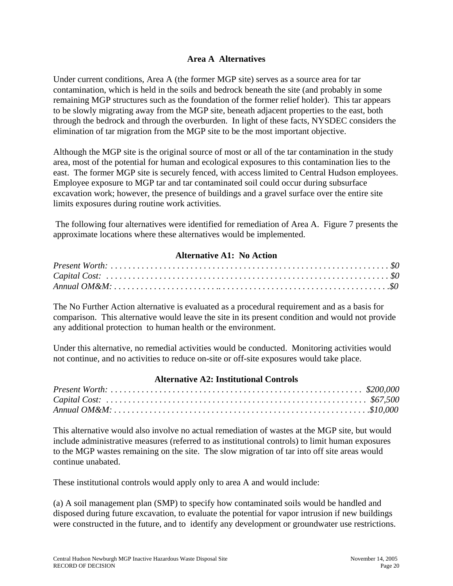### **Area A Alternatives**

Under current conditions, Area A (the former MGP site) serves as a source area for tar contamination, which is held in the soils and bedrock beneath the site (and probably in some remaining MGP structures such as the foundation of the former relief holder). This tar appears to be slowly migrating away from the MGP site, beneath adjacent properties to the east, both through the bedrock and through the overburden. In light of these facts, NYSDEC considers the elimination of tar migration from the MGP site to be the most important objective.

Although the MGP site is the original source of most or all of the tar contamination in the study area, most of the potential for human and ecological exposures to this contamination lies to the east. The former MGP site is securely fenced, with access limited to Central Hudson employees. Employee exposure to MGP tar and tar contaminated soil could occur during subsurface excavation work; however, the presence of buildings and a gravel surface over the entire site limits exposures during routine work activities.

 The following four alternatives were identified for remediation of Area A. Figure 7 presents the approximate locations where these alternatives would be implemented.

### **Alternative A1: No Action**

The No Further Action alternative is evaluated as a procedural requirement and as a basis for comparison. This alternative would leave the site in its present condition and would not provide any additional protection to human health or the environment.

Under this alternative, no remedial activities would be conducted. Monitoring activities would not continue, and no activities to reduce on-site or off-site exposures would take place.

#### **Alternative A2: Institutional Controls**

This alternative would also involve no actual remediation of wastes at the MGP site, but would include administrative measures (referred to as institutional controls) to limit human exposures to the MGP wastes remaining on the site. The slow migration of tar into off site areas would continue unabated.

These institutional controls would apply only to area A and would include:

(a) A soil management plan (SMP) to specify how contaminated soils would be handled and disposed during future excavation, to evaluate the potential for vapor intrusion if new buildings were constructed in the future, and to identify any development or groundwater use restrictions.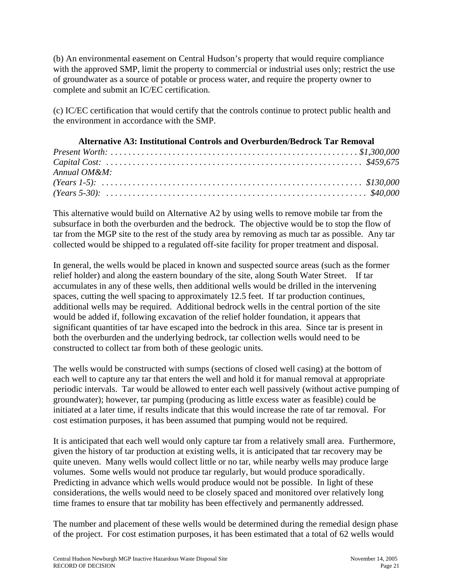(b) An environmental easement on Central Hudson's property that would require compliance with the approved SMP, limit the property to commercial or industrial uses only; restrict the use of groundwater as a source of potable or process water, and require the property owner to complete and submit an IC/EC certification.

(c) IC/EC certification that would certify that the controls continue to protect public health and the environment in accordance with the SMP.

| <b>Alternative A3: Institutional Controls and Overburden/Bedrock Tar Removal</b> |  |  |
|----------------------------------------------------------------------------------|--|--|
|                                                                                  |  |  |
|                                                                                  |  |  |
| Annual $OM\&M$ :                                                                 |  |  |
|                                                                                  |  |  |
|                                                                                  |  |  |

This alternative would build on Alternative A2 by using wells to remove mobile tar from the subsurface in both the overburden and the bedrock. The objective would be to stop the flow of tar from the MGP site to the rest of the study area by removing as much tar as possible. Any tar collected would be shipped to a regulated off-site facility for proper treatment and disposal.

In general, the wells would be placed in known and suspected source areas (such as the former relief holder) and along the eastern boundary of the site, along South Water Street. If tar accumulates in any of these wells, then additional wells would be drilled in the intervening spaces, cutting the well spacing to approximately 12.5 feet. If tar production continues, additional wells may be required. Additional bedrock wells in the central portion of the site would be added if, following excavation of the relief holder foundation, it appears that significant quantities of tar have escaped into the bedrock in this area. Since tar is present in both the overburden and the underlying bedrock, tar collection wells would need to be constructed to collect tar from both of these geologic units.

The wells would be constructed with sumps (sections of closed well casing) at the bottom of each well to capture any tar that enters the well and hold it for manual removal at appropriate periodic intervals. Tar would be allowed to enter each well passively (without active pumping of groundwater); however, tar pumping (producing as little excess water as feasible) could be initiated at a later time, if results indicate that this would increase the rate of tar removal. For cost estimation purposes, it has been assumed that pumping would not be required.

It is anticipated that each well would only capture tar from a relatively small area. Furthermore, given the history of tar production at existing wells, it is anticipated that tar recovery may be quite uneven. Many wells would collect little or no tar, while nearby wells may produce large volumes. Some wells would not produce tar regularly, but would produce sporadically. Predicting in advance which wells would produce would not be possible. In light of these considerations, the wells would need to be closely spaced and monitored over relatively long time frames to ensure that tar mobility has been effectively and permanently addressed.

The number and placement of these wells would be determined during the remedial design phase of the project. For cost estimation purposes, it has been estimated that a total of 62 wells would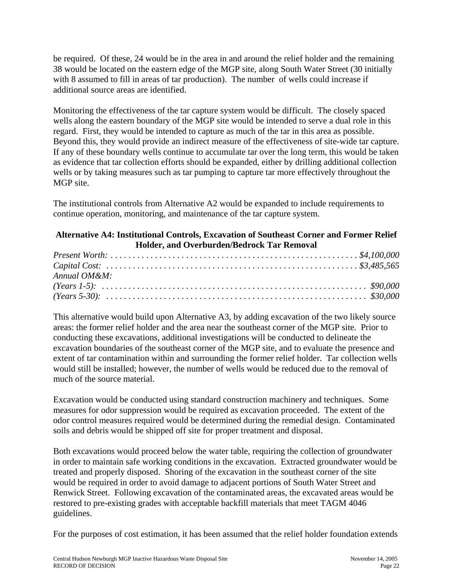be required. Of these, 24 would be in the area in and around the relief holder and the remaining 38 would be located on the eastern edge of the MGP site, along South Water Street (30 initially with 8 assumed to fill in areas of tar production). The number of wells could increase if additional source areas are identified.

Monitoring the effectiveness of the tar capture system would be difficult. The closely spaced wells along the eastern boundary of the MGP site would be intended to serve a dual role in this regard. First, they would be intended to capture as much of the tar in this area as possible. Beyond this, they would provide an indirect measure of the effectiveness of site-wide tar capture. If any of these boundary wells continue to accumulate tar over the long term, this would be taken as evidence that tar collection efforts should be expanded, either by drilling additional collection wells or by taking measures such as tar pumping to capture tar more effectively throughout the MGP site.

The institutional controls from Alternative A2 would be expanded to include requirements to continue operation, monitoring, and maintenance of the tar capture system.

## **Alternative A4: Institutional Controls, Excavation of Southeast Corner and Former Relief Holder, and Overburden/Bedrock Tar Removal**

| Annual $OM\&M$ : |  |
|------------------|--|
|                  |  |
|                  |  |

This alternative would build upon Alternative A3, by adding excavation of the two likely source areas: the former relief holder and the area near the southeast corner of the MGP site. Prior to conducting these excavations, additional investigations will be conducted to delineate the excavation boundaries of the southeast corner of the MGP site, and to evaluate the presence and extent of tar contamination within and surrounding the former relief holder. Tar collection wells would still be installed; however, the number of wells would be reduced due to the removal of much of the source material.

Excavation would be conducted using standard construction machinery and techniques. Some measures for odor suppression would be required as excavation proceeded. The extent of the odor control measures required would be determined during the remedial design. Contaminated soils and debris would be shipped off site for proper treatment and disposal.

Both excavations would proceed below the water table, requiring the collection of groundwater in order to maintain safe working conditions in the excavation. Extracted groundwater would be treated and properly disposed. Shoring of the excavation in the southeast corner of the site would be required in order to avoid damage to adjacent portions of South Water Street and Renwick Street. Following excavation of the contaminated areas, the excavated areas would be restored to pre-existing grades with acceptable backfill materials that meet TAGM 4046 guidelines.

For the purposes of cost estimation, it has been assumed that the relief holder foundation extends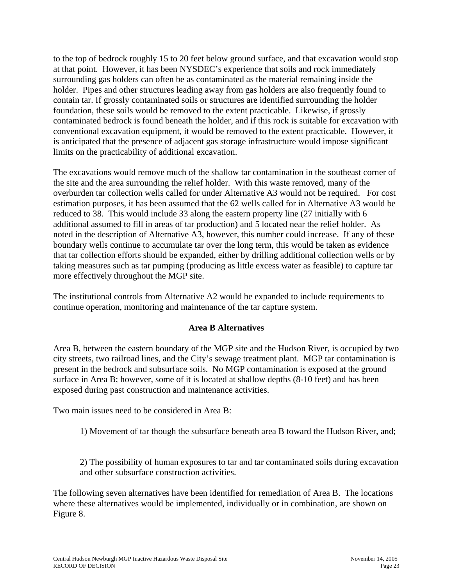to the top of bedrock roughly 15 to 20 feet below ground surface, and that excavation would stop at that point. However, it has been NYSDEC's experience that soils and rock immediately surrounding gas holders can often be as contaminated as the material remaining inside the holder. Pipes and other structures leading away from gas holders are also frequently found to contain tar. If grossly contaminated soils or structures are identified surrounding the holder foundation, these soils would be removed to the extent practicable. Likewise, if grossly contaminated bedrock is found beneath the holder, and if this rock is suitable for excavation with conventional excavation equipment, it would be removed to the extent practicable. However, it is anticipated that the presence of adjacent gas storage infrastructure would impose significant limits on the practicability of additional excavation.

The excavations would remove much of the shallow tar contamination in the southeast corner of the site and the area surrounding the relief holder. With this waste removed, many of the overburden tar collection wells called for under Alternative A3 would not be required. For cost estimation purposes, it has been assumed that the 62 wells called for in Alternative A3 would be reduced to 38. This would include 33 along the eastern property line (27 initially with 6 additional assumed to fill in areas of tar production) and 5 located near the relief holder. As noted in the description of Alternative A3, however, this number could increase. If any of these boundary wells continue to accumulate tar over the long term, this would be taken as evidence that tar collection efforts should be expanded, either by drilling additional collection wells or by taking measures such as tar pumping (producing as little excess water as feasible) to capture tar more effectively throughout the MGP site.

The institutional controls from Alternative A2 would be expanded to include requirements to continue operation, monitoring and maintenance of the tar capture system.

### **Area B Alternatives**

Area B, between the eastern boundary of the MGP site and the Hudson River, is occupied by two city streets, two railroad lines, and the City's sewage treatment plant. MGP tar contamination is present in the bedrock and subsurface soils. No MGP contamination is exposed at the ground surface in Area B; however, some of it is located at shallow depths (8-10 feet) and has been exposed during past construction and maintenance activities.

Two main issues need to be considered in Area B:

1) Movement of tar though the subsurface beneath area B toward the Hudson River, and;

2) The possibility of human exposures to tar and tar contaminated soils during excavation and other subsurface construction activities.

The following seven alternatives have been identified for remediation of Area B. The locations where these alternatives would be implemented, individually or in combination, are shown on Figure 8.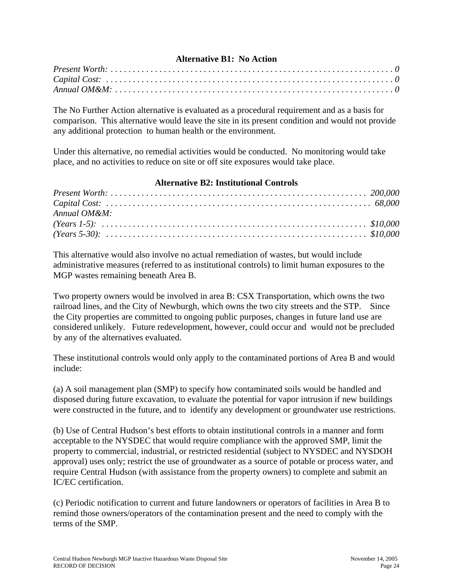### **Alternative B1: No Action**

The No Further Action alternative is evaluated as a procedural requirement and as a basis for comparison. This alternative would leave the site in its present condition and would not provide any additional protection to human health or the environment.

Under this alternative, no remedial activities would be conducted. No monitoring would take place, and no activities to reduce on site or off site exposures would take place.

### **Alternative B2: Institutional Controls**

| Annual OM&M: |  |
|--------------|--|
|              |  |
|              |  |

This alternative would also involve no actual remediation of wastes, but would include administrative measures (referred to as institutional controls) to limit human exposures to the MGP wastes remaining beneath Area B.

Two property owners would be involved in area B: CSX Transportation, which owns the two railroad lines, and the City of Newburgh, which owns the two city streets and the STP. Since the City properties are committed to ongoing public purposes, changes in future land use are considered unlikely. Future redevelopment, however, could occur and would not be precluded by any of the alternatives evaluated.

These institutional controls would only apply to the contaminated portions of Area B and would include:

(a) A soil management plan (SMP) to specify how contaminated soils would be handled and disposed during future excavation, to evaluate the potential for vapor intrusion if new buildings were constructed in the future, and to identify any development or groundwater use restrictions.

(b) Use of Central Hudson's best efforts to obtain institutional controls in a manner and form acceptable to the NYSDEC that would require compliance with the approved SMP, limit the property to commercial, industrial, or restricted residential (subject to NYSDEC and NYSDOH approval) uses only; restrict the use of groundwater as a source of potable or process water, and require Central Hudson (with assistance from the property owners) to complete and submit an IC/EC certification.

(c) Periodic notification to current and future landowners or operators of facilities in Area B to remind those owners/operators of the contamination present and the need to comply with the terms of the SMP.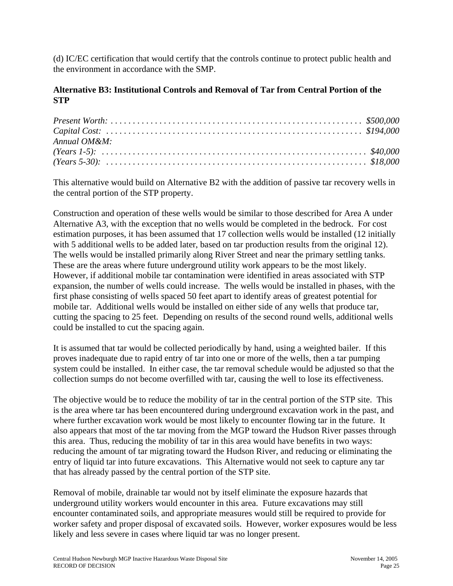(d) IC/EC certification that would certify that the controls continue to protect public health and the environment in accordance with the SMP.

### **Alternative B3: Institutional Controls and Removal of Tar from Central Portion of the STP**

| Annual OM&M: |  |
|--------------|--|
|              |  |
|              |  |

This alternative would build on Alternative B2 with the addition of passive tar recovery wells in the central portion of the STP property.

Construction and operation of these wells would be similar to those described for Area A under Alternative A3, with the exception that no wells would be completed in the bedrock. For cost estimation purposes, it has been assumed that 17 collection wells would be installed (12 initially with 5 additional wells to be added later, based on tar production results from the original 12). The wells would be installed primarily along River Street and near the primary settling tanks. These are the areas where future underground utility work appears to be the most likely. However, if additional mobile tar contamination were identified in areas associated with STP expansion, the number of wells could increase. The wells would be installed in phases, with the first phase consisting of wells spaced 50 feet apart to identify areas of greatest potential for mobile tar. Additional wells would be installed on either side of any wells that produce tar, cutting the spacing to 25 feet. Depending on results of the second round wells, additional wells could be installed to cut the spacing again.

It is assumed that tar would be collected periodically by hand, using a weighted bailer. If this proves inadequate due to rapid entry of tar into one or more of the wells, then a tar pumping system could be installed. In either case, the tar removal schedule would be adjusted so that the collection sumps do not become overfilled with tar, causing the well to lose its effectiveness.

The objective would be to reduce the mobility of tar in the central portion of the STP site. This is the area where tar has been encountered during underground excavation work in the past, and where further excavation work would be most likely to encounter flowing tar in the future. It also appears that most of the tar moving from the MGP toward the Hudson River passes through this area. Thus, reducing the mobility of tar in this area would have benefits in two ways: reducing the amount of tar migrating toward the Hudson River, and reducing or eliminating the entry of liquid tar into future excavations. This Alternative would not seek to capture any tar that has already passed by the central portion of the STP site.

Removal of mobile, drainable tar would not by itself eliminate the exposure hazards that underground utility workers would encounter in this area. Future excavations may still encounter contaminated soils, and appropriate measures would still be required to provide for worker safety and proper disposal of excavated soils. However, worker exposures would be less likely and less severe in cases where liquid tar was no longer present.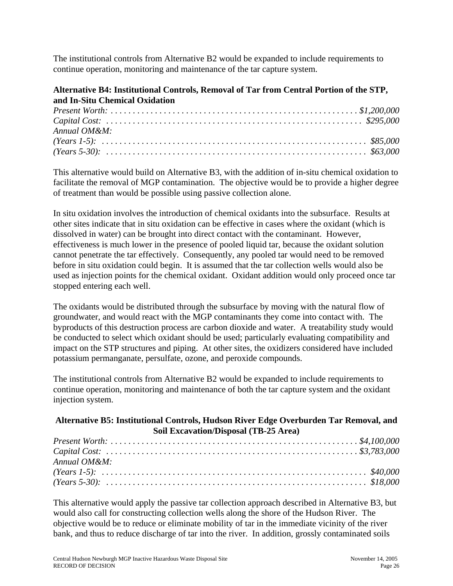The institutional controls from Alternative B2 would be expanded to include requirements to continue operation, monitoring and maintenance of the tar capture system.

# **Alternative B4: Institutional Controls, Removal of Tar from Central Portion of the STP, and In-Situ Chemical Oxidation**

| Annual OM&M: |  |
|--------------|--|
|              |  |
|              |  |

This alternative would build on Alternative B3, with the addition of in-situ chemical oxidation to facilitate the removal of MGP contamination. The objective would be to provide a higher degree of treatment than would be possible using passive collection alone.

In situ oxidation involves the introduction of chemical oxidants into the subsurface. Results at other sites indicate that in situ oxidation can be effective in cases where the oxidant (which is dissolved in water) can be brought into direct contact with the contaminant. However, effectiveness is much lower in the presence of pooled liquid tar, because the oxidant solution cannot penetrate the tar effectively. Consequently, any pooled tar would need to be removed before in situ oxidation could begin. It is assumed that the tar collection wells would also be used as injection points for the chemical oxidant. Oxidant addition would only proceed once tar stopped entering each well.

The oxidants would be distributed through the subsurface by moving with the natural flow of groundwater, and would react with the MGP contaminants they come into contact with. The byproducts of this destruction process are carbon dioxide and water. A treatability study would be conducted to select which oxidant should be used; particularly evaluating compatibility and impact on the STP structures and piping. At other sites, the oxidizers considered have included potassium permanganate, persulfate, ozone, and peroxide compounds.

The institutional controls from Alternative B2 would be expanded to include requirements to continue operation, monitoring and maintenance of both the tar capture system and the oxidant injection system.

## **Alternative B5: Institutional Controls, Hudson River Edge Overburden Tar Removal, and Soil Excavation/Disposal (TB-25 Area)**

| Annual OM&M: |  |
|--------------|--|
|              |  |
|              |  |

This alternative would apply the passive tar collection approach described in Alternative B3, but would also call for constructing collection wells along the shore of the Hudson River. The objective would be to reduce or eliminate mobility of tar in the immediate vicinity of the river bank, and thus to reduce discharge of tar into the river. In addition, grossly contaminated soils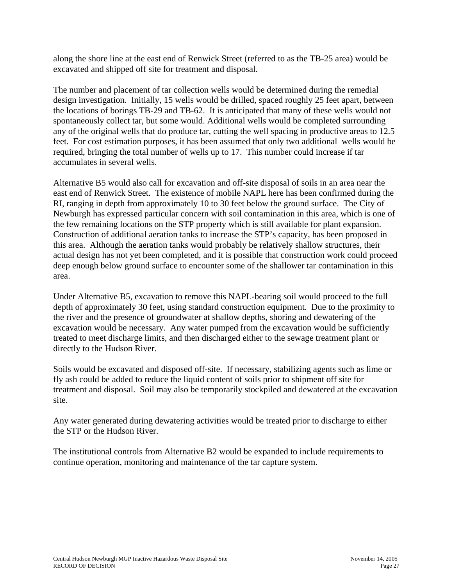along the shore line at the east end of Renwick Street (referred to as the TB-25 area) would be excavated and shipped off site for treatment and disposal.

The number and placement of tar collection wells would be determined during the remedial design investigation. Initially, 15 wells would be drilled, spaced roughly 25 feet apart, between the locations of borings TB-29 and TB-62. It is anticipated that many of these wells would not spontaneously collect tar, but some would. Additional wells would be completed surrounding any of the original wells that do produce tar, cutting the well spacing in productive areas to 12.5 feet. For cost estimation purposes, it has been assumed that only two additional wells would be required, bringing the total number of wells up to 17. This number could increase if tar accumulates in several wells.

Alternative B5 would also call for excavation and off-site disposal of soils in an area near the east end of Renwick Street. The existence of mobile NAPL here has been confirmed during the RI, ranging in depth from approximately 10 to 30 feet below the ground surface. The City of Newburgh has expressed particular concern with soil contamination in this area, which is one of the few remaining locations on the STP property which is still available for plant expansion. Construction of additional aeration tanks to increase the STP's capacity, has been proposed in this area. Although the aeration tanks would probably be relatively shallow structures, their actual design has not yet been completed, and it is possible that construction work could proceed deep enough below ground surface to encounter some of the shallower tar contamination in this area.

Under Alternative B5, excavation to remove this NAPL-bearing soil would proceed to the full depth of approximately 30 feet, using standard construction equipment. Due to the proximity to the river and the presence of groundwater at shallow depths, shoring and dewatering of the excavation would be necessary. Any water pumped from the excavation would be sufficiently treated to meet discharge limits, and then discharged either to the sewage treatment plant or directly to the Hudson River.

Soils would be excavated and disposed off-site. If necessary, stabilizing agents such as lime or fly ash could be added to reduce the liquid content of soils prior to shipment off site for treatment and disposal. Soil may also be temporarily stockpiled and dewatered at the excavation site.

Any water generated during dewatering activities would be treated prior to discharge to either the STP or the Hudson River.

The institutional controls from Alternative B2 would be expanded to include requirements to continue operation, monitoring and maintenance of the tar capture system.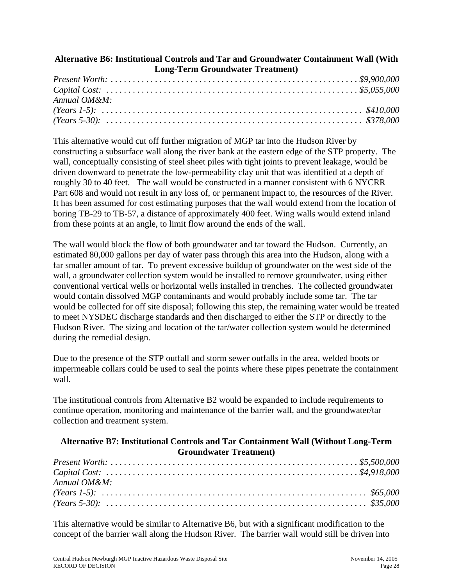### **Alternative B6: Institutional Controls and Tar and Groundwater Containment Wall (With Long-Term Groundwater Treatment)**

| Annual $OM\&M$ : |  |
|------------------|--|
|                  |  |
|                  |  |

This alternative would cut off further migration of MGP tar into the Hudson River by constructing a subsurface wall along the river bank at the eastern edge of the STP property. The wall, conceptually consisting of steel sheet piles with tight joints to prevent leakage, would be driven downward to penetrate the low-permeability clay unit that was identified at a depth of roughly 30 to 40 feet. The wall would be constructed in a manner consistent with 6 NYCRR Part 608 and would not result in any loss of, or permanent impact to, the resources of the River. It has been assumed for cost estimating purposes that the wall would extend from the location of boring TB-29 to TB-57, a distance of approximately 400 feet. Wing walls would extend inland from these points at an angle, to limit flow around the ends of the wall.

The wall would block the flow of both groundwater and tar toward the Hudson. Currently, an estimated 80,000 gallons per day of water pass through this area into the Hudson, along with a far smaller amount of tar. To prevent excessive buildup of groundwater on the west side of the wall, a groundwater collection system would be installed to remove groundwater, using either conventional vertical wells or horizontal wells installed in trenches. The collected groundwater would contain dissolved MGP contaminants and would probably include some tar. The tar would be collected for off site disposal; following this step, the remaining water would be treated to meet NYSDEC discharge standards and then discharged to either the STP or directly to the Hudson River. The sizing and location of the tar/water collection system would be determined during the remedial design.

Due to the presence of the STP outfall and storm sewer outfalls in the area, welded boots or impermeable collars could be used to seal the points where these pipes penetrate the containment wall.

The institutional controls from Alternative B2 would be expanded to include requirements to continue operation, monitoring and maintenance of the barrier wall, and the groundwater/tar collection and treatment system.

### **Alternative B7: Institutional Controls and Tar Containment Wall (Without Long-Term Groundwater Treatment)**

| $Annual OMRM$ : |  |
|-----------------|--|
|                 |  |
|                 |  |

This alternative would be similar to Alternative B6, but with a significant modification to the concept of the barrier wall along the Hudson River. The barrier wall would still be driven into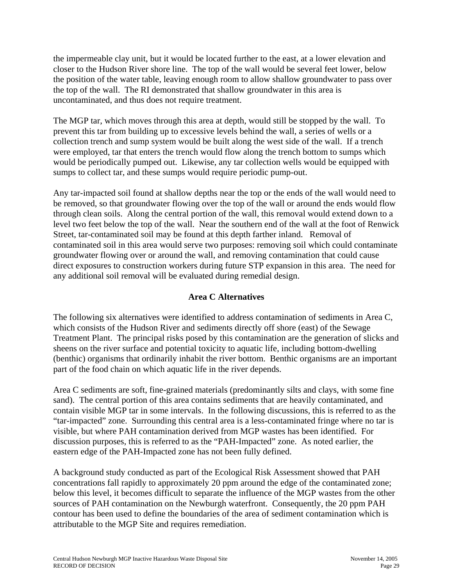the impermeable clay unit, but it would be located further to the east, at a lower elevation and closer to the Hudson River shore line. The top of the wall would be several feet lower, below the position of the water table, leaving enough room to allow shallow groundwater to pass over the top of the wall. The RI demonstrated that shallow groundwater in this area is uncontaminated, and thus does not require treatment.

The MGP tar, which moves through this area at depth, would still be stopped by the wall. To prevent this tar from building up to excessive levels behind the wall, a series of wells or a collection trench and sump system would be built along the west side of the wall. If a trench were employed, tar that enters the trench would flow along the trench bottom to sumps which would be periodically pumped out. Likewise, any tar collection wells would be equipped with sumps to collect tar, and these sumps would require periodic pump-out.

Any tar-impacted soil found at shallow depths near the top or the ends of the wall would need to be removed, so that groundwater flowing over the top of the wall or around the ends would flow through clean soils. Along the central portion of the wall, this removal would extend down to a level two feet below the top of the wall. Near the southern end of the wall at the foot of Renwick Street, tar-contaminated soil may be found at this depth farther inland. Removal of contaminated soil in this area would serve two purposes: removing soil which could contaminate groundwater flowing over or around the wall, and removing contamination that could cause direct exposures to construction workers during future STP expansion in this area. The need for any additional soil removal will be evaluated during remedial design.

### **Area C Alternatives**

The following six alternatives were identified to address contamination of sediments in Area C, which consists of the Hudson River and sediments directly off shore (east) of the Sewage Treatment Plant. The principal risks posed by this contamination are the generation of slicks and sheens on the river surface and potential toxicity to aquatic life, including bottom-dwelling (benthic) organisms that ordinarily inhabit the river bottom. Benthic organisms are an important part of the food chain on which aquatic life in the river depends.

Area C sediments are soft, fine-grained materials (predominantly silts and clays, with some fine sand). The central portion of this area contains sediments that are heavily contaminated, and contain visible MGP tar in some intervals. In the following discussions, this is referred to as the "tar-impacted" zone. Surrounding this central area is a less-contaminated fringe where no tar is visible, but where PAH contamination derived from MGP wastes has been identified. For discussion purposes, this is referred to as the "PAH-Impacted" zone. As noted earlier, the eastern edge of the PAH-Impacted zone has not been fully defined.

A background study conducted as part of the Ecological Risk Assessment showed that PAH concentrations fall rapidly to approximately 20 ppm around the edge of the contaminated zone; below this level, it becomes difficult to separate the influence of the MGP wastes from the other sources of PAH contamination on the Newburgh waterfront. Consequently, the 20 ppm PAH contour has been used to define the boundaries of the area of sediment contamination which is attributable to the MGP Site and requires remediation.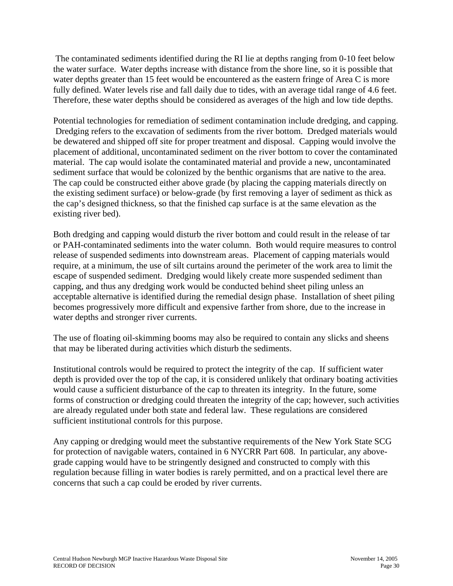The contaminated sediments identified during the RI lie at depths ranging from 0-10 feet below the water surface. Water depths increase with distance from the shore line, so it is possible that water depths greater than 15 feet would be encountered as the eastern fringe of Area C is more fully defined. Water levels rise and fall daily due to tides, with an average tidal range of 4.6 feet. Therefore, these water depths should be considered as averages of the high and low tide depths.

Potential technologies for remediation of sediment contamination include dredging, and capping. Dredging refers to the excavation of sediments from the river bottom. Dredged materials would be dewatered and shipped off site for proper treatment and disposal. Capping would involve the placement of additional, uncontaminated sediment on the river bottom to cover the contaminated material. The cap would isolate the contaminated material and provide a new, uncontaminated sediment surface that would be colonized by the benthic organisms that are native to the area. The cap could be constructed either above grade (by placing the capping materials directly on the existing sediment surface) or below-grade (by first removing a layer of sediment as thick as the cap's designed thickness, so that the finished cap surface is at the same elevation as the existing river bed).

Both dredging and capping would disturb the river bottom and could result in the release of tar or PAH-contaminated sediments into the water column. Both would require measures to control release of suspended sediments into downstream areas. Placement of capping materials would require, at a minimum, the use of silt curtains around the perimeter of the work area to limit the escape of suspended sediment. Dredging would likely create more suspended sediment than capping, and thus any dredging work would be conducted behind sheet piling unless an acceptable alternative is identified during the remedial design phase. Installation of sheet piling becomes progressively more difficult and expensive farther from shore, due to the increase in water depths and stronger river currents.

The use of floating oil-skimming booms may also be required to contain any slicks and sheens that may be liberated during activities which disturb the sediments.

Institutional controls would be required to protect the integrity of the cap. If sufficient water depth is provided over the top of the cap, it is considered unlikely that ordinary boating activities would cause a sufficient disturbance of the cap to threaten its integrity. In the future, some forms of construction or dredging could threaten the integrity of the cap; however, such activities are already regulated under both state and federal law. These regulations are considered sufficient institutional controls for this purpose.

Any capping or dredging would meet the substantive requirements of the New York State SCG for protection of navigable waters, contained in 6 NYCRR Part 608. In particular, any abovegrade capping would have to be stringently designed and constructed to comply with this regulation because filling in water bodies is rarely permitted, and on a practical level there are concerns that such a cap could be eroded by river currents.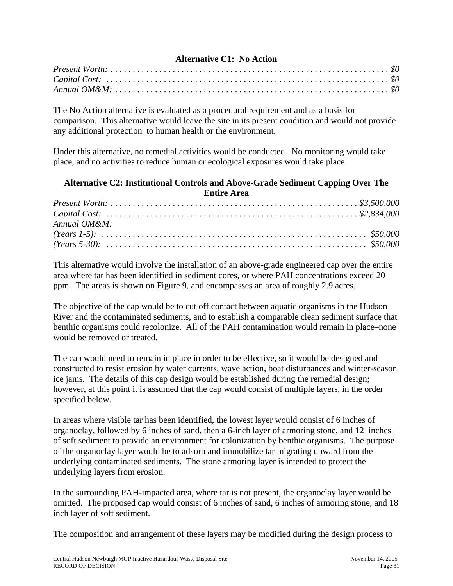## **Alternative C1: No Action**

The No Action alternative is evaluated as a procedural requirement and as a basis for comparison. This alternative would leave the site in its present condition and would not provide any additional protection to human health or the environment.

Under this alternative, no remedial activities would be conducted. No monitoring would take place, and no activities to reduce human or ecological exposures would take place.

## **Alternative C2: Institutional Controls and Above-Grade Sediment Capping Over The Entire Area**

| $Annual OMRM$ : |  |
|-----------------|--|
|                 |  |
|                 |  |

This alternative would involve the installation of an above-grade engineered cap over the entire area where tar has been identified in sediment cores, or where PAH concentrations exceed 20 ppm. The areas is shown on Figure 9, and encompasses an area of roughly 2.9 acres.

The objective of the cap would be to cut off contact between aquatic organisms in the Hudson River and the contaminated sediments, and to establish a comparable clean sediment surface that benthic organisms could recolonize. All of the PAH contamination would remain in place–none would be removed or treated.

The cap would need to remain in place in order to be effective, so it would be designed and constructed to resist erosion by water currents, wave action, boat disturbances and winter-season ice jams. The details of this cap design would be established during the remedial design; however, at this point it is assumed that the cap would consist of multiple layers, in the order specified below.

In areas where visible tar has been identified, the lowest layer would consist of 6 inches of organoclay, followed by 6 inches of sand, then a 6-inch layer of armoring stone, and 12 inches of soft sediment to provide an environment for colonization by benthic organisms. The purpose of the organoclay layer would be to adsorb and immobilize tar migrating upward from the underlying contaminated sediments. The stone armoring layer is intended to protect the underlying layers from erosion.

In the surrounding PAH-impacted area, where tar is not present, the organoclay layer would be omitted. The proposed cap would consist of 6 inches of sand, 6 inches of armoring stone, and 18 inch layer of soft sediment.

The composition and arrangement of these layers may be modified during the design process to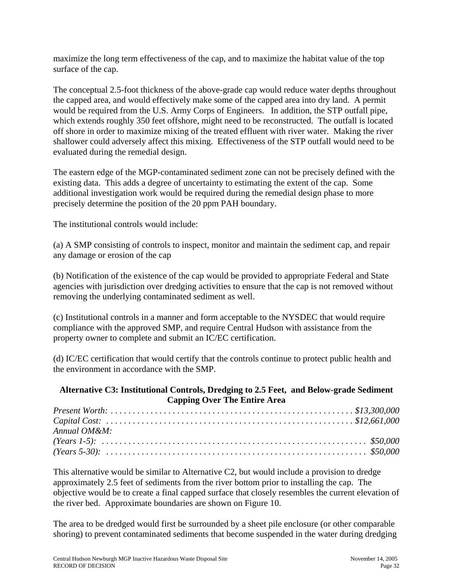maximize the long term effectiveness of the cap, and to maximize the habitat value of the top surface of the cap.

The conceptual 2.5-foot thickness of the above-grade cap would reduce water depths throughout the capped area, and would effectively make some of the capped area into dry land. A permit would be required from the U.S. Army Corps of Engineers. In addition, the STP outfall pipe, which extends roughly 350 feet offshore, might need to be reconstructed. The outfall is located off shore in order to maximize mixing of the treated effluent with river water. Making the river shallower could adversely affect this mixing. Effectiveness of the STP outfall would need to be evaluated during the remedial design.

The eastern edge of the MGP-contaminated sediment zone can not be precisely defined with the existing data. This adds a degree of uncertainty to estimating the extent of the cap. Some additional investigation work would be required during the remedial design phase to more precisely determine the position of the 20 ppm PAH boundary.

The institutional controls would include:

(a) A SMP consisting of controls to inspect, monitor and maintain the sediment cap, and repair any damage or erosion of the cap

(b) Notification of the existence of the cap would be provided to appropriate Federal and State agencies with jurisdiction over dredging activities to ensure that the cap is not removed without removing the underlying contaminated sediment as well.

(c) Institutional controls in a manner and form acceptable to the NYSDEC that would require compliance with the approved SMP, and require Central Hudson with assistance from the property owner to complete and submit an IC/EC certification.

(d) IC/EC certification that would certify that the controls continue to protect public health and the environment in accordance with the SMP.

## **Alternative C3: Institutional Controls, Dredging to 2.5 Feet, and Below-grade Sediment Capping Over The Entire Area**

| Annual OM&M: |  |
|--------------|--|
|              |  |
|              |  |

This alternative would be similar to Alternative C2, but would include a provision to dredge approximately 2.5 feet of sediments from the river bottom prior to installing the cap. The objective would be to create a final capped surface that closely resembles the current elevation of the river bed. Approximate boundaries are shown on Figure 10.

The area to be dredged would first be surrounded by a sheet pile enclosure (or other comparable shoring) to prevent contaminated sediments that become suspended in the water during dredging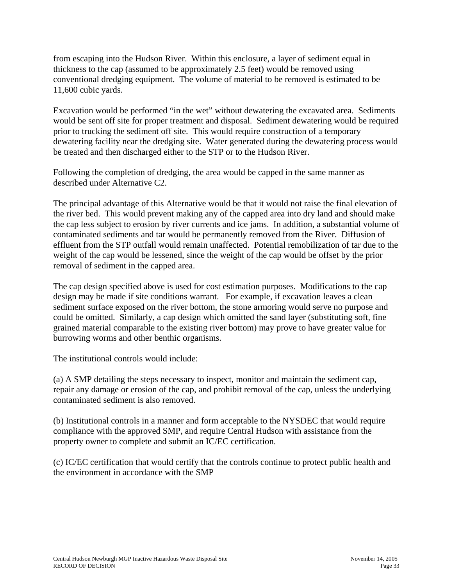from escaping into the Hudson River. Within this enclosure, a layer of sediment equal in thickness to the cap (assumed to be approximately 2.5 feet) would be removed using conventional dredging equipment. The volume of material to be removed is estimated to be 11,600 cubic yards.

Excavation would be performed "in the wet" without dewatering the excavated area. Sediments would be sent off site for proper treatment and disposal. Sediment dewatering would be required prior to trucking the sediment off site. This would require construction of a temporary dewatering facility near the dredging site. Water generated during the dewatering process would be treated and then discharged either to the STP or to the Hudson River.

Following the completion of dredging, the area would be capped in the same manner as described under Alternative C2.

The principal advantage of this Alternative would be that it would not raise the final elevation of the river bed. This would prevent making any of the capped area into dry land and should make the cap less subject to erosion by river currents and ice jams. In addition, a substantial volume of contaminated sediments and tar would be permanently removed from the River. Diffusion of effluent from the STP outfall would remain unaffected. Potential remobilization of tar due to the weight of the cap would be lessened, since the weight of the cap would be offset by the prior removal of sediment in the capped area.

The cap design specified above is used for cost estimation purposes. Modifications to the cap design may be made if site conditions warrant. For example, if excavation leaves a clean sediment surface exposed on the river bottom, the stone armoring would serve no purpose and could be omitted. Similarly, a cap design which omitted the sand layer (substituting soft, fine grained material comparable to the existing river bottom) may prove to have greater value for burrowing worms and other benthic organisms.

The institutional controls would include:

(a) A SMP detailing the steps necessary to inspect, monitor and maintain the sediment cap, repair any damage or erosion of the cap, and prohibit removal of the cap, unless the underlying contaminated sediment is also removed.

(b) Institutional controls in a manner and form acceptable to the NYSDEC that would require compliance with the approved SMP, and require Central Hudson with assistance from the property owner to complete and submit an IC/EC certification.

(c) IC/EC certification that would certify that the controls continue to protect public health and the environment in accordance with the SMP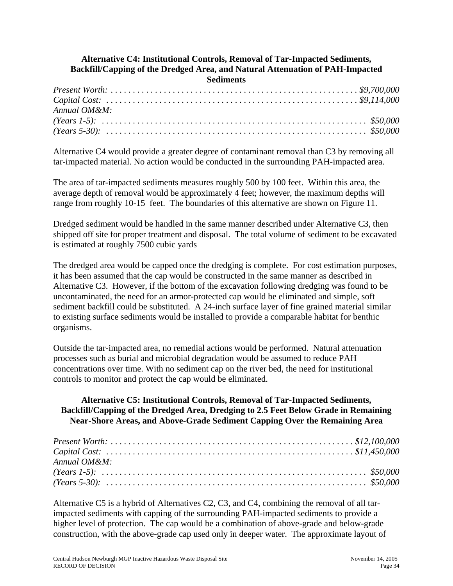### **Alternative C4: Institutional Controls, Removal of Tar-Impacted Sediments, Backfill/Capping of the Dredged Area, and Natural Attenuation of PAH-Impacted Sediments**

| $Annual\ OM\&M$ : |  |
|-------------------|--|
|                   |  |
|                   |  |

Alternative C4 would provide a greater degree of contaminant removal than C3 by removing all tar-impacted material. No action would be conducted in the surrounding PAH-impacted area.

The area of tar-impacted sediments measures roughly 500 by 100 feet. Within this area, the average depth of removal would be approximately 4 feet; however, the maximum depths will range from roughly 10-15 feet. The boundaries of this alternative are shown on Figure 11.

Dredged sediment would be handled in the same manner described under Alternative C3, then shipped off site for proper treatment and disposal. The total volume of sediment to be excavated is estimated at roughly 7500 cubic yards

The dredged area would be capped once the dredging is complete. For cost estimation purposes, it has been assumed that the cap would be constructed in the same manner as described in Alternative C3. However, if the bottom of the excavation following dredging was found to be uncontaminated, the need for an armor-protected cap would be eliminated and simple, soft sediment backfill could be substituted. A 24-inch surface layer of fine grained material similar to existing surface sediments would be installed to provide a comparable habitat for benthic organisms.

Outside the tar-impacted area, no remedial actions would be performed. Natural attenuation processes such as burial and microbial degradation would be assumed to reduce PAH concentrations over time. With no sediment cap on the river bed, the need for institutional controls to monitor and protect the cap would be eliminated.

## **Alternative C5: Institutional Controls, Removal of Tar-Impacted Sediments, Backfill/Capping of the Dredged Area, Dredging to 2.5 Feet Below Grade in Remaining Near-Shore Areas, and Above-Grade Sediment Capping Over the Remaining Area**

| Annual OM&M: |  |
|--------------|--|
|              |  |
|              |  |

Alternative C5 is a hybrid of Alternatives C2, C3, and C4, combining the removal of all tarimpacted sediments with capping of the surrounding PAH-impacted sediments to provide a higher level of protection. The cap would be a combination of above-grade and below-grade construction, with the above-grade cap used only in deeper water. The approximate layout of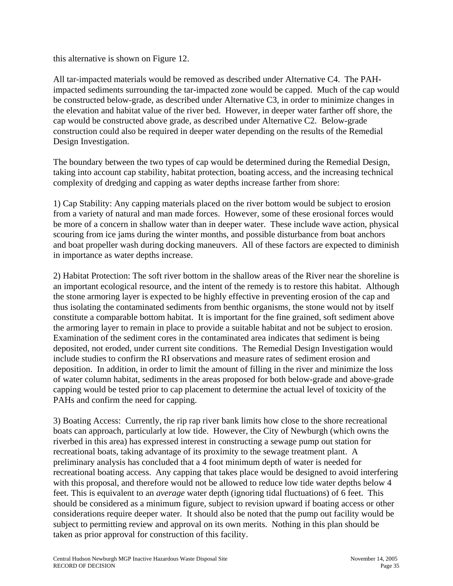this alternative is shown on Figure 12.

All tar-impacted materials would be removed as described under Alternative C4. The PAHimpacted sediments surrounding the tar-impacted zone would be capped. Much of the cap would be constructed below-grade, as described under Alternative C3, in order to minimize changes in the elevation and habitat value of the river bed. However, in deeper water farther off shore, the cap would be constructed above grade, as described under Alternative C2. Below-grade construction could also be required in deeper water depending on the results of the Remedial Design Investigation.

The boundary between the two types of cap would be determined during the Remedial Design, taking into account cap stability, habitat protection, boating access, and the increasing technical complexity of dredging and capping as water depths increase farther from shore:

1) Cap Stability: Any capping materials placed on the river bottom would be subject to erosion from a variety of natural and man made forces. However, some of these erosional forces would be more of a concern in shallow water than in deeper water. These include wave action, physical scouring from ice jams during the winter months, and possible disturbance from boat anchors and boat propeller wash during docking maneuvers. All of these factors are expected to diminish in importance as water depths increase.

2) Habitat Protection: The soft river bottom in the shallow areas of the River near the shoreline is an important ecological resource, and the intent of the remedy is to restore this habitat. Although the stone armoring layer is expected to be highly effective in preventing erosion of the cap and thus isolating the contaminated sediments from benthic organisms, the stone would not by itself constitute a comparable bottom habitat. It is important for the fine grained, soft sediment above the armoring layer to remain in place to provide a suitable habitat and not be subject to erosion. Examination of the sediment cores in the contaminated area indicates that sediment is being deposited, not eroded, under current site conditions. The Remedial Design Investigation would include studies to confirm the RI observations and measure rates of sediment erosion and deposition. In addition, in order to limit the amount of filling in the river and minimize the loss of water column habitat, sediments in the areas proposed for both below-grade and above-grade capping would be tested prior to cap placement to determine the actual level of toxicity of the PAHs and confirm the need for capping.

3) Boating Access: Currently, the rip rap river bank limits how close to the shore recreational boats can approach, particularly at low tide. However, the City of Newburgh (which owns the riverbed in this area) has expressed interest in constructing a sewage pump out station for recreational boats, taking advantage of its proximity to the sewage treatment plant. A preliminary analysis has concluded that a 4 foot minimum depth of water is needed for recreational boating access. Any capping that takes place would be designed to avoid interfering with this proposal, and therefore would not be allowed to reduce low tide water depths below 4 feet. This is equivalent to an *average* water depth (ignoring tidal fluctuations) of 6 feet. This should be considered as a minimum figure, subject to revision upward if boating access or other considerations require deeper water. It should also be noted that the pump out facility would be subject to permitting review and approval on its own merits. Nothing in this plan should be taken as prior approval for construction of this facility.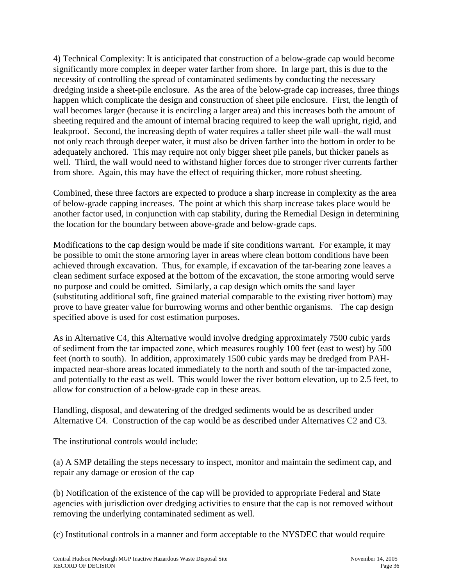4) Technical Complexity: It is anticipated that construction of a below-grade cap would become significantly more complex in deeper water farther from shore. In large part, this is due to the necessity of controlling the spread of contaminated sediments by conducting the necessary dredging inside a sheet-pile enclosure. As the area of the below-grade cap increases, three things happen which complicate the design and construction of sheet pile enclosure. First, the length of wall becomes larger (because it is encircling a larger area) and this increases both the amount of sheeting required and the amount of internal bracing required to keep the wall upright, rigid, and leakproof. Second, the increasing depth of water requires a taller sheet pile wall–the wall must not only reach through deeper water, it must also be driven farther into the bottom in order to be adequately anchored. This may require not only bigger sheet pile panels, but thicker panels as well. Third, the wall would need to withstand higher forces due to stronger river currents farther from shore. Again, this may have the effect of requiring thicker, more robust sheeting.

Combined, these three factors are expected to produce a sharp increase in complexity as the area of below-grade capping increases. The point at which this sharp increase takes place would be another factor used, in conjunction with cap stability, during the Remedial Design in determining the location for the boundary between above-grade and below-grade caps.

Modifications to the cap design would be made if site conditions warrant. For example, it may be possible to omit the stone armoring layer in areas where clean bottom conditions have been achieved through excavation. Thus, for example, if excavation of the tar-bearing zone leaves a clean sediment surface exposed at the bottom of the excavation, the stone armoring would serve no purpose and could be omitted. Similarly, a cap design which omits the sand layer (substituting additional soft, fine grained material comparable to the existing river bottom) may prove to have greater value for burrowing worms and other benthic organisms. The cap design specified above is used for cost estimation purposes.

As in Alternative C4, this Alternative would involve dredging approximately 7500 cubic yards of sediment from the tar impacted zone, which measures roughly 100 feet (east to west) by 500 feet (north to south). In addition, approximately 1500 cubic yards may be dredged from PAHimpacted near-shore areas located immediately to the north and south of the tar-impacted zone, and potentially to the east as well. This would lower the river bottom elevation, up to 2.5 feet, to allow for construction of a below-grade cap in these areas.

Handling, disposal, and dewatering of the dredged sediments would be as described under Alternative C4. Construction of the cap would be as described under Alternatives C2 and C3.

The institutional controls would include:

(a) A SMP detailing the steps necessary to inspect, monitor and maintain the sediment cap, and repair any damage or erosion of the cap

(b) Notification of the existence of the cap will be provided to appropriate Federal and State agencies with jurisdiction over dredging activities to ensure that the cap is not removed without removing the underlying contaminated sediment as well.

(c) Institutional controls in a manner and form acceptable to the NYSDEC that would require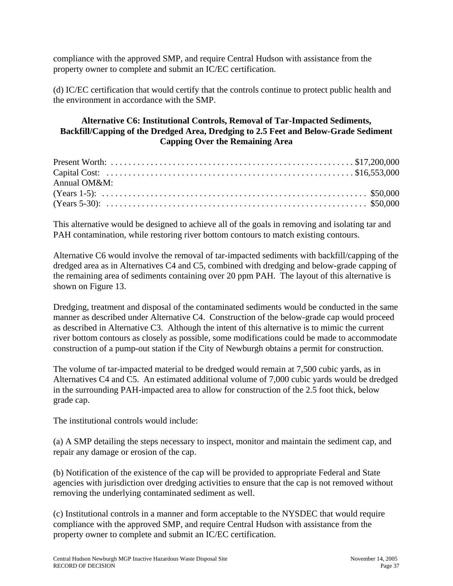compliance with the approved SMP, and require Central Hudson with assistance from the property owner to complete and submit an IC/EC certification.

(d) IC/EC certification that would certify that the controls continue to protect public health and the environment in accordance with the SMP.

## **Alternative C6: Institutional Controls, Removal of Tar-Impacted Sediments, Backfill/Capping of the Dredged Area, Dredging to 2.5 Feet and Below-Grade Sediment Capping Over the Remaining Area**

| Annual OM&M: |  |
|--------------|--|
|              |  |
|              |  |

This alternative would be designed to achieve all of the goals in removing and isolating tar and PAH contamination, while restoring river bottom contours to match existing contours.

Alternative C6 would involve the removal of tar-impacted sediments with backfill/capping of the dredged area as in Alternatives C4 and C5, combined with dredging and below-grade capping of the remaining area of sediments containing over 20 ppm PAH. The layout of this alternative is shown on Figure 13.

Dredging, treatment and disposal of the contaminated sediments would be conducted in the same manner as described under Alternative C4. Construction of the below-grade cap would proceed as described in Alternative C3. Although the intent of this alternative is to mimic the current river bottom contours as closely as possible, some modifications could be made to accommodate construction of a pump-out station if the City of Newburgh obtains a permit for construction.

The volume of tar-impacted material to be dredged would remain at 7,500 cubic yards, as in Alternatives C4 and C5. An estimated additional volume of 7,000 cubic yards would be dredged in the surrounding PAH-impacted area to allow for construction of the 2.5 foot thick, below grade cap.

The institutional controls would include:

(a) A SMP detailing the steps necessary to inspect, monitor and maintain the sediment cap, and repair any damage or erosion of the cap.

(b) Notification of the existence of the cap will be provided to appropriate Federal and State agencies with jurisdiction over dredging activities to ensure that the cap is not removed without removing the underlying contaminated sediment as well.

(c) Institutional controls in a manner and form acceptable to the NYSDEC that would require compliance with the approved SMP, and require Central Hudson with assistance from the property owner to complete and submit an IC/EC certification.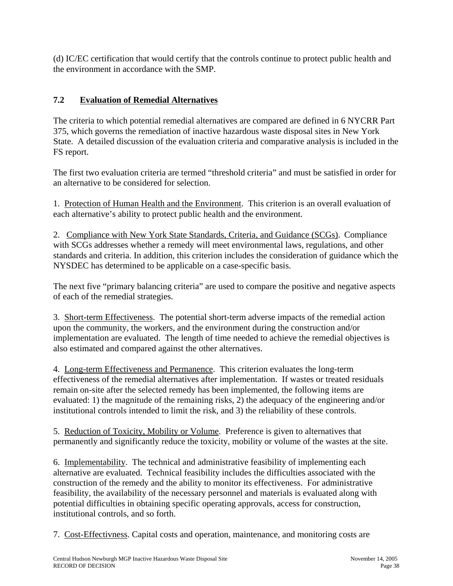(d) IC/EC certification that would certify that the controls continue to protect public health and the environment in accordance with the SMP.

# **7.2 Evaluation of Remedial Alternatives**

The criteria to which potential remedial alternatives are compared are defined in 6 NYCRR Part 375, which governs the remediation of inactive hazardous waste disposal sites in New York State. A detailed discussion of the evaluation criteria and comparative analysis is included in the FS report.

The first two evaluation criteria are termed "threshold criteria" and must be satisfied in order for an alternative to be considered for selection.

1. Protection of Human Health and the Environment. This criterion is an overall evaluation of each alternative's ability to protect public health and the environment.

2. Compliance with New York State Standards, Criteria, and Guidance (SCGs). Compliance with SCGs addresses whether a remedy will meet environmental laws, regulations, and other standards and criteria. In addition, this criterion includes the consideration of guidance which the NYSDEC has determined to be applicable on a case-specific basis.

The next five "primary balancing criteria" are used to compare the positive and negative aspects of each of the remedial strategies.

3. Short-term Effectiveness. The potential short-term adverse impacts of the remedial action upon the community, the workers, and the environment during the construction and/or implementation are evaluated. The length of time needed to achieve the remedial objectives is also estimated and compared against the other alternatives.

4. Long-term Effectiveness and Permanence. This criterion evaluates the long-term effectiveness of the remedial alternatives after implementation. If wastes or treated residuals remain on-site after the selected remedy has been implemented, the following items are evaluated: 1) the magnitude of the remaining risks, 2) the adequacy of the engineering and/or institutional controls intended to limit the risk, and 3) the reliability of these controls.

5. Reduction of Toxicity, Mobility or Volume. Preference is given to alternatives that permanently and significantly reduce the toxicity, mobility or volume of the wastes at the site.

6. Implementability. The technical and administrative feasibility of implementing each alternative are evaluated. Technical feasibility includes the difficulties associated with the construction of the remedy and the ability to monitor its effectiveness. For administrative feasibility, the availability of the necessary personnel and materials is evaluated along with potential difficulties in obtaining specific operating approvals, access for construction, institutional controls, and so forth.

7. Cost-Effectivness. Capital costs and operation, maintenance, and monitoring costs are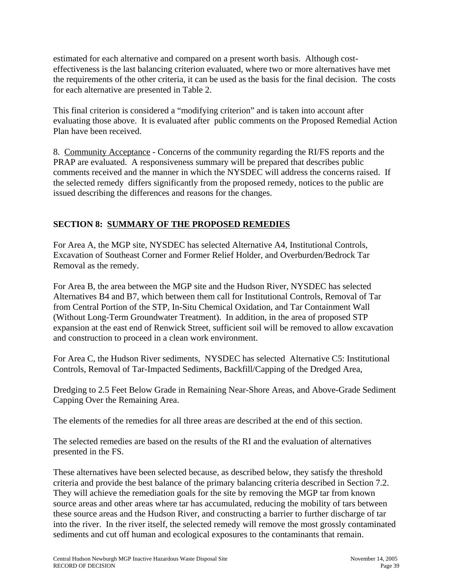estimated for each alternative and compared on a present worth basis. Although costeffectiveness is the last balancing criterion evaluated, where two or more alternatives have met the requirements of the other criteria, it can be used as the basis for the final decision. The costs for each alternative are presented in Table 2.

This final criterion is considered a "modifying criterion" and is taken into account after evaluating those above. It is evaluated after public comments on the Proposed Remedial Action Plan have been received.

8. Community Acceptance - Concerns of the community regarding the RI/FS reports and the PRAP are evaluated. A responsiveness summary will be prepared that describes public comments received and the manner in which the NYSDEC will address the concerns raised. If the selected remedy differs significantly from the proposed remedy, notices to the public are issued describing the differences and reasons for the changes.

# **SECTION 8: SUMMARY OF THE PROPOSED REMEDIES**

For Area A, the MGP site, NYSDEC has selected Alternative A4, Institutional Controls, Excavation of Southeast Corner and Former Relief Holder, and Overburden/Bedrock Tar Removal as the remedy.

For Area B, the area between the MGP site and the Hudson River, NYSDEC has selected Alternatives B4 and B7, which between them call for Institutional Controls, Removal of Tar from Central Portion of the STP, In-Situ Chemical Oxidation, and Tar Containment Wall (Without Long-Term Groundwater Treatment). In addition, in the area of proposed STP expansion at the east end of Renwick Street, sufficient soil will be removed to allow excavation and construction to proceed in a clean work environment.

For Area C, the Hudson River sediments, NYSDEC has selected Alternative C5: Institutional Controls, Removal of Tar-Impacted Sediments, Backfill/Capping of the Dredged Area,

Dredging to 2.5 Feet Below Grade in Remaining Near-Shore Areas, and Above-Grade Sediment Capping Over the Remaining Area.

The elements of the remedies for all three areas are described at the end of this section.

The selected remedies are based on the results of the RI and the evaluation of alternatives presented in the FS.

These alternatives have been selected because, as described below, they satisfy the threshold criteria and provide the best balance of the primary balancing criteria described in Section 7.2. They will achieve the remediation goals for the site by removing the MGP tar from known source areas and other areas where tar has accumulated, reducing the mobility of tars between these source areas and the Hudson River, and constructing a barrier to further discharge of tar into the river. In the river itself, the selected remedy will remove the most grossly contaminated sediments and cut off human and ecological exposures to the contaminants that remain.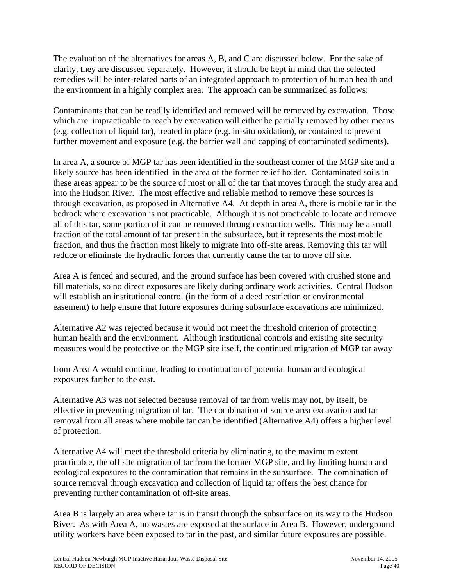The evaluation of the alternatives for areas A, B, and C are discussed below. For the sake of clarity, they are discussed separately. However, it should be kept in mind that the selected remedies will be inter-related parts of an integrated approach to protection of human health and the environment in a highly complex area. The approach can be summarized as follows:

Contaminants that can be readily identified and removed will be removed by excavation. Those which are impracticable to reach by excavation will either be partially removed by other means (e.g. collection of liquid tar), treated in place (e.g. in-situ oxidation), or contained to prevent further movement and exposure (e.g. the barrier wall and capping of contaminated sediments).

In area A, a source of MGP tar has been identified in the southeast corner of the MGP site and a likely source has been identified in the area of the former relief holder. Contaminated soils in these areas appear to be the source of most or all of the tar that moves through the study area and into the Hudson River. The most effective and reliable method to remove these sources is through excavation, as proposed in Alternative A4. At depth in area A, there is mobile tar in the bedrock where excavation is not practicable. Although it is not practicable to locate and remove all of this tar, some portion of it can be removed through extraction wells. This may be a small fraction of the total amount of tar present in the subsurface, but it represents the most mobile fraction, and thus the fraction most likely to migrate into off-site areas. Removing this tar will reduce or eliminate the hydraulic forces that currently cause the tar to move off site.

Area A is fenced and secured, and the ground surface has been covered with crushed stone and fill materials, so no direct exposures are likely during ordinary work activities. Central Hudson will establish an institutional control (in the form of a deed restriction or environmental easement) to help ensure that future exposures during subsurface excavations are minimized.

Alternative A2 was rejected because it would not meet the threshold criterion of protecting human health and the environment. Although institutional controls and existing site security measures would be protective on the MGP site itself, the continued migration of MGP tar away

from Area A would continue, leading to continuation of potential human and ecological exposures farther to the east.

Alternative A3 was not selected because removal of tar from wells may not, by itself, be effective in preventing migration of tar. The combination of source area excavation and tar removal from all areas where mobile tar can be identified (Alternative A4) offers a higher level of protection.

Alternative A4 will meet the threshold criteria by eliminating, to the maximum extent practicable, the off site migration of tar from the former MGP site, and by limiting human and ecological exposures to the contamination that remains in the subsurface. The combination of source removal through excavation and collection of liquid tar offers the best chance for preventing further contamination of off-site areas.

Area B is largely an area where tar is in transit through the subsurface on its way to the Hudson River. As with Area A, no wastes are exposed at the surface in Area B. However, underground utility workers have been exposed to tar in the past, and similar future exposures are possible.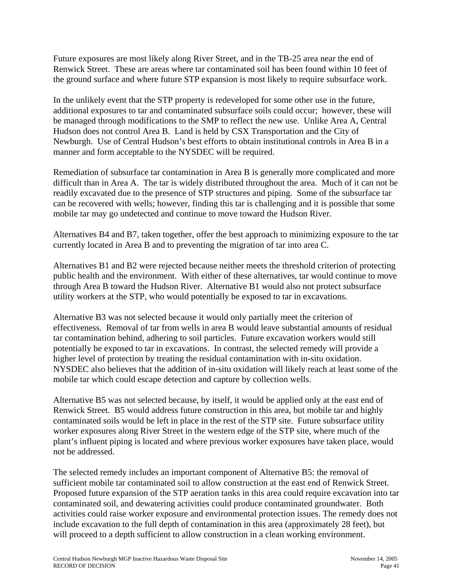Future exposures are most likely along River Street, and in the TB-25 area near the end of Renwick Street. These are areas where tar contaminated soil has been found within 10 feet of the ground surface and where future STP expansion is most likely to require subsurface work.

In the unlikely event that the STP property is redeveloped for some other use in the future, additional exposures to tar and contaminated subsurface soils could occur; however, these will be managed through modifications to the SMP to reflect the new use. Unlike Area A, Central Hudson does not control Area B. Land is held by CSX Transportation and the City of Newburgh. Use of Central Hudson's best efforts to obtain institutional controls in Area B in a manner and form acceptable to the NYSDEC will be required.

Remediation of subsurface tar contamination in Area B is generally more complicated and more difficult than in Area A. The tar is widely distributed throughout the area. Much of it can not be readily excavated due to the presence of STP structures and piping. Some of the subsurface tar can be recovered with wells; however, finding this tar is challenging and it is possible that some mobile tar may go undetected and continue to move toward the Hudson River.

Alternatives B4 and B7, taken together, offer the best approach to minimizing exposure to the tar currently located in Area B and to preventing the migration of tar into area C.

Alternatives B1 and B2 were rejected because neither meets the threshold criterion of protecting public health and the environment. With either of these alternatives, tar would continue to move through Area B toward the Hudson River. Alternative B1 would also not protect subsurface utility workers at the STP, who would potentially be exposed to tar in excavations.

Alternative B3 was not selected because it would only partially meet the criterion of effectiveness. Removal of tar from wells in area B would leave substantial amounts of residual tar contamination behind, adhering to soil particles. Future excavation workers would still potentially be exposed to tar in excavations. In contrast, the selected remedy will provide a higher level of protection by treating the residual contamination with in-situ oxidation. NYSDEC also believes that the addition of in-situ oxidation will likely reach at least some of the mobile tar which could escape detection and capture by collection wells.

Alternative B5 was not selected because, by itself, it would be applied only at the east end of Renwick Street. B5 would address future construction in this area, but mobile tar and highly contaminated soils would be left in place in the rest of the STP site. Future subsurface utility worker exposures along River Street in the western edge of the STP site, where much of the plant's influent piping is located and where previous worker exposures have taken place, would not be addressed.

The selected remedy includes an important component of Alternative B5: the removal of sufficient mobile tar contaminated soil to allow construction at the east end of Renwick Street. Proposed future expansion of the STP aeration tanks in this area could require excavation into tar contaminated soil, and dewatering activities could produce contaminated groundwater. Both activities could raise worker exposure and environmental protection issues. The remedy does not include excavation to the full depth of contamination in this area (approximately 28 feet), but will proceed to a depth sufficient to allow construction in a clean working environment.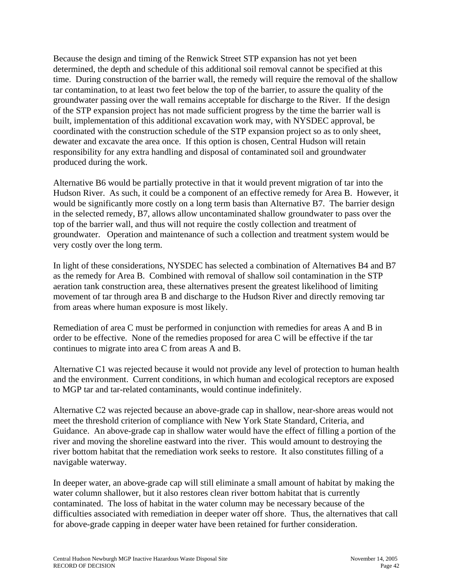Because the design and timing of the Renwick Street STP expansion has not yet been determined, the depth and schedule of this additional soil removal cannot be specified at this time. During construction of the barrier wall, the remedy will require the removal of the shallow tar contamination, to at least two feet below the top of the barrier, to assure the quality of the groundwater passing over the wall remains acceptable for discharge to the River. If the design of the STP expansion project has not made sufficient progress by the time the barrier wall is built, implementation of this additional excavation work may, with NYSDEC approval, be coordinated with the construction schedule of the STP expansion project so as to only sheet, dewater and excavate the area once. If this option is chosen, Central Hudson will retain responsibility for any extra handling and disposal of contaminated soil and groundwater produced during the work.

Alternative B6 would be partially protective in that it would prevent migration of tar into the Hudson River. As such, it could be a component of an effective remedy for Area B. However, it would be significantly more costly on a long term basis than Alternative B7. The barrier design in the selected remedy, B7, allows allow uncontaminated shallow groundwater to pass over the top of the barrier wall, and thus will not require the costly collection and treatment of groundwater. Operation and maintenance of such a collection and treatment system would be very costly over the long term.

In light of these considerations, NYSDEC has selected a combination of Alternatives B4 and B7 as the remedy for Area B. Combined with removal of shallow soil contamination in the STP aeration tank construction area, these alternatives present the greatest likelihood of limiting movement of tar through area B and discharge to the Hudson River and directly removing tar from areas where human exposure is most likely.

Remediation of area C must be performed in conjunction with remedies for areas A and B in order to be effective. None of the remedies proposed for area C will be effective if the tar continues to migrate into area C from areas A and B.

Alternative C1 was rejected because it would not provide any level of protection to human health and the environment. Current conditions, in which human and ecological receptors are exposed to MGP tar and tar-related contaminants, would continue indefinitely.

Alternative C2 was rejected because an above-grade cap in shallow, near-shore areas would not meet the threshold criterion of compliance with New York State Standard, Criteria, and Guidance. An above-grade cap in shallow water would have the effect of filling a portion of the river and moving the shoreline eastward into the river. This would amount to destroying the river bottom habitat that the remediation work seeks to restore. It also constitutes filling of a navigable waterway.

In deeper water, an above-grade cap will still eliminate a small amount of habitat by making the water column shallower, but it also restores clean river bottom habitat that is currently contaminated. The loss of habitat in the water column may be necessary because of the difficulties associated with remediation in deeper water off shore. Thus, the alternatives that call for above-grade capping in deeper water have been retained for further consideration.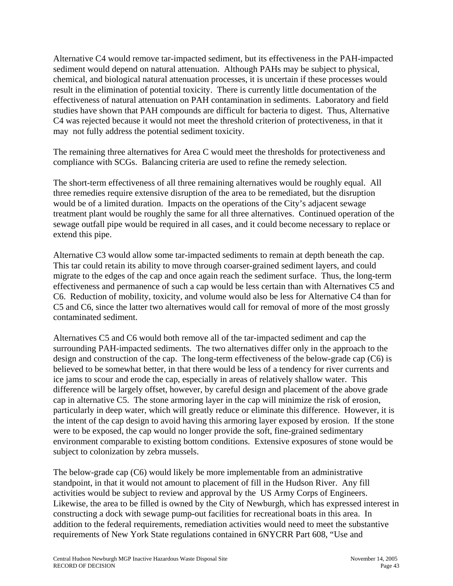Alternative C4 would remove tar-impacted sediment, but its effectiveness in the PAH-impacted sediment would depend on natural attenuation. Although PAHs may be subject to physical, chemical, and biological natural attenuation processes, it is uncertain if these processes would result in the elimination of potential toxicity. There is currently little documentation of the effectiveness of natural attenuation on PAH contamination in sediments. Laboratory and field studies have shown that PAH compounds are difficult for bacteria to digest. Thus, Alternative C4 was rejected because it would not meet the threshold criterion of protectiveness, in that it may not fully address the potential sediment toxicity.

The remaining three alternatives for Area C would meet the thresholds for protectiveness and compliance with SCGs. Balancing criteria are used to refine the remedy selection.

The short-term effectiveness of all three remaining alternatives would be roughly equal. All three remedies require extensive disruption of the area to be remediated, but the disruption would be of a limited duration. Impacts on the operations of the City's adjacent sewage treatment plant would be roughly the same for all three alternatives. Continued operation of the sewage outfall pipe would be required in all cases, and it could become necessary to replace or extend this pipe.

Alternative C3 would allow some tar-impacted sediments to remain at depth beneath the cap. This tar could retain its ability to move through coarser-grained sediment layers, and could migrate to the edges of the cap and once again reach the sediment surface. Thus, the long-term effectiveness and permanence of such a cap would be less certain than with Alternatives C5 and C6. Reduction of mobility, toxicity, and volume would also be less for Alternative C4 than for C5 and C6, since the latter two alternatives would call for removal of more of the most grossly contaminated sediment.

Alternatives C5 and C6 would both remove all of the tar-impacted sediment and cap the surrounding PAH-impacted sediments. The two alternatives differ only in the approach to the design and construction of the cap. The long-term effectiveness of the below-grade cap (C6) is believed to be somewhat better, in that there would be less of a tendency for river currents and ice jams to scour and erode the cap, especially in areas of relatively shallow water. This difference will be largely offset, however, by careful design and placement of the above grade cap in alternative C5. The stone armoring layer in the cap will minimize the risk of erosion, particularly in deep water, which will greatly reduce or eliminate this difference. However, it is the intent of the cap design to avoid having this armoring layer exposed by erosion. If the stone were to be exposed, the cap would no longer provide the soft, fine-grained sedimentary environment comparable to existing bottom conditions. Extensive exposures of stone would be subject to colonization by zebra mussels.

The below-grade cap (C6) would likely be more implementable from an administrative standpoint, in that it would not amount to placement of fill in the Hudson River. Any fill activities would be subject to review and approval by the US Army Corps of Engineers. Likewise, the area to be filled is owned by the City of Newburgh, which has expressed interest in constructing a dock with sewage pump-out facilities for recreational boats in this area. In addition to the federal requirements, remediation activities would need to meet the substantive requirements of New York State regulations contained in 6NYCRR Part 608, "Use and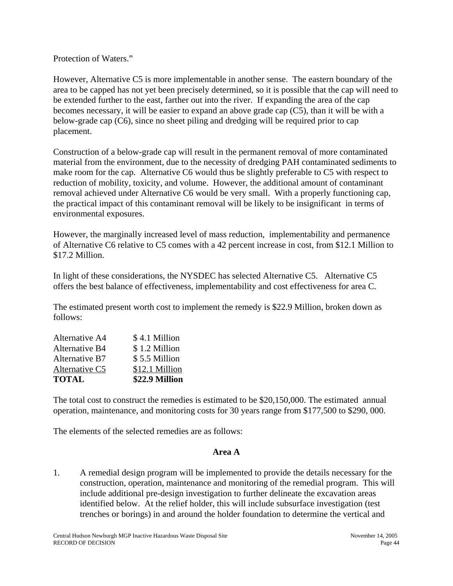Protection of Waters."

However, Alternative C5 is more implementable in another sense. The eastern boundary of the area to be capped has not yet been precisely determined, so it is possible that the cap will need to be extended further to the east, farther out into the river. If expanding the area of the cap becomes necessary, it will be easier to expand an above grade cap (C5), than it will be with a below-grade cap (C6), since no sheet piling and dredging will be required prior to cap placement.

Construction of a below-grade cap will result in the permanent removal of more contaminated material from the environment, due to the necessity of dredging PAH contaminated sediments to make room for the cap. Alternative C6 would thus be slightly preferable to C5 with respect to reduction of mobility, toxicity, and volume. However, the additional amount of contaminant removal achieved under Alternative C6 would be very small. With a properly functioning cap, the practical impact of this contaminant removal will be likely to be insignificant in terms of environmental exposures.

However, the marginally increased level of mass reduction, implementability and permanence of Alternative C6 relative to C5 comes with a 42 percent increase in cost, from \$12.1 Million to \$17.2 Million.

In light of these considerations, the NYSDEC has selected Alternative C5. Alternative C5 offers the best balance of effectiveness, implementability and cost effectiveness for area C.

The estimated present worth cost to implement the remedy is \$22.9 Million, broken down as follows:

| <b>TOTAL</b>   | \$22.9 Million |
|----------------|----------------|
| Alternative C5 | \$12.1 Million |
| Alternative B7 | \$5.5 Million  |
| Alternative B4 | \$1.2 Million  |
| Alternative A4 | \$4.1 Million  |

The total cost to construct the remedies is estimated to be \$20,150,000. The estimated annual operation, maintenance, and monitoring costs for 30 years range from \$177,500 to \$290, 000.

The elements of the selected remedies are as follows:

## **Area A**

1. A remedial design program will be implemented to provide the details necessary for the construction, operation, maintenance and monitoring of the remedial program. This will include additional pre-design investigation to further delineate the excavation areas identified below. At the relief holder, this will include subsurface investigation (test trenches or borings) in and around the holder foundation to determine the vertical and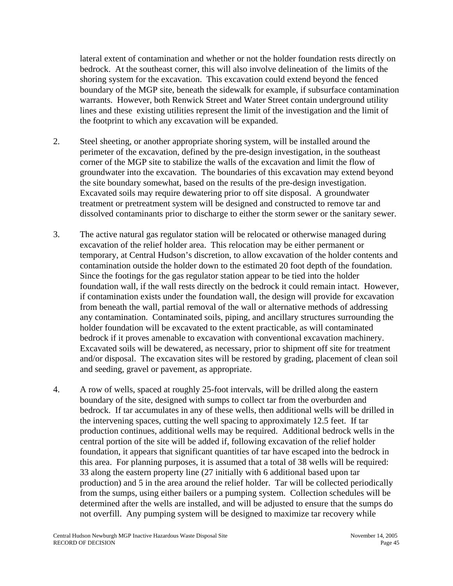lateral extent of contamination and whether or not the holder foundation rests directly on bedrock. At the southeast corner, this will also involve delineation of the limits of the shoring system for the excavation. This excavation could extend beyond the fenced boundary of the MGP site, beneath the sidewalk for example, if subsurface contamination warrants. However, both Renwick Street and Water Street contain underground utility lines and these existing utilities represent the limit of the investigation and the limit of the footprint to which any excavation will be expanded.

- 2. Steel sheeting, or another appropriate shoring system, will be installed around the perimeter of the excavation, defined by the pre-design investigation, in the southeast corner of the MGP site to stabilize the walls of the excavation and limit the flow of groundwater into the excavation. The boundaries of this excavation may extend beyond the site boundary somewhat, based on the results of the pre-design investigation. Excavated soils may require dewatering prior to off site disposal. A groundwater treatment or pretreatment system will be designed and constructed to remove tar and dissolved contaminants prior to discharge to either the storm sewer or the sanitary sewer.
- 3. The active natural gas regulator station will be relocated or otherwise managed during excavation of the relief holder area. This relocation may be either permanent or temporary, at Central Hudson's discretion, to allow excavation of the holder contents and contamination outside the holder down to the estimated 20 foot depth of the foundation. Since the footings for the gas regulator station appear to be tied into the holder foundation wall, if the wall rests directly on the bedrock it could remain intact. However, if contamination exists under the foundation wall, the design will provide for excavation from beneath the wall, partial removal of the wall or alternative methods of addressing any contamination. Contaminated soils, piping, and ancillary structures surrounding the holder foundation will be excavated to the extent practicable, as will contaminated bedrock if it proves amenable to excavation with conventional excavation machinery. Excavated soils will be dewatered, as necessary, prior to shipment off site for treatment and/or disposal. The excavation sites will be restored by grading, placement of clean soil and seeding, gravel or pavement, as appropriate.
- 4. A row of wells, spaced at roughly 25-foot intervals, will be drilled along the eastern boundary of the site, designed with sumps to collect tar from the overburden and bedrock. If tar accumulates in any of these wells, then additional wells will be drilled in the intervening spaces, cutting the well spacing to approximately 12.5 feet. If tar production continues, additional wells may be required. Additional bedrock wells in the central portion of the site will be added if, following excavation of the relief holder foundation, it appears that significant quantities of tar have escaped into the bedrock in this area. For planning purposes, it is assumed that a total of 38 wells will be required: 33 along the eastern property line (27 initially with 6 additional based upon tar production) and 5 in the area around the relief holder. Tar will be collected periodically from the sumps, using either bailers or a pumping system. Collection schedules will be determined after the wells are installed, and will be adjusted to ensure that the sumps do not overfill. Any pumping system will be designed to maximize tar recovery while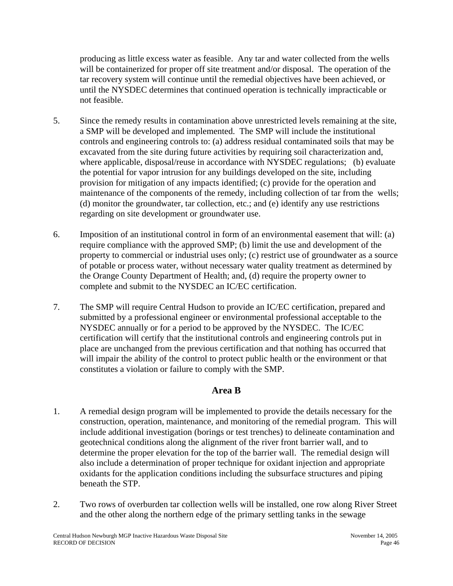producing as little excess water as feasible. Any tar and water collected from the wells will be containerized for proper off site treatment and/or disposal. The operation of the tar recovery system will continue until the remedial objectives have been achieved, or until the NYSDEC determines that continued operation is technically impracticable or not feasible.

- 5. Since the remedy results in contamination above unrestricted levels remaining at the site, a SMP will be developed and implemented. The SMP will include the institutional controls and engineering controls to: (a) address residual contaminated soils that may be excavated from the site during future activities by requiring soil characterization and, where applicable, disposal/reuse in accordance with NYSDEC regulations; (b) evaluate the potential for vapor intrusion for any buildings developed on the site, including provision for mitigation of any impacts identified; (c) provide for the operation and maintenance of the components of the remedy, including collection of tar from the wells; (d) monitor the groundwater, tar collection, etc.; and (e) identify any use restrictions regarding on site development or groundwater use.
- 6. Imposition of an institutional control in form of an environmental easement that will: (a) require compliance with the approved SMP; (b) limit the use and development of the property to commercial or industrial uses only; (c) restrict use of groundwater as a source of potable or process water, without necessary water quality treatment as determined by the Orange County Department of Health; and, (d) require the property owner to complete and submit to the NYSDEC an IC/EC certification.
- 7. The SMP will require Central Hudson to provide an IC/EC certification, prepared and submitted by a professional engineer or environmental professional acceptable to the NYSDEC annually or for a period to be approved by the NYSDEC. The IC/EC certification will certify that the institutional controls and engineering controls put in place are unchanged from the previous certification and that nothing has occurred that will impair the ability of the control to protect public health or the environment or that constitutes a violation or failure to comply with the SMP.

## **Area B**

- 1. A remedial design program will be implemented to provide the details necessary for the construction, operation, maintenance, and monitoring of the remedial program. This will include additional investigation (borings or test trenches) to delineate contamination and geotechnical conditions along the alignment of the river front barrier wall, and to determine the proper elevation for the top of the barrier wall. The remedial design will also include a determination of proper technique for oxidant injection and appropriate oxidants for the application conditions including the subsurface structures and piping beneath the STP.
- 2. Two rows of overburden tar collection wells will be installed, one row along River Street and the other along the northern edge of the primary settling tanks in the sewage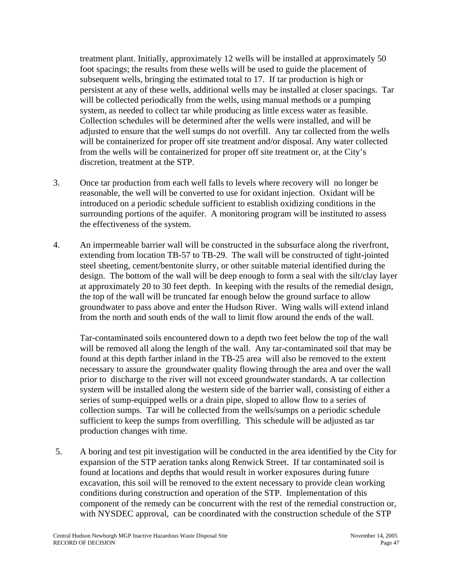treatment plant. Initially, approximately 12 wells will be installed at approximately 50 foot spacings; the results from these wells will be used to guide the placement of subsequent wells, bringing the estimated total to 17. If tar production is high or persistent at any of these wells, additional wells may be installed at closer spacings. Tar will be collected periodically from the wells, using manual methods or a pumping system, as needed to collect tar while producing as little excess water as feasible. Collection schedules will be determined after the wells were installed, and will be adjusted to ensure that the well sumps do not overfill. Any tar collected from the wells will be containerized for proper off site treatment and/or disposal. Any water collected from the wells will be containerized for proper off site treatment or, at the City's discretion, treatment at the STP.

- 3. Once tar production from each well falls to levels where recovery will no longer be reasonable, the well will be converted to use for oxidant injection. Oxidant will be introduced on a periodic schedule sufficient to establish oxidizing conditions in the surrounding portions of the aquifer. A monitoring program will be instituted to assess the effectiveness of the system.
- 4. An impermeable barrier wall will be constructed in the subsurface along the riverfront, extending from location TB-57 to TB-29. The wall will be constructed of tight-jointed steel sheeting, cement/bentonite slurry, or other suitable material identified during the design. The bottom of the wall will be deep enough to form a seal with the silt/clay layer at approximately 20 to 30 feet depth. In keeping with the results of the remedial design, the top of the wall will be truncated far enough below the ground surface to allow groundwater to pass above and enter the Hudson River. Wing walls will extend inland from the north and south ends of the wall to limit flow around the ends of the wall.

Tar-contaminated soils encountered down to a depth two feet below the top of the wall will be removed all along the length of the wall. Any tar-contaminated soil that may be found at this depth farther inland in the TB-25 area will also be removed to the extent necessary to assure the groundwater quality flowing through the area and over the wall prior to discharge to the river will not exceed groundwater standards. A tar collection system will be installed along the western side of the barrier wall, consisting of either a series of sump-equipped wells or a drain pipe, sloped to allow flow to a series of collection sumps. Tar will be collected from the wells/sumps on a periodic schedule sufficient to keep the sumps from overfilling. This schedule will be adjusted as tar production changes with time.

 5. A boring and test pit investigation will be conducted in the area identified by the City for expansion of the STP aeration tanks along Renwick Street. If tar contaminated soil is found at locations and depths that would result in worker exposures during future excavation, this soil will be removed to the extent necessary to provide clean working conditions during construction and operation of the STP. Implementation of this component of the remedy can be concurrent with the rest of the remedial construction or, with NYSDEC approval, can be coordinated with the construction schedule of the STP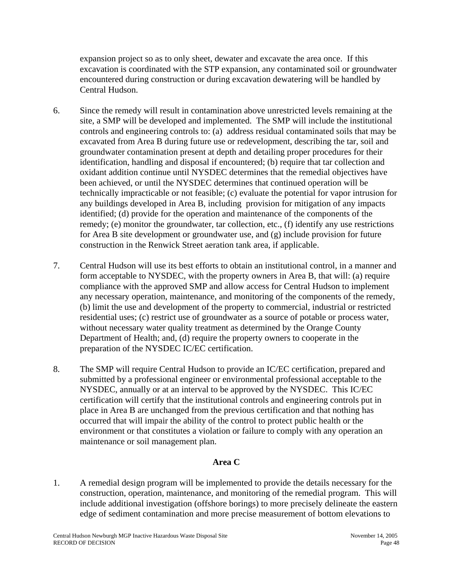expansion project so as to only sheet, dewater and excavate the area once. If this excavation is coordinated with the STP expansion, any contaminated soil or groundwater encountered during construction or during excavation dewatering will be handled by Central Hudson.

- 6. Since the remedy will result in contamination above unrestricted levels remaining at the site, a SMP will be developed and implemented. The SMP will include the institutional controls and engineering controls to: (a) address residual contaminated soils that may be excavated from Area B during future use or redevelopment, describing the tar, soil and groundwater contamination present at depth and detailing proper procedures for their identification, handling and disposal if encountered; (b) require that tar collection and oxidant addition continue until NYSDEC determines that the remedial objectives have been achieved, or until the NYSDEC determines that continued operation will be technically impracticable or not feasible; (c) evaluate the potential for vapor intrusion for any buildings developed in Area B, including provision for mitigation of any impacts identified; (d) provide for the operation and maintenance of the components of the remedy; (e) monitor the groundwater, tar collection, etc., (f) identify any use restrictions for Area B site development or groundwater use, and (g) include provision for future construction in the Renwick Street aeration tank area, if applicable.
- 7. Central Hudson will use its best efforts to obtain an institutional control, in a manner and form acceptable to NYSDEC, with the property owners in Area B, that will: (a) require compliance with the approved SMP and allow access for Central Hudson to implement any necessary operation, maintenance, and monitoring of the components of the remedy, (b) limit the use and development of the property to commercial, industrial or restricted residential uses; (c) restrict use of groundwater as a source of potable or process water, without necessary water quality treatment as determined by the Orange County Department of Health; and, (d) require the property owners to cooperate in the preparation of the NYSDEC IC/EC certification.
- 8. The SMP will require Central Hudson to provide an IC/EC certification, prepared and submitted by a professional engineer or environmental professional acceptable to the NYSDEC, annually or at an interval to be approved by the NYSDEC. This IC/EC certification will certify that the institutional controls and engineering controls put in place in Area B are unchanged from the previous certification and that nothing has occurred that will impair the ability of the control to protect public health or the environment or that constitutes a violation or failure to comply with any operation an maintenance or soil management plan.

## **Area C**

1. A remedial design program will be implemented to provide the details necessary for the construction, operation, maintenance, and monitoring of the remedial program. This will include additional investigation (offshore borings) to more precisely delineate the eastern edge of sediment contamination and more precise measurement of bottom elevations to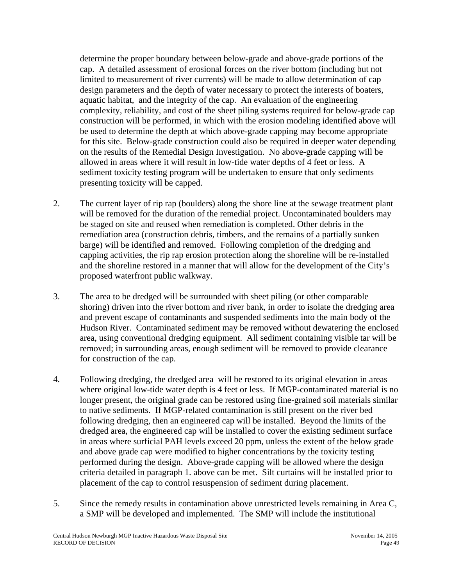determine the proper boundary between below-grade and above-grade portions of the cap. A detailed assessment of erosional forces on the river bottom (including but not limited to measurement of river currents) will be made to allow determination of cap design parameters and the depth of water necessary to protect the interests of boaters, aquatic habitat, and the integrity of the cap. An evaluation of the engineering complexity, reliability, and cost of the sheet piling systems required for below-grade cap construction will be performed, in which with the erosion modeling identified above will be used to determine the depth at which above-grade capping may become appropriate for this site. Below-grade construction could also be required in deeper water depending on the results of the Remedial Design Investigation. No above-grade capping will be allowed in areas where it will result in low-tide water depths of 4 feet or less. A sediment toxicity testing program will be undertaken to ensure that only sediments presenting toxicity will be capped.

- 2. The current layer of rip rap (boulders) along the shore line at the sewage treatment plant will be removed for the duration of the remedial project. Uncontaminated boulders may be staged on site and reused when remediation is completed. Other debris in the remediation area (construction debris, timbers, and the remains of a partially sunken barge) will be identified and removed. Following completion of the dredging and capping activities, the rip rap erosion protection along the shoreline will be re-installed and the shoreline restored in a manner that will allow for the development of the City's proposed waterfront public walkway.
- 3. The area to be dredged will be surrounded with sheet piling (or other comparable shoring) driven into the river bottom and river bank, in order to isolate the dredging area and prevent escape of contaminants and suspended sediments into the main body of the Hudson River. Contaminated sediment may be removed without dewatering the enclosed area, using conventional dredging equipment. All sediment containing visible tar will be removed; in surrounding areas, enough sediment will be removed to provide clearance for construction of the cap.
- 4. Following dredging, the dredged area will be restored to its original elevation in areas where original low-tide water depth is 4 feet or less. If MGP-contaminated material is no longer present, the original grade can be restored using fine-grained soil materials similar to native sediments. If MGP-related contamination is still present on the river bed following dredging, then an engineered cap will be installed. Beyond the limits of the dredged area, the engineered cap will be installed to cover the existing sediment surface in areas where surficial PAH levels exceed 20 ppm, unless the extent of the below grade and above grade cap were modified to higher concentrations by the toxicity testing performed during the design. Above-grade capping will be allowed where the design criteria detailed in paragraph 1. above can be met. Silt curtains will be installed prior to placement of the cap to control resuspension of sediment during placement.
- 5. Since the remedy results in contamination above unrestricted levels remaining in Area C, a SMP will be developed and implemented. The SMP will include the institutional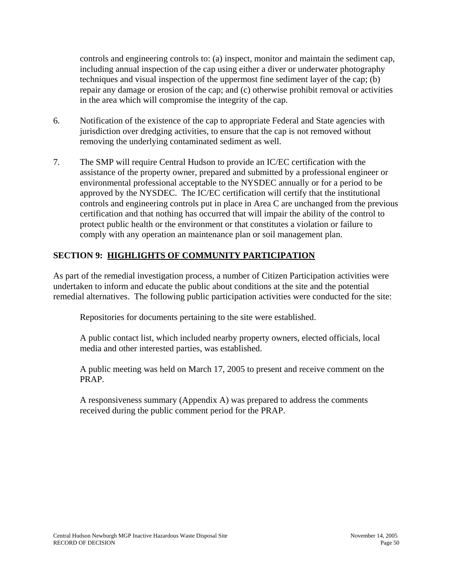controls and engineering controls to: (a) inspect, monitor and maintain the sediment cap, including annual inspection of the cap using either a diver or underwater photography techniques and visual inspection of the uppermost fine sediment layer of the cap; (b) repair any damage or erosion of the cap; and (c) otherwise prohibit removal or activities in the area which will compromise the integrity of the cap.

- 6. Notification of the existence of the cap to appropriate Federal and State agencies with jurisdiction over dredging activities, to ensure that the cap is not removed without removing the underlying contaminated sediment as well.
- 7. The SMP will require Central Hudson to provide an IC/EC certification with the assistance of the property owner, prepared and submitted by a professional engineer or environmental professional acceptable to the NYSDEC annually or for a period to be approved by the NYSDEC. The IC/EC certification will certify that the institutional controls and engineering controls put in place in Area C are unchanged from the previous certification and that nothing has occurred that will impair the ability of the control to protect public health or the environment or that constitutes a violation or failure to comply with any operation an maintenance plan or soil management plan.

## **SECTION 9: HIGHLIGHTS OF COMMUNITY PARTICIPATION**

As part of the remedial investigation process, a number of Citizen Participation activities were undertaken to inform and educate the public about conditions at the site and the potential remedial alternatives. The following public participation activities were conducted for the site:

Repositories for documents pertaining to the site were established.

A public contact list, which included nearby property owners, elected officials, local media and other interested parties, was established.

A public meeting was held on March 17, 2005 to present and receive comment on the PRAP.

A responsiveness summary (Appendix A) was prepared to address the comments received during the public comment period for the PRAP.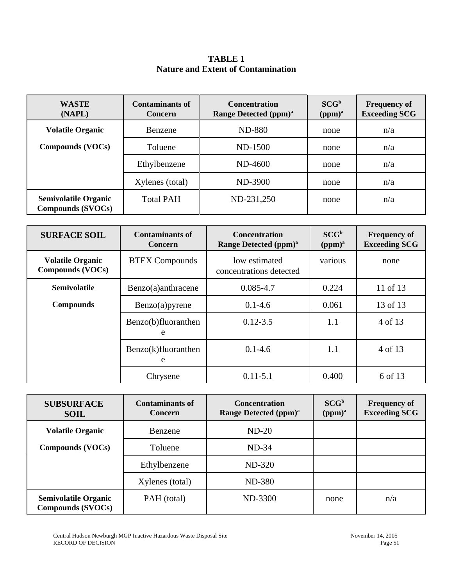**TABLE 1 Nature and Extent of Contamination**

| <b>WASTE</b><br>(NAPL)                                  | <b>Contaminants of</b><br><b>Concern</b> | <b>Concentration</b><br><b>Range Detected (ppm)</b> <sup>a</sup> | $SCG^b$<br>(ppm) <sup>a</sup> | <b>Frequency of</b><br><b>Exceeding SCG</b> |
|---------------------------------------------------------|------------------------------------------|------------------------------------------------------------------|-------------------------------|---------------------------------------------|
| <b>Volatile Organic</b>                                 | Benzene                                  | <b>ND-880</b>                                                    | none                          | n/a                                         |
| <b>Compounds (VOCs)</b>                                 | Toluene                                  | ND-1500                                                          | none                          | n/a                                         |
|                                                         | Ethylbenzene                             | ND-4600                                                          | none                          | n/a                                         |
|                                                         | Xylenes (total)                          | ND-3900                                                          | none                          | n/a                                         |
| <b>Semivolatile Organic</b><br><b>Compounds (SVOCs)</b> | <b>Total PAH</b>                         | ND-231,250                                                       | none                          | n/a                                         |

| <b>SURFACE SOIL</b>                                | <b>Contaminants of</b><br><b>Concern</b> | <b>Concentration</b><br>Range Detected (ppm) <sup>a</sup> | $SCG^b$<br>(ppm) <sup>a</sup> | <b>Frequency of</b><br><b>Exceeding SCG</b> |
|----------------------------------------------------|------------------------------------------|-----------------------------------------------------------|-------------------------------|---------------------------------------------|
| <b>Volatile Organic</b><br><b>Compounds (VOCs)</b> | <b>BTEX Compounds</b>                    | low estimated<br>concentrations detected                  | various                       | none                                        |
| <b>Semivolatile</b>                                | Benzo(a)anthracene                       | $0.085 - 4.7$                                             | 0.224                         | 11 of 13                                    |
| <b>Compounds</b>                                   | Benzo(a)pyrene                           | $0.1 - 4.6$                                               | 0.061                         | 13 of 13                                    |
|                                                    | Benzo(b)fluoranthen<br>e                 | $0.12 - 3.5$                                              | 1.1                           | 4 of 13                                     |
|                                                    | Benzo(k)fluoranthen<br>e                 | $0.1 - 4.6$                                               | 1.1                           | 4 of 13                                     |
|                                                    | Chrysene                                 | $0.11 - 5.1$                                              | 0.400                         | 6 of 13                                     |

| <b>SUBSURFACE</b><br><b>SOIL</b>                        | <b>Contaminants of</b><br>Concern | <b>Concentration</b><br>Range Detected (ppm) <sup>a</sup> | $SCG^b$<br>(ppm) <sup>a</sup> | <b>Frequency of</b><br><b>Exceeding SCG</b> |
|---------------------------------------------------------|-----------------------------------|-----------------------------------------------------------|-------------------------------|---------------------------------------------|
| <b>Volatile Organic</b>                                 | Benzene                           | $ND-20$                                                   |                               |                                             |
| Compounds (VOCs)                                        | Toluene                           | $ND-34$                                                   |                               |                                             |
|                                                         | Ethylbenzene                      | ND-320                                                    |                               |                                             |
|                                                         | Xylenes (total)                   | <b>ND-380</b>                                             |                               |                                             |
| <b>Semivolatile Organic</b><br><b>Compounds (SVOCs)</b> | PAH (total)                       | ND-3300                                                   | none                          | n/a                                         |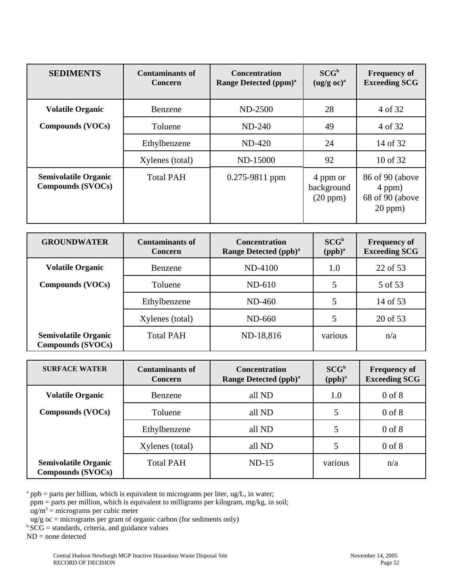| <b>SEDIMENTS</b>                                 | <b>Contaminants of</b><br><b>Concern</b> | <b>Concentration</b><br>Range Detected (ppm) <sup>a</sup> | $SCG^b$<br>$(ug/g \text{ oc})^a$   | <b>Frequency of</b><br><b>Exceeding SCG</b>                  |
|--------------------------------------------------|------------------------------------------|-----------------------------------------------------------|------------------------------------|--------------------------------------------------------------|
| <b>Volatile Organic</b>                          | Benzene                                  | ND-2500                                                   | 28                                 | 4 of 32                                                      |
| Compounds (VOCs)                                 | Toluene                                  | $ND-240$                                                  | 49                                 | 4 of 32                                                      |
|                                                  | Ethylbenzene                             | $ND-420$                                                  | 24                                 | 14 of 32                                                     |
|                                                  | Xylenes (total)                          | ND-15000                                                  | 92                                 | 10 of 32                                                     |
| <b>Semivolatile Organic</b><br>Compounds (SVOCs) | <b>Total PAH</b>                         | 0.275-9811 ppm                                            | 4 ppm or<br>background<br>(20 ppm) | 86 of 90 (above<br>4 ppm)<br>68 of 90 (above<br>$20$ ppm $)$ |

| <b>GROUNDWATER</b>                                      | <b>Contaminants of</b><br><b>Concern</b> | <b>Concentration</b><br>Range Detected (ppb) <sup>a</sup> | $SCG^b$<br>$(ppb)^a$ | <b>Frequency of</b><br><b>Exceeding SCG</b> |
|---------------------------------------------------------|------------------------------------------|-----------------------------------------------------------|----------------------|---------------------------------------------|
| <b>Volatile Organic</b>                                 | Benzene                                  | ND-4100                                                   | 1.0                  | 22 of 53                                    |
| <b>Compounds (VOCs)</b>                                 | Toluene                                  | $ND-610$                                                  |                      | 5 of 53                                     |
|                                                         | Ethylbenzene                             | ND-460                                                    | 5                    | 14 of 53                                    |
|                                                         | Xylenes (total)                          | ND-660                                                    |                      | 20 of 53                                    |
| <b>Semivolatile Organic</b><br><b>Compounds (SVOCs)</b> | <b>Total PAH</b>                         | ND-18,816                                                 | various              | n/a                                         |

| <b>SURFACE WATER</b>                                    | <b>Contaminants of</b><br><b>Concern</b> | <b>Concentration</b><br>Range Detected (ppb) <sup>a</sup> | SCG <sup>b</sup><br>$(ppb)^a$ | <b>Frequency of</b><br><b>Exceeding SCG</b> |
|---------------------------------------------------------|------------------------------------------|-----------------------------------------------------------|-------------------------------|---------------------------------------------|
| <b>Volatile Organic</b>                                 | Benzene                                  | all ND                                                    | 1.0                           | $0$ of $8$                                  |
| <b>Compounds (VOCs)</b>                                 | Toluene                                  | all ND                                                    | 5                             | $0$ of $8$                                  |
|                                                         | Ethylbenzene                             | all ND                                                    | 5                             | $0$ of $8$                                  |
|                                                         | Xylenes (total)                          | all ND                                                    | 5                             | $0$ of $8$                                  |
| <b>Semivolatile Organic</b><br><b>Compounds (SVOCs)</b> | <b>Total PAH</b>                         | $ND-15$                                                   | various                       | n/a                                         |

 $a$  ppb = parts per billion, which is equivalent to micrograms per liter, ug/L, in water;

ppm = parts per million, which is equivalent to milligrams per kilogram, mg/kg, in soil;

 $ug/m<sup>3</sup>$  = micrograms per cubic meter

- $\frac{1}{2}$  ug/g oc = micrograms per gram of organic carbon (for sediments only)
- ${}^{b}SCG =$  standards, criteria, and guidance values

 $ND = none detected$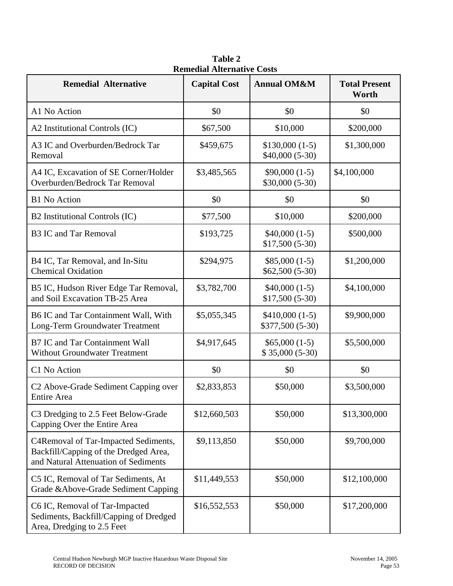|                                                                                                                       | Remedial Alternative Costs |                                     |                               |
|-----------------------------------------------------------------------------------------------------------------------|----------------------------|-------------------------------------|-------------------------------|
| <b>Remedial Alternative</b>                                                                                           | <b>Capital Cost</b>        | <b>Annual OM&amp;M</b>              | <b>Total Present</b><br>Worth |
| A1 No Action                                                                                                          | \$0                        | \$0                                 | \$0                           |
| A2 Institutional Controls (IC)                                                                                        | \$67,500                   | \$10,000                            | \$200,000                     |
| A3 IC and Overburden/Bedrock Tar<br>Removal                                                                           | \$459,675                  | $$130,000(1-5)$<br>$$40,000(5-30)$  | \$1,300,000                   |
| A4 IC, Excavation of SE Corner/Holder<br>Overburden/Bedrock Tar Removal                                               | \$3,485,565                | $$90,000(1-5)$<br>$$30,000 (5-30)$  | \$4,100,000                   |
| <b>B1</b> No Action                                                                                                   | \$0                        | \$0                                 | \$0                           |
| B2 Institutional Controls (IC)                                                                                        | \$77,500                   | \$10,000                            | \$200,000                     |
| <b>B3 IC and Tar Removal</b>                                                                                          | \$193,725                  | $$40,000(1-5)$<br>$$17,500(5-30)$   | \$500,000                     |
| B4 IC, Tar Removal, and In-Situ<br><b>Chemical Oxidation</b>                                                          | \$294,975                  | $$85,000(1-5)$<br>$$62,500 (5-30)$  | \$1,200,000                   |
| B5 IC, Hudson River Edge Tar Removal,<br>and Soil Excavation TB-25 Area                                               | \$3,782,700                | $$40,000(1-5)$<br>$$17,500(5-30)$   | \$4,100,000                   |
| B6 IC and Tar Containment Wall, With<br>Long-Term Groundwater Treatment                                               | \$5,055,345                | $$410,000(1-5)$<br>\$377,500 (5-30) | \$9,900,000                   |
| <b>B7 IC and Tar Containment Wall</b><br><b>Without Groundwater Treatment</b>                                         | \$4,917,645                | $$65,000(1-5)$<br>$$35,000(5-30)$   | \$5,500,000                   |
| C1 No Action                                                                                                          | \$0                        | \$0                                 | \$0                           |
| C <sub>2</sub> Above-Grade Sediment Capping over<br>Entire Area                                                       | \$2,833,853                | \$50,000                            | \$3,500,000                   |
| C3 Dredging to 2.5 Feet Below-Grade<br>Capping Over the Entire Area                                                   | \$12,660,503               | \$50,000                            | \$13,300,000                  |
| C4Removal of Tar-Impacted Sediments,<br>Backfill/Capping of the Dredged Area,<br>and Natural Attenuation of Sediments | \$9,113,850                | \$50,000                            | \$9,700,000                   |
| C5 IC, Removal of Tar Sediments, At<br>Grade & Above-Grade Sediment Capping                                           | \$11,449,553               | \$50,000                            | \$12,100,000                  |
| C6 IC, Removal of Tar-Impacted<br>Sediments, Backfill/Capping of Dredged<br>Area, Dredging to 2.5 Feet                | \$16,552,553               | \$50,000                            | \$17,200,000                  |

**Table 2 Remedial Alternative Costs**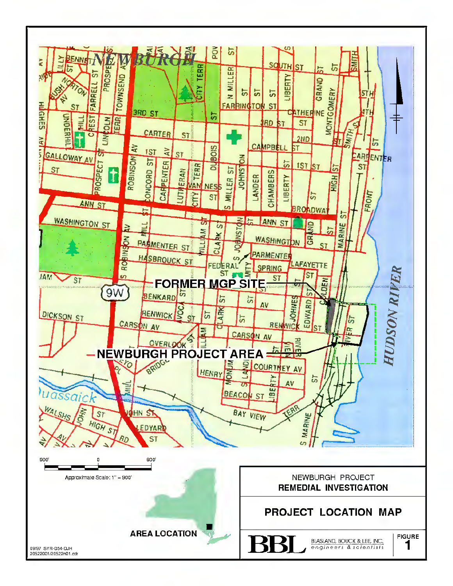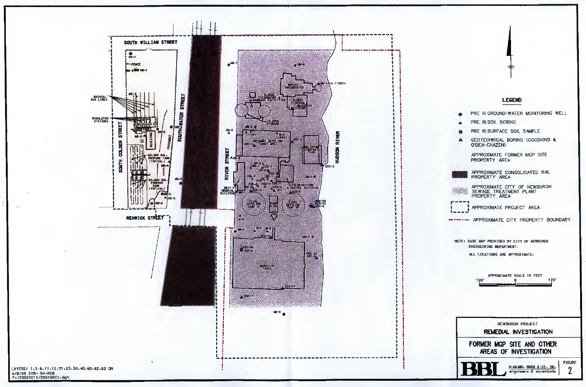

LAYERS: 1.3.6.11.12.21.23.30.40.60.62.63 ON<br>6/8/99 SYR- 54-RCB<br>F:/20522011/20516RI1.dgn



## **LEGEND**

|                | LEGENU                                                                      |
|----------------|-----------------------------------------------------------------------------|
| Ø.             | PRE RIGROUND-WATER MONITORING WELL                                          |
| ┻              | PRE RISOIL BORING                                                           |
| ●              | PRE RISURFACE SOIL SAMPLE                                                   |
| A              | GEOTECHNICAL BORING (GOODKIND &<br>O'DEA-CHAZEN)                            |
|                | APPROXIMATE FORMER MGP SITE<br>PROPERTY AREA                                |
|                | APPROXIMATE CONSOLIDATED RAIL<br>PROPERTY AREA                              |
|                | APPROXIMATE CITY OF NEWBURGH<br>SEWAGE TREATMENT PLANT<br>PROPERTY AREA     |
| - 41<br>ū<br>ı | APPROXIMATE PROJECT AREA                                                    |
|                | APPROXIMATE CITY PROPERTY BOUNDARY                                          |
|                | NOTE: BASE MAP PROVIDED BY CITY OF NEWBURGH<br>ENGINEERING DEPARTMENT.      |
|                | ALL LOCATIONS ARE APPROXIMATE.                                              |
|                | APPROXIMATE SCALE IN FEET<br>120'<br>120                                    |
|                | NEWBURGH PROJECT                                                            |
|                | <b>REMEDIAL INVESTIGATION</b>                                               |
|                | FORMER MGP SITE AND OTHER<br>AREAS OF INVESTIGATION                         |
|                | <b>FIGURE</b><br>BLASLAND, BOUCK & LEE, INC.<br>2<br>engineers & scientists |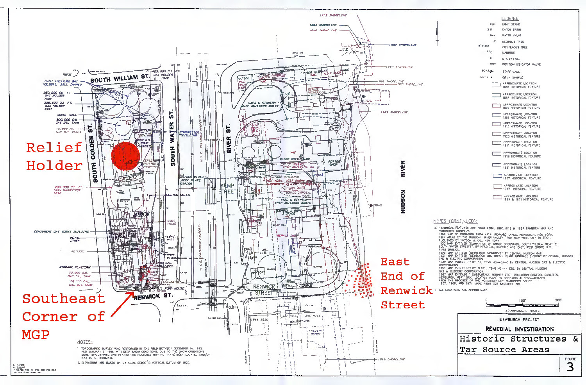

|                                                                   | LEGEND:                                                                                                                            |
|-------------------------------------------------------------------|------------------------------------------------------------------------------------------------------------------------------------|
| 最も<br>OB D                                                        | LIGH <sup>7</sup> STAND<br><b>CATCH BASIN</b>                                                                                      |
| @ WV                                                              | WATER VALVE                                                                                                                        |
| 4°                                                                | DECIDOUS TREE                                                                                                                      |
| <b>B</b> " CEDAR<br><b>NHO</b>                                    | <b>CONIFEROUS TREE</b>                                                                                                             |
| s                                                                 | <b>MANHOLE</b><br><b>UTILITY POLE</b>                                                                                              |
| OPIV                                                              | POSITION INDICATOR VALVE                                                                                                           |
| $5G - 3Q -$                                                       | STAFF GAGE                                                                                                                         |
| DS-01 e                                                           | <b>DRAIN SAMPLE</b>                                                                                                                |
|                                                                   | APPROXIMATE LOCATION<br>1866 HISTORICAL FEATURE                                                                                    |
|                                                                   | APPROXIMATE LOCATION<br>1884 HISTORICAL FEATURE                                                                                    |
|                                                                   | APPROXIMATÉ LOCATION<br>1890 HISTORICAL FEATURE                                                                                    |
|                                                                   | APPROXIMATE LOCATION<br>1891 HISTORICAL FEATURE                                                                                    |
|                                                                   | APPROXIMATE LOCATION<br>1913 HISTORICAL FEATURE                                                                                    |
|                                                                   | APPROXIMATE LOCATION<br>1920 HISTORICAL FEATURE                                                                                    |
|                                                                   | APPROXIMATE LOCATION<br>1931 HISTORICAL FEATURE                                                                                    |
|                                                                   | APPROXIMATÉ LOCATION<br>1939 HISTORICAL FEATURE                                                                                    |
|                                                                   | APPROXIMATE LOCATION<br>1951 HISTORICAL FEATURE                                                                                    |
|                                                                   | <b>APPROXIMATE LOCATION</b><br><b>1957 HISTORICAL FEATURE</b>                                                                      |
|                                                                   | APPROXIMATE LOCATION<br>1967 HISTORICAL FEATURE                                                                                    |
|                                                                   | APPROXIMATE LOCATION<br>1969 & 1971 HISTORICAL FEATURE                                                                             |
|                                                                   |                                                                                                                                    |
| <u>:ONTINUED):</u>                                                |                                                                                                                                    |
| G COMPANY.                                                        | L FEATURES ARE FROM 1884, 1890,1913 & 1857 SANBORN MAP AND                                                                         |
|                                                                   | OF ROBINSON FARM A.K.A. BENKARD LANDS, NEWBURGH, NEW YORK.<br>AS OF THE HUDSON RIVER VALLEY FROM NEW YORK CITY TO TROY,            |
|                                                                   | ENTITLED "SLIMINATION OF GRADE CROSSINGS, SOUTH WILLIAM, KEMP &<br>TER STREETS", BY N.Y.C.R.R., BUFFALO AND EAST, WEST SHORE R.R., |
| ISION.                                                            | ' ENTITLED "NEWBURGH GASWORKS" BY CENTRAL HUDSON GAS<br>' ENTITLED "NEWBURGH GAS WORKS PLANT DRAINAGE SYSTEM" BY CENTRAL HUDSON    |
| ECTRIC CORPORATION.                                               |                                                                                                                                    |
| MON,<br>PUBLIC UTILITY ELBS1, ITEMS 43-44 ETC. BY CENTRAL HUDSON  | PUBLIC UTILITY 51, ITEMS 43-48A-C BY CENTRAL HUDSON GAS & ELECTRIC                                                                 |
| ECTRIC CORPORATION.<br>ENTITLED " SUBSURFACE BORINGS FOR          | POLLUTION CONTROL FACILITIES,                                                                                                      |
| H. NEW YORK. LOCATION PLAN" BY COODKIND & O"DEA-CHAZEN,           |                                                                                                                                    |
| 69, AND 1971 MAPS FROM EDR SANDORN, INC.<br>TIONS ARE APPROXIMATE |                                                                                                                                    |
| ٥                                                                 | 200<br>100'                                                                                                                        |
|                                                                   | APPROXIMATE SCALE                                                                                                                  |
|                                                                   | NEWBURGH PROJECT                                                                                                                   |
|                                                                   | REMEDIAL INVESTIGATION                                                                                                             |
|                                                                   | Historic Structures<br>δε                                                                                                          |
|                                                                   | Tar Source Areas                                                                                                                   |
|                                                                   | <b>FIGURE</b>                                                                                                                      |
|                                                                   |                                                                                                                                    |

 $\sim$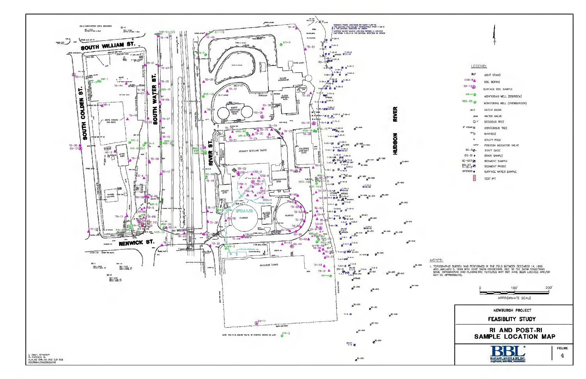

### LEGEND:

| BLP               | <b>LIGHT STAND</b>           |
|-------------------|------------------------------|
| $CSB - B_A$       | SOIL BORING                  |
| <b>55-1320</b>    | SURFACE SOIL SAMPLE          |
| $NW-4$ $\bigcirc$ | MONITORING WELL (BEDROCK)    |
| <b>W98-85</b>     | MONITORING WELL (OVERBURDEN) |
| CB D              | <b>CATCH BASIN</b>           |
| <b>AW</b>         | WATER VALVE                  |
| G €               | <b>DECIDOUS TREE</b>         |
| a" CEDAR 36       | CONIFEROUS TREE              |
| мH <sub>О</sub>   | <b>MANHOLE</b>               |
| ø                 | <b>UTILITY POLE</b>          |
| ብ ምድ              | POSITION INDICATOR VALVE     |
| 50-34.            | STAFF GAGF                   |
| <b>DS-01 e</b>    | DRAIN SAMPLE                 |
| SE-027 DM         | SEDIMENT SAMPLE              |
| $R_{-19-}^{S=07}$ | SEDIMENT PROBE               |
| NPSW05 a          | SURFACE WATER SAMPLE         |
|                   | <b>TEST PIT</b>              |

NOTES:

1. TOPOGRAPHIC SURVEY WAS PERFORMED IN THE FIELD BETWEEN DECEMBER 14, 1995<br>AND JANUARY 5, 1996 WITH DEEP SNOW CONDITIONS, DUE TO THE SNOW CONDITIONS<br>SOME TOPOGRAPHIC AND PLANIMETRIC FEATURES MAY NOT HAVE BEEN LOCATED AND/O

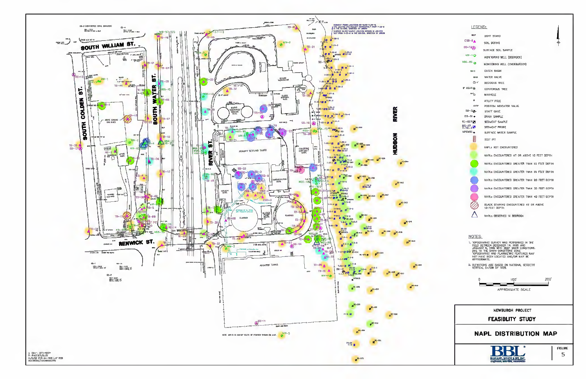

|  | æ.<br>- 11 | EMP<br>ND J |  |
|--|------------|-------------|--|
|  |            |             |  |

| <b>BLP</b>        | LIGHT STAND                                                                                                                                                                                                   |
|-------------------|---------------------------------------------------------------------------------------------------------------------------------------------------------------------------------------------------------------|
| $CSB-8_A$         | SOIL BORING                                                                                                                                                                                                   |
| SS-13(A)          | SURFACE SDIL SAMPLE                                                                                                                                                                                           |
| <b>NW-40</b>      | MONITORING WELL (BEDROCK)                                                                                                                                                                                     |
| <b>W96-BS</b>     | MONITORING WELL (OVERBURDEN)                                                                                                                                                                                  |
| CB <sub>D</sub>   | <b>CATCH BASIN</b>                                                                                                                                                                                            |
| de MAV            | <b>WATER VALVE</b>                                                                                                                                                                                            |
| $Q +$             | DECIDDUS TREE                                                                                                                                                                                                 |
| a' CEDAR 36       | <b>CONIFEROUS TREE</b>                                                                                                                                                                                        |
| $MH_{\odot}$      | MANHQLE                                                                                                                                                                                                       |
| ø                 | UTILITY POLE                                                                                                                                                                                                  |
| <b>Jollah</b>     | POSITION INDICATOR VALVE                                                                                                                                                                                      |
| $SC-3$            | STAFF GAGE                                                                                                                                                                                                    |
| $DS-01$ $\bullet$ | DRAIN SAMPLE                                                                                                                                                                                                  |
| 55-027日           | SEDIMENT SAMPLE                                                                                                                                                                                               |
| RS-07<br>T-19-3   | SEDIMENT PROBE                                                                                                                                                                                                |
| NPSW05            | SURFACE WATER SAMPLE                                                                                                                                                                                          |
|                   | <b>TEST PIT</b>                                                                                                                                                                                               |
|                   | NAPL\$ NOT ENCOUNTERED                                                                                                                                                                                        |
|                   | NAPLs ENCOUNTERED AT OR ABOVE 10 FEET DEPTH                                                                                                                                                                   |
|                   | NAPLS ENCOUNTERED GREATER THAN 10 FEET DEPTH                                                                                                                                                                  |
|                   | NAPLS ENCOUNTERED GREATER THAN 15 FEET DEPTH                                                                                                                                                                  |
|                   | NAPLS ENCOUNTERED GREATER THAN 20 FEET DEPTH                                                                                                                                                                  |
|                   | NAPLS ENCOUNTERED GREATER THAN 30 FEET DEPTH                                                                                                                                                                  |
|                   | NAPLE ENCOUNTERED GREATER THAN 40 FEET DEPTH                                                                                                                                                                  |
|                   | BLACK STAINING ENCOUNTERED AT OR ABOVE<br>10 FEET DEPTH                                                                                                                                                       |
|                   | NAPLS OBSERVED IN BEDROCK                                                                                                                                                                                     |
|                   |                                                                                                                                                                                                               |
| NOTES:            |                                                                                                                                                                                                               |
|                   |                                                                                                                                                                                                               |
|                   | 1. TOPOGRAPHIC SURVEY WAS PERFORMED IN THE<br>FIELD BETWEEN DECEMBER 14, 1995 AND<br>JANUARY 5, 1996 WITH DEEP SNUW CONDITIONS.<br>DUE TO THE SNUW CONDITIONS SOME<br>TOPOGRAPHIC AND PLANMETRIC FEATURES MAY |
|                   |                                                                                                                                                                                                               |
| APPROXIMATE.      | NOT HAVE BEEN LOCATED AND/OR MAY BE                                                                                                                                                                           |

2. ELEVATIONS ARE BASED DN NATIONAL GEODETIC<br>VERTICAL DATUM OF 1929.

 $100$ **200** 

APPROXIMATE SCALE

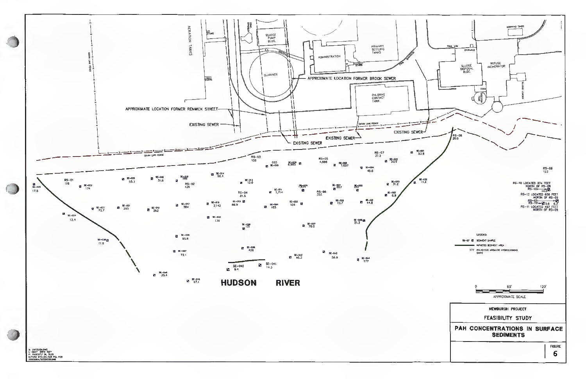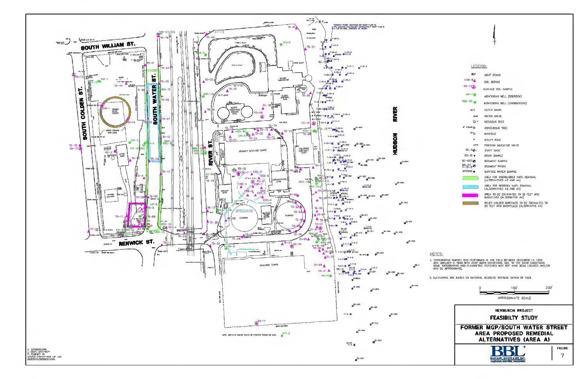



#### NOTES:

- 1. TOPOGRAPHIC SURVEY WAS PERFORMED IN THE FIELD BETWEEN DECEMBER 14, 1995<br>AND JANUARY 5, 1996 WITH DEEP SNOW CONDITIONS, DUE TO THE SNOW CONDITIONS<br>SOME TOPOGRAPHIC AND PLANIMETRIC FEATURES MAY NOT HAVE BEEN LOCATED AND/O MAY BE APPROXIMATE
- 2, ELEVATIONS ARE BASED ON NATIONAL GEODETIC VERTICAL DATUM OF 1929.

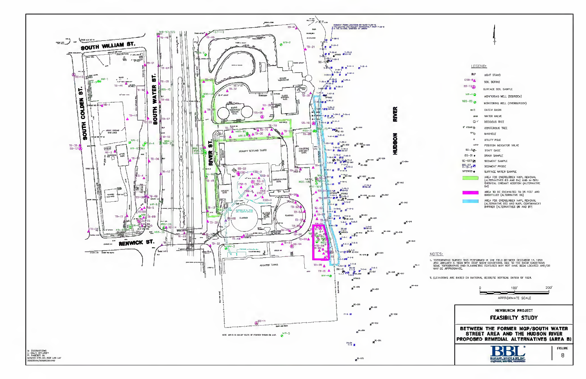

#### LEGEND: **BLP** LIGHT STAND  $CSB-B$ SOIL BORING  $SS-13$ SURFACE SOIL SAMPLE  $NN-4$ MONITORING WELL (BEDROCK)  $W96-85$   $\odot$ MONITORING WELL (OVERBURDEN) **CATCH BASIN** ca $\Box$  $6%$ WATER VALVE  $Q<sub>0</sub>$ **DECIDOUS TREE**  $a^*$  CEDAR  $\frac{1}{26}$ CONIFEROUS TREE ®<sup>⊪</sup> NANHOLE UTILITY POLE -GRIV POSITION INDICATOR VALVE  $SC - 3Q -$ STAFF GAGE  $DS-D1+$ DRAIN SAMPLE  $SE-027$  CM SEDIMENT SAMPLE  $R_{-19-3}^{85-07}$ SEDIMENT PROBE NPSW05 SURFACE WATER SAMPLE AREA FOR OVERBURDEN NAPL REMOVAL<br>(ALTERNATIVES B3 AND B4) AND IN-SITU<br>CHEMICAL OXIDANT ADDITION (ALTERNATIVE  $B4$ AREA TO BE EXCAVATED TO 25 FEET AND<br>BACKFILLED (ALTERNATIVE B5) AREA FOR OVERBURDEN NAPL REMOVAL<br>(ALTERNATIVE BS) AND NAPL CONTAINMENT<br>BARRIER (ALTERNATIVES B6 AND B7)

NOTES:

- 1. TOPOGRAPHIC SURVEY WAS PERFORMED IN THE FIELD BETWEEN DECEMBER 14, 1995<br>AND JANUARY 5, 1996 WITH DEEP SNOW CONDITIONS. DUE TO THE SNOW CONDITIONS<br>SOME TOPOGRAPHIC AND PLANIMETRIC FEATURES MAY NOT HAVE BEEN LOCATED AND/O MAY BE APPROXIMATE
- 2, ELEVATIONS ARE BASED ON NATIONAL GEODETIC VERTICAL DATUM OF 1929.

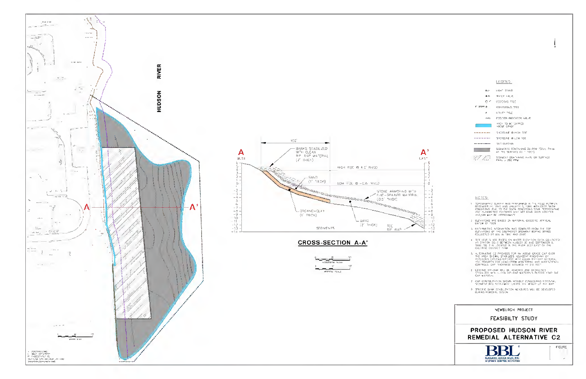



# **CROSS-SECTION A-A'**



### LEGEND

| ା⊅≥⊣ି ଦେଇଯ                                                           |
|----------------------------------------------------------------------|
| ●☆ 字411年 442式                                                        |
| 05030x6 758E                                                         |
| CONFIDES THE                                                         |
| பிரபி - விரி                                                         |
| POS "YON INCOLATER VALUE                                             |
| 4401 TO HE UNPED<br><b>ADAR CRAIN</b>                                |
| <b>GHISO PAT ID HIGH TRE</b>                                         |
| <b>SHORZUNE @ LOW TIDE</b>                                           |
| <b>SLT DURICH</b>                                                    |
| SEIZ WENTS CONTAINING 20 PSM TOTAL PARK<br>A1 THE MUMPACE (C * PODT) |
| STRUINT CONTINUE AND OR SUPACE<br>FAM: > 200 FTM                     |
|                                                                      |

### **NOTES:**

- t (1990)<br>1990: The Teatre All Sealer & 1966 MTH CEEP (2014)<br>1990: The Teatre San Sealer & 1966 MTH CEEP (2014)<br>1990: The Matter Frederic Van Solending Sour (2015)<br>1990: Matter Bispeller All<br>1990: Matter Scheller All
- $\mathbb{Z}$  sificating are based in National Georginis gratical data of 1919
- i majone decimination mai doubled debe de ros.<br>Elempos of the couplast separat sema seus<br>Colledo et el mitet and loc
- 4 TH'S 1868 'S AGE RAGED CALASTRI DISVADOR CATA COLLECTED<br>AT STATON SG-3 DETACEN AJGUST JE ANG SEPTEMBOT 9,<br>1992 SG 30 LONGATIO PLIMA PASH 2.51 LAST CALIN:<br>OALLANG COMTACT TANK
- 1 Etaalis (2 proviss for an aegis grae om prise in 1978)<br>The Area Shows Starders agailent mathemas of<br>Republican Continuum and the class mathemas<br>And Andrits for Ling. The winters and mathemas<br>Controls dat Tolaness assum
- $\pm$  (exiting the-rap and re-rapidly and entrepairs)<br>Stead SC and differ the-rap between SP(4030 (112) the<br>CAP bestach
- $\pm$  can consultant wind to consultant starts.
- $\frac{1}{2}$  steps and startized decay. The version of the steps of the starting decay of

NEWBURGH PROJECT

### FEASIBILTY STUDY



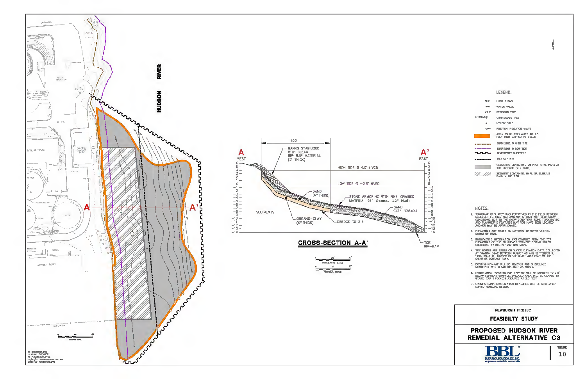



| HORIZONTAL SCALE      |  |
|-----------------------|--|
| $5^{\circ}$           |  |
| <b>VERTICAL SCALE</b> |  |

### LEGEND:

|                    | <b>RIP</b>  | LIGHT STAND                                                         |
|--------------------|-------------|---------------------------------------------------------------------|
|                    | <b>OW</b>   | WATER VALUE                                                         |
|                    | £3.4"       | <b>DECIDOUS TRFE</b>                                                |
| <b>6" CEDAR **</b> |             | <b>CONFEROUS TREE</b>                                               |
|                    | 46          | <b>UTILITY FOLE</b>                                                 |
|                    | <b>OFIV</b> | POSITION INDICATOR VALVE                                            |
|                    |             | AREA TO BE EXCAVATED TO 2.5<br>FEET THEN CAPPED TO CRADE            |
|                    |             | SHORFLINF @ HIGH TIDE                                               |
|                    |             | SHORFLINE @ LOW TIDE                                                |
| 고고고                |             | <b>TEMPORARY SHEETPILE</b>                                          |
|                    |             | <b>SILT CURTAIN</b>                                                 |
|                    |             | SEDIMENTS CONTAINING 20 PPM TOTAL PAHS AT<br>THE SURFACE (0-1 FOOT) |
|                    |             | SEDIMENT CONTAINING NAPI OR SURFACE<br>PAHs > 200 PPM               |

### NOTES:

- ), TOPOGRAPHIC SURVEY WAS PERFORMED IN THE FIELD BETWEEN<br>DECEMBER 14, 1985 AND JANUARY 5, 1996 MITH DEEP SNOW<br>CONDITIONS, DUE TO THE SNOW CONDITIONS SOME TOPOGRAPHIC<br>AND PLANIMETRIC FEATURES MAY NOT HAVE BEEN LOOATED AND/OR MAY BE APPROXIMATE.
- 2. ELEVATIONS ARE BASED ON NATIONAL GEODETIC VERTICAL DATUM OF 1929.
- 3. BATHYMETRIC INFORMATION WAS CONPILED FROM THE TOP<br>ELEVATIONS OF THE SOUTHEAST SEDIMENT BORING SERIES<br>COLLECTED BY BBL IN 1997 AND 2000.
- 4. TIDE LEVELS ARE BASED ON WATER ELEVATION DATA COLLECTED<br>AT STATION SG-2 BETWEEN AUGUST 30 AND SEPTEMBER 9,<br>1998. SG-2 IS LOCATED IN THE RIVER JUST EAST OF THE<br>CHLORINE CONTACT FANK.
- 5. EXISTING RIP-RAP WILL BE REMOVED AND SHORELINES
- 6. ENTRE AREA TARGETED FOR CAPPING WILL BE DREDGED TO 2.5"<br>BELOW SEDIMENT SURFACE, DREDGED AREA WILL BE CAPPED TO<br>GRADE, CAP THICKNESS ASSUMED AT 2.5 FEET.
- 7. SPECIFIC BANK STABILIZATION MEASURES WILL BE DEVELOPED<br>DURING REMEDIAL DESIGN.



 $RIP-RAP$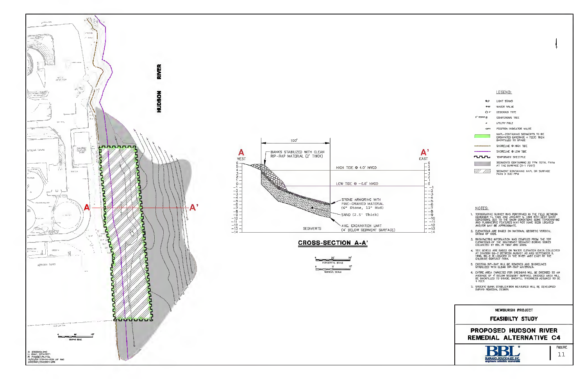



# **CROSS-SECTION A-A'**



#### LEGEND:

| 習期                | LIGHT STAND                                                                               |
|-------------------|-------------------------------------------------------------------------------------------|
| <b>AND</b>        | WATER VALUE                                                                               |
| ค.ศ.              | <b>DECIDOUS TRFE</b>                                                                      |
| <b>6° CEDAR *</b> | <b>CONFEROUS TREE</b>                                                                     |
| a                 | <b>UTILITY FOLE</b>                                                                       |
| <b>OFIV</b>       | POSITION INDICATOR VALVE                                                                  |
|                   | NAPL-CONTAINING SEDIMENTS TO RE<br>EXCAVATED (AVERAGE 4 FEET) THEN<br>BACKFILLED TO GRADE |
| ______            | SHORELINE @ HIGH TIDE                                                                     |
|                   | SHORELINE @ LOW TIDE                                                                      |
| ww                | TEMPORARY SHEETPILE                                                                       |
|                   | SEDIMENTS CONTAINING 20 PPM TOTAL PAHs<br>AT THE SURFACE (0-1 FOOT)                       |
|                   | SEDIMENT CONTAINING NAPL OR SURFACE<br><b>PAHs &gt; 200 PPM</b>                           |

#### NOTES:

- 1, TOPOGRAPHIC SURVEY WAS PERFORMED IN THE FIELD BETWEEN<br>DECEMBER 14, 1995 AND JANUARY 5, 1996 MITH DEEP SNOW<br>CONDITIONS, DUE TO THE SNOW CONDITIONS SOME TOPOGRAPHIC<br>AND PLANMETRIC FEATURES MAY NOT HAVE BEEN LOOATED<br>AND/OR
- 2. ELEVATIONS ARE BASED ON NATIONAL GEODETIC VERTICAL DATUM OF 1929.
- 3. BATHYMETRIC INFORMATION WAS COMPILED FROM THE TOP<br>ELEVATIONS OF THE SOUTHEAST SEDIMENT BORING SERIES<br>COLLECTED BY BBL IN 1997 AND 2000.
- 4. TIDE LEVELS ARE BASED ON WATER ELEVATION DATA COLLECTED<br>AT STATION SG-2 BETWEEN AUGUST 30 AND SEPTEMBER 9,<br>1998. SG-2 IS LOCATED IN THE RIVER JUST EAST OF THE<br>CHLORINE CONTACT FANK.
- 5. EXISTING RIP-RAP WILL BE REMOVED AND SHORELINES
- 6, ENTRE AREA TARGETED FOR DREDGING WILL BE DREDGED TO AN AVERAGE OF 4' BELOW SEDIMENT SURFACE, DREDGED AREA WILL<br>BE BACKFILLED TO GRADE, BACKFILL, THICKNESS ASSUMED TO BE<br>4 FEET.
- 7. SPECIFIC BANK STABILIZATION MEASURES WILL BE DEVELOPED<br>DURING REMEDIAL DESIGN.

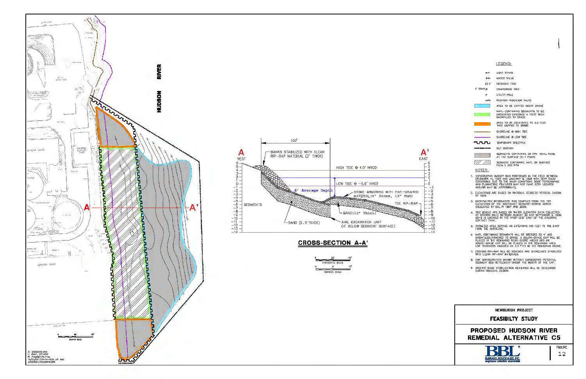



## **CROSS-SECTION A-A'**



### LEGEND:

| BLP                              | LIGHT STAND                                                                                      |
|----------------------------------|--------------------------------------------------------------------------------------------------|
| <b>B</b> WV                      | <b>WATER VALVE</b>                                                                               |
| ก +"                             | DECIDOUS TREE                                                                                    |
| 8" CEDAR 実                       | <b>CONFEROUS TREE</b>                                                                            |
| 昼                                | <b>LITILITY FOLE</b>                                                                             |
| <b>OPIV</b>                      | POSITION INDICATOR VALVE                                                                         |
|                                  | AREA TO BE CAPPED ABOVE GRADE                                                                    |
|                                  | NAPL-CONTAINING SEDIMENTS TO BE<br>EXCAVATED (AVERAGE 4 FEET) THEN<br><b>BACKFILLED TO CRADE</b> |
|                                  | AREA TO BE EXCAVATED TO 2.5 FEET<br>THEN OARRED TO CRABE                                         |
|                                  | SHORELINE & HIGH TIDE                                                                            |
| الله الكلا الكار الكار الكاركية: | SHORELINE @ LOW TIDE                                                                             |
| ռուո                             | <b>TEMPORARY SHEETPILE</b>                                                                       |
| . <i>.</i>                       | <b>SILT CURTAIN</b>                                                                              |
|                                  | SEDIMENTS CONTAINING 20 PPM TOTAL PAHs<br>AT THE SURFACE (0-1 FODT)                              |
|                                  | SEDIMENT CONTAINING NAPL OR SURFACE<br>PAH <sub>8</sub> > 200 PPM                                |

NOTES:

- 1, TOPOGRAPHIC SURVEY WAS PERFORMED IN THE FIELD BETWEEN<br>DECEMBER 14, 1995 AND JANUARY 5, 1996 WITH DEEP SNOW<br>CONDITIONS. DUE TO THE SNOW CONDITIONS SOME TOPOGRAPHIC<br>AND PLANIMETRIC FEATURES MAY NOT HAVE BEEN LOCATED<br>AND/O
- 2. ELEVATIONS ARE BASED ON NATIONAL GEODETIC VERTICAL DATUM OF 1929.
- 3. BATHYMETRIC INFORMATION WAS CONPILED FROM THE TOP<br>ELEVATIONS OF THE SOUTHEAST SEDIMENT BORING SERIES<br>COLLECTED BY BBL IN 1997 AND 2000.
- 4. TIDE LEVELS ARE BASED ON WATER ELEVATION DATA COLLECTED<br>AT STATION SG—2 BETWEEN AUGUST 30 AND SEPTEMBER 9, 1996.<br>SG—2 IS LOCATED IN THE RIVER JUST EAST OF THE CHLORINE<br>CONTACT TANK.
- 5. TARGETED AREA DEFINED AS EXTENDING 100 FEET TO THE EAST<br>FROM THE SHORELINE.
- 6 NAPL CONTAINING SEDIMENTS WILL BE DREDGED TO 4" AND<br>BACKFILLED/ARMORED TO GRADE. A BELOW-GRADE CAP WILL BE<br>PLACED IN THE RENANING NEAR-SHORE AREAS AND AN<br>ABOVE-GRADE CAP WILL BE PLACED IN THE REMAINING AREA.<br>CAP THICKNES
- 7. EXISTING RIP-RAP WILL BE REMOVED AND SHORELINES STABILIZED WITH CLEAN RIP-RAP MATERIALS.
- B. CAP CONFIGURATION SHOWN WITHOUT CONSIDERING POTENTIAL<br>SEDIMENT BED SETTLEMENT UNDER THE WEIGHT OF THE CAP.
- 9 SPECIFIC BANK STABILIZATION NEASURES WILL BE DEVELOPED DURING REMEDIAL DESIGN.

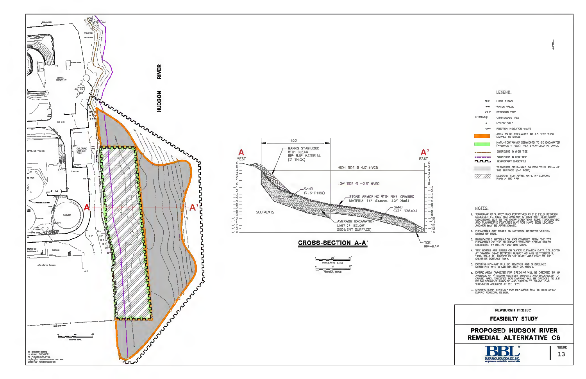





### LEGEND:

|                                      | <b>RIP</b>  | LIGHT STAND                                                                            |
|--------------------------------------|-------------|----------------------------------------------------------------------------------------|
|                                      | <b>OW</b>   | WATER VALUE                                                                            |
|                                      | C1 4"       | DECIDOUS TREE                                                                          |
| $\mathfrak{g}^*$ coar $\mathfrak{g}$ |             | <b>CONFEROUS TREE</b>                                                                  |
|                                      | as.         | <b>UTILITY FOLE</b>                                                                    |
|                                      | <b>OFTY</b> | POSITION INDICATOR VALVE                                                               |
|                                      |             | AREA TO BE EXCAVATED TO 2.5 FEET THEN<br>CAPPED TO CRADE                               |
|                                      |             | NAPL-CONTAINING SEDIMENTS TO RE EXCAVATED<br>(AVERAGE 4 FEET) THEN BACKFILLED TO GRADE |
|                                      |             | SHORELINE @ HIGH TIDE                                                                  |
| ᆩᇚ                                   |             | SHORFLINE @ LOW TIDE<br><b>TEMPORARY SHEETPILE</b>                                     |
|                                      |             | SEDIMENTS CONTAINING 20 PPM TOTAL PAHS AT<br>THE SURFACE (0-1 FOOT)                    |
|                                      |             | SEDIMENT CONTAINING NAPL OR SURFACE<br>PAHs > 200 PPM                                  |

### NOTES:

- ), TOPOGRAPHIC SURVEY WAS PERFORMED IN THE FIELD BETWEEN<br>DECEMBER 14, 1985 AND JANUARY 5, 1996 MITH DEEP SNOW<br>CONDITIONS, DUE TO THE SNOW CONDITIONS SOME TOPOGRAPHIC<br>AND PLANIMETRIC FEATURES MAY NOT HAVE BEEN LOCATED AND/OR MAY BE APPROXIMATE.
- 2. ELEVATIONS ARE BASED ON NATIONAL GEODETIC VERTICAL DATUM OF 1929.
- 3. BATHYMETRIC INFORMATION WAS CONPILED FROM THE TOP<br>ELEVATIONS OF THE SOUTHEAST SEDIMENT BORING SERIES<br>COLLECTED BY BBL IN 1997 AND 2000.
- 4. TIDE LEVELS ARE BASED ON WATER ELEVATION DATA COLLECTED<br>AT STATION SG-2 BETWEEN AUGUST 30 AND SEPTEMBER 9,<br>1998. SG-2 IS LOCATED IN THE RIVER JUST EAST OF THE<br>CHLORINE CONTACT FANK.
- 5. EXISTING RIP-RAP WILL BE REMOVED AND SHORELINES
- 6. ENTRE AREA TARGETED FOR DREDGING WILL BE DREDGED TO AN AVERAGE OF 4' BELOW SEDIMENT SURFACE AND BACKFILLED TO GRADE. AREA TARGETED FOR CAPIBLE AND SALE OF A BELOW SEDIMENT SURFACE AND CAPPED TO CRADE. CAPIBLE THICKNESS
- 7. SPECIFIC BANK STABILIZATION MEASURES WILL BE DEVELOPED DURING REMEDIAL DESIGN.



 $-10$  $-11$  $-12$  $-1\bar{3}$ 

 $RIP-RAP$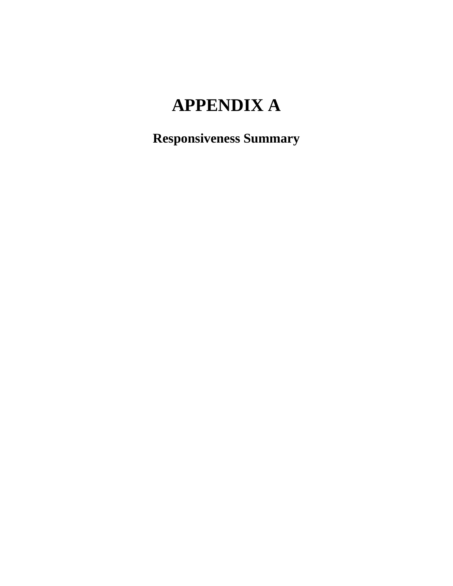# **APPENDIX A**

**Responsiveness Summary**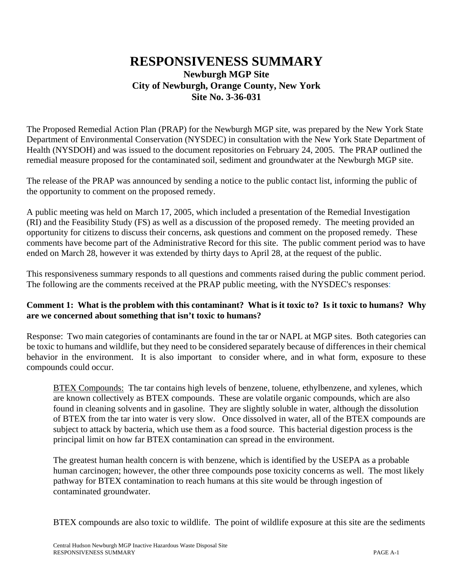## **RESPONSIVENESS SUMMARY Newburgh MGP Site City of Newburgh, Orange County, New York Site No. 3-36-031**

The Proposed Remedial Action Plan (PRAP) for the Newburgh MGP site, was prepared by the New York State Department of Environmental Conservation (NYSDEC) in consultation with the New York State Department of Health (NYSDOH) and was issued to the document repositories on February 24, 2005. The PRAP outlined the remedial measure proposed for the contaminated soil, sediment and groundwater at the Newburgh MGP site.

The release of the PRAP was announced by sending a notice to the public contact list, informing the public of the opportunity to comment on the proposed remedy.

A public meeting was held on March 17, 2005, which included a presentation of the Remedial Investigation (RI) and the Feasibility Study (FS) as well as a discussion of the proposed remedy. The meeting provided an opportunity for citizens to discuss their concerns, ask questions and comment on the proposed remedy. These comments have become part of the Administrative Record for this site. The public comment period was to have ended on March 28, however it was extended by thirty days to April 28, at the request of the public.

This responsiveness summary responds to all questions and comments raised during the public comment period. The following are the comments received at the PRAP public meeting, with the NYSDEC's responses:

#### **Comment 1: What is the problem with this contaminant? What is it toxic to? Is it toxic to humans? Why are we concerned about something that isn't toxic to humans?**

Response: Two main categories of contaminants are found in the tar or NAPL at MGP sites. Both categories can be toxic to humans and wildlife, but they need to be considered separately because of differences in their chemical behavior in the environment. It is also important to consider where, and in what form, exposure to these compounds could occur.

BTEX Compounds: The tar contains high levels of benzene, toluene, ethylbenzene, and xylenes, which are known collectively as BTEX compounds. These are volatile organic compounds, which are also found in cleaning solvents and in gasoline. They are slightly soluble in water, although the dissolution of BTEX from the tar into water is very slow. Once dissolved in water, all of the BTEX compounds are subject to attack by bacteria, which use them as a food source. This bacterial digestion process is the principal limit on how far BTEX contamination can spread in the environment.

The greatest human health concern is with benzene, which is identified by the USEPA as a probable human carcinogen; however, the other three compounds pose toxicity concerns as well. The most likely pathway for BTEX contamination to reach humans at this site would be through ingestion of contaminated groundwater.

BTEX compounds are also toxic to wildlife. The point of wildlife exposure at this site are the sediments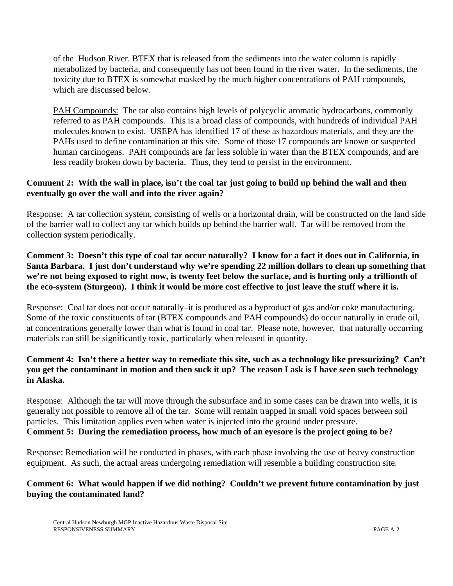of the Hudson River. BTEX that is released from the sediments into the water column is rapidly metabolized by bacteria, and consequently has not been found in the river water. In the sediments, the toxicity due to BTEX is somewhat masked by the much higher concentrations of PAH compounds, which are discussed below.

PAH Compounds: The tar also contains high levels of polycyclic aromatic hydrocarbons, commonly referred to as PAH compounds. This is a broad class of compounds, with hundreds of individual PAH molecules known to exist. USEPA has identified 17 of these as hazardous materials, and they are the PAHs used to define contamination at this site. Some of those 17 compounds are known or suspected human carcinogens. PAH compounds are far less soluble in water than the BTEX compounds, and are less readily broken down by bacteria. Thus, they tend to persist in the environment.

#### **Comment 2: With the wall in place, isn't the coal tar just going to build up behind the wall and then eventually go over the wall and into the river again?**

Response: A tar collection system, consisting of wells or a horizontal drain, will be constructed on the land side of the barrier wall to collect any tar which builds up behind the barrier wall. Tar will be removed from the collection system periodically.

**Comment 3: Doesn't this type of coal tar occur naturally? I know for a fact it does out in California, in Santa Barbara. I just don't understand why we're spending 22 million dollars to clean up something that we're not being exposed to right now, is twenty feet below the surface, and is hurting only a trillionth of the eco-system (Sturgeon). I think it would be more cost effective to just leave the stuff where it is.**

Response: Coal tar does not occur naturally–it is produced as a byproduct of gas and/or coke manufacturing. Some of the toxic constituents of tar (BTEX compounds and PAH compounds) do occur naturally in crude oil, at concentrations generally lower than what is found in coal tar. Please note, however, that naturally occurring materials can still be significantly toxic, particularly when released in quantity.

## **Comment 4: Isn't there a better way to remediate this site, such as a technology like pressurizing? Can't you get the contaminant in motion and then suck it up? The reason I ask is I have seen such technology in Alaska.**

Response: Although the tar will move through the subsurface and in some cases can be drawn into wells, it is generally not possible to remove all of the tar. Some will remain trapped in small void spaces between soil particles. This limitation applies even when water is injected into the ground under pressure. **Comment 5: During the remediation process, how much of an eyesore is the project going to be?**

Response: Remediation will be conducted in phases, with each phase involving the use of heavy construction equipment. As such, the actual areas undergoing remediation will resemble a building construction site.

#### **Comment 6: What would happen if we did nothing? Couldn't we prevent future contamination by just buying the contaminated land?**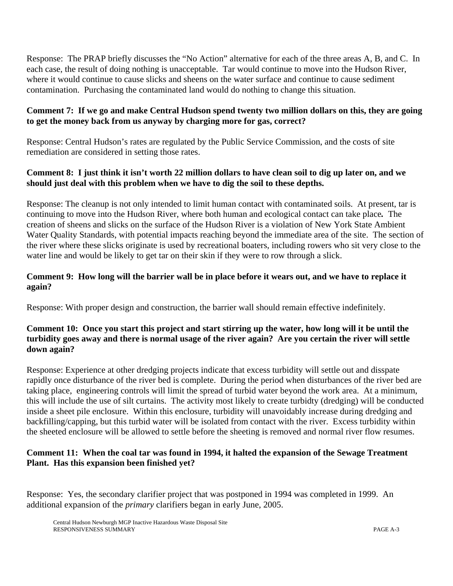Response: The PRAP briefly discusses the "No Action" alternative for each of the three areas A, B, and C. In each case, the result of doing nothing is unacceptable. Tar would continue to move into the Hudson River, where it would continue to cause slicks and sheens on the water surface and continue to cause sediment contamination. Purchasing the contaminated land would do nothing to change this situation.

#### **Comment 7: If we go and make Central Hudson spend twenty two million dollars on this, they are going to get the money back from us anyway by charging more for gas, correct?**

Response: Central Hudson's rates are regulated by the Public Service Commission, and the costs of site remediation are considered in setting those rates.

#### **Comment 8: I just think it isn't worth 22 million dollars to have clean soil to dig up later on, and we should just deal with this problem when we have to dig the soil to these depths.**

Response: The cleanup is not only intended to limit human contact with contaminated soils. At present, tar is continuing to move into the Hudson River, where both human and ecological contact can take place*.* The creation of sheens and slicks on the surface of the Hudson River is a violation of New York State Ambient Water Quality Standards, with potential impacts reaching beyond the immediate area of the site. The section of the river where these slicks originate is used by recreational boaters, including rowers who sit very close to the water line and would be likely to get tar on their skin if they were to row through a slick.

#### **Comment 9: How long will the barrier wall be in place before it wears out, and we have to replace it again?**

Response: With proper design and construction, the barrier wall should remain effective indefinitely.

#### **Comment 10: Once you start this project and start stirring up the water, how long will it be until the turbidity goes away and there is normal usage of the river again? Are you certain the river will settle down again?**

Response: Experience at other dredging projects indicate that excess turbidity will settle out and disspate rapidly once disturbance of the river bed is complete. During the period when disturbances of the river bed are taking place, engineering controls will limit the spread of turbid water beyond the work area. At a minimum, this will include the use of silt curtains. The activity most likely to create turbidty (dredging) will be conducted inside a sheet pile enclosure. Within this enclosure, turbidity will unavoidably increase during dredging and backfilling/capping, but this turbid water will be isolated from contact with the river. Excess turbidity within the sheeted enclosure will be allowed to settle before the sheeting is removed and normal river flow resumes.

#### **Comment 11: When the coal tar was found in 1994, it halted the expansion of the Sewage Treatment Plant. Has this expansion been finished yet?**

Response: Yes, the secondary clarifier project that was postponed in 1994 was completed in 1999. An additional expansion of the *primary* clarifiers began in early June, 2005.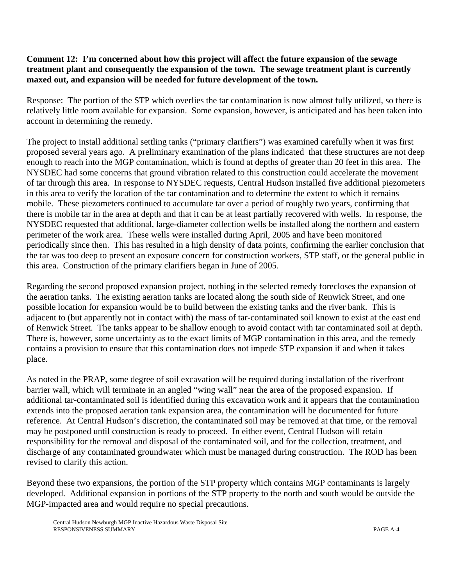#### **Comment 12: I'm concerned about how this project will affect the future expansion of the sewage treatment plant and consequently the expansion of the town. The sewage treatment plant is currently maxed out, and expansion will be needed for future development of the town.**

Response: The portion of the STP which overlies the tar contamination is now almost fully utilized, so there is relatively little room available for expansion. Some expansion, however, is anticipated and has been taken into account in determining the remedy.

The project to install additional settling tanks ("primary clarifiers") was examined carefully when it was first proposed several years ago. A preliminary examination of the plans indicated that these structures are not deep enough to reach into the MGP contamination, which is found at depths of greater than 20 feet in this area. The NYSDEC had some concerns that ground vibration related to this construction could accelerate the movement of tar through this area. In response to NYSDEC requests, Central Hudson installed five additional piezometers in this area to verify the location of the tar contamination and to determine the extent to which it remains mobile. These piezometers continued to accumulate tar over a period of roughly two years, confirming that there is mobile tar in the area at depth and that it can be at least partially recovered with wells. In response, the NYSDEC requested that additional, large-diameter collection wells be installed along the northern and eastern perimeter of the work area. These wells were installed during April, 2005 and have been monitored periodically since then. This has resulted in a high density of data points, confirming the earlier conclusion that the tar was too deep to present an exposure concern for construction workers, STP staff, or the general public in this area. Construction of the primary clarifiers began in June of 2005.

Regarding the second proposed expansion project, nothing in the selected remedy forecloses the expansion of the aeration tanks. The existing aeration tanks are located along the south side of Renwick Street, and one possible location for expansion would be to build between the existing tanks and the river bank. This is adjacent to (but apparently not in contact with) the mass of tar-contaminated soil known to exist at the east end of Renwick Street. The tanks appear to be shallow enough to avoid contact with tar contaminated soil at depth. There is, however, some uncertainty as to the exact limits of MGP contamination in this area, and the remedy contains a provision to ensure that this contamination does not impede STP expansion if and when it takes place.

As noted in the PRAP, some degree of soil excavation will be required during installation of the riverfront barrier wall, which will terminate in an angled "wing wall" near the area of the proposed expansion. If additional tar-contaminated soil is identified during this excavation work and it appears that the contamination extends into the proposed aeration tank expansion area, the contamination will be documented for future reference. At Central Hudson's discretion, the contaminated soil may be removed at that time, or the removal may be postponed until construction is ready to proceed. In either event, Central Hudson will retain responsibility for the removal and disposal of the contaminated soil, and for the collection, treatment, and discharge of any contaminated groundwater which must be managed during construction. The ROD has been revised to clarify this action.

Beyond these two expansions, the portion of the STP property which contains MGP contaminants is largely developed. Additional expansion in portions of the STP property to the north and south would be outside the MGP-impacted area and would require no special precautions.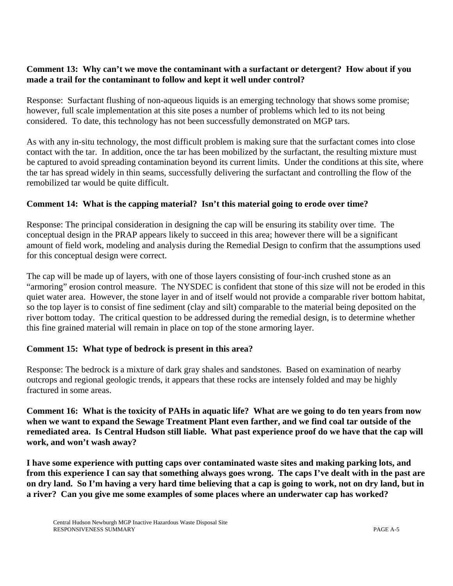#### **Comment 13: Why can't we move the contaminant with a surfactant or detergent? How about if you made a trail for the contaminant to follow and kept it well under control?**

Response: Surfactant flushing of non-aqueous liquids is an emerging technology that shows some promise; however, full scale implementation at this site poses a number of problems which led to its not being considered. To date, this technology has not been successfully demonstrated on MGP tars.

As with any in-situ technology, the most difficult problem is making sure that the surfactant comes into close contact with the tar. In addition, once the tar has been mobilized by the surfactant, the resulting mixture must be captured to avoid spreading contamination beyond its current limits. Under the conditions at this site, where the tar has spread widely in thin seams, successfully delivering the surfactant and controlling the flow of the remobilized tar would be quite difficult.

## **Comment 14: What is the capping material? Isn't this material going to erode over time?**

Response: The principal consideration in designing the cap will be ensuring its stability over time. The conceptual design in the PRAP appears likely to succeed in this area; however there will be a significant amount of field work, modeling and analysis during the Remedial Design to confirm that the assumptions used for this conceptual design were correct.

The cap will be made up of layers, with one of those layers consisting of four-inch crushed stone as an "armoring" erosion control measure. The NYSDEC is confident that stone of this size will not be eroded in this quiet water area. However, the stone layer in and of itself would not provide a comparable river bottom habitat, so the top layer is to consist of fine sediment (clay and silt) comparable to the material being deposited on the river bottom today. The critical question to be addressed during the remedial design, is to determine whether this fine grained material will remain in place on top of the stone armoring layer.

#### **Comment 15: What type of bedrock is present in this area?**

Response: The bedrock is a mixture of dark gray shales and sandstones. Based on examination of nearby outcrops and regional geologic trends, it appears that these rocks are intensely folded and may be highly fractured in some areas.

**Comment 16: What is the toxicity of PAHs in aquatic life? What are we going to do ten years from now when we want to expand the Sewage Treatment Plant even farther, and we find coal tar outside of the remediated area. Is Central Hudson still liable. What past experience proof do we have that the cap will work, and won't wash away?**

**I have some experience with putting caps over contaminated waste sites and making parking lots, and from this experience I can say that something always goes wrong. The caps I've dealt with in the past are on dry land. So I'm having a very hard time believing that a cap is going to work, not on dry land, but in a river? Can you give me some examples of some places where an underwater cap has worked?**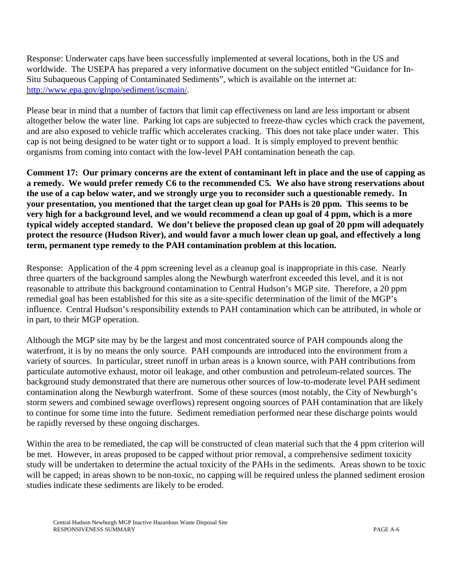Response: Underwater caps have been successfully implemented at several locations, both in the US and worldwide. The USEPA has prepared a very informative document on the subject entitled "Guidance for In-Situ Subaqueous Capping of Contaminated Sediments", which is available on the internet at: http://www.epa.gov/glnpo/sediment/iscmain/.

Please bear in mind that a number of factors that limit cap effectiveness on land are less important or absent altogether below the water line. Parking lot caps are subjected to freeze-thaw cycles which crack the pavement, and are also exposed to vehicle traffic which accelerates cracking. This does not take place under water. This cap is not being designed to be water tight or to support a load. It is simply employed to prevent benthic organisms from coming into contact with the low-level PAH contamination beneath the cap.

**Comment 17: Our primary concerns are the extent of contaminant left in place and the use of capping as a remedy. We would prefer remedy C6 to the recommended C5. We also have strong reservations about the use of a cap below water, and we strongly urge you to reconsider such a questionable remedy. In your presentation, you mentioned that the target clean up goal for PAHs is 20 ppm. This seems to be very high for a background level, and we would recommend a clean up goal of 4 ppm, which is a more typical widely accepted standard. We don't believe the proposed clean up goal of 20 ppm will adequately protect the resource (Hudson River), and would favor a much lower clean up goal, and effectively a long term, permanent type remedy to the PAH contamination problem at this location.** 

Response: Application of the 4 ppm screening level as a cleanup goal is inappropriate in this case. Nearly three quarters of the background samples along the Newburgh waterfront exceeded this level, and it is not reasonable to attribute this background contamination to Central Hudson's MGP site. Therefore, a 20 ppm remedial goal has been established for this site as a site-specific determination of the limit of the MGP's influence. Central Hudson's responsibility extends to PAH contamination which can be attributed, in whole or in part, to their MGP operation.

Although the MGP site may by be the largest and most concentrated source of PAH compounds along the waterfront, it is by no means the only source. PAH compounds are introduced into the environment from a variety of sources. In particular, street runoff in urban areas is a known source, with PAH contributions from particulate automotive exhaust, motor oil leakage, and other combustion and petroleum-related sources. The background study demonstrated that there are numerous other sources of low-to-moderate level PAH sediment contamination along the Newburgh waterfront. Some of these sources (most notably, the City of Newburgh's storm sewers and combined sewage overflows) represent ongoing sources of PAH contamination that are likely to continue for some time into the future. Sediment remediation performed near these discharge points would be rapidly reversed by these ongoing discharges.

Within the area to be remediated, the cap will be constructed of clean material such that the 4 ppm criterion will be met. However, in areas proposed to be capped without prior removal, a comprehensive sediment toxicity study will be undertaken to determine the actual toxicity of the PAHs in the sediments. Areas shown to be toxic will be capped; in areas shown to be non-toxic, no capping will be required unless the planned sediment erosion studies indicate these sediments are likely to be eroded.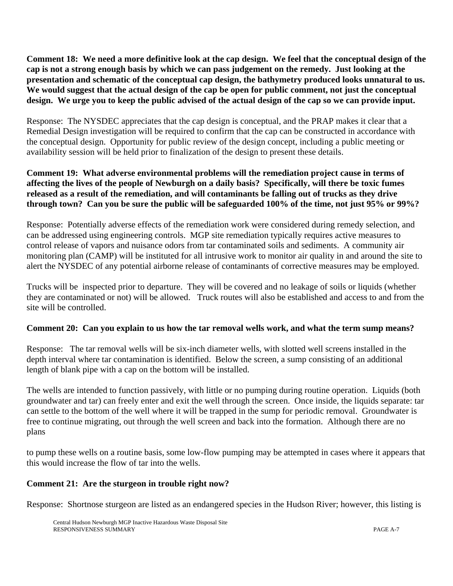**Comment 18: We need a more definitive look at the cap design. We feel that the conceptual design of the cap is not a strong enough basis by which we can pass judgement on the remedy. Just looking at the presentation and schematic of the conceptual cap design, the bathymetry produced looks unnatural to us. We would suggest that the actual design of the cap be open for public comment, not just the conceptual design. We urge you to keep the public advised of the actual design of the cap so we can provide input.** 

Response: The NYSDEC appreciates that the cap design is conceptual, and the PRAP makes it clear that a Remedial Design investigation will be required to confirm that the cap can be constructed in accordance with the conceptual design. Opportunity for public review of the design concept, including a public meeting or availability session will be held prior to finalization of the design to present these details.

#### **Comment 19: What adverse environmental problems will the remediation project cause in terms of affecting the lives of the people of Newburgh on a daily basis? Specifically, will there be toxic fumes released as a result of the remediation, and will contaminants be falling out of trucks as they drive through town? Can you be sure the public will be safeguarded 100% of the time, not just 95% or 99%?**

Response: Potentially adverse effects of the remediation work were considered during remedy selection, and can be addressed using engineering controls. MGP site remediation typically requires active measures to control release of vapors and nuisance odors from tar contaminated soils and sediments. A community air monitoring plan (CAMP) will be instituted for all intrusive work to monitor air quality in and around the site to alert the NYSDEC of any potential airborne release of contaminants of corrective measures may be employed.

Trucks will be inspected prior to departure. They will be covered and no leakage of soils or liquids (whether they are contaminated or not) will be allowed. Truck routes will also be established and access to and from the site will be controlled.

## **Comment 20: Can you explain to us how the tar removal wells work, and what the term sump means?**

Response: The tar removal wells will be six-inch diameter wells, with slotted well screens installed in the depth interval where tar contamination is identified. Below the screen, a sump consisting of an additional length of blank pipe with a cap on the bottom will be installed.

The wells are intended to function passively, with little or no pumping during routine operation. Liquids (both groundwater and tar) can freely enter and exit the well through the screen. Once inside, the liquids separate: tar can settle to the bottom of the well where it will be trapped in the sump for periodic removal. Groundwater is free to continue migrating, out through the well screen and back into the formation. Although there are no plans

to pump these wells on a routine basis, some low-flow pumping may be attempted in cases where it appears that this would increase the flow of tar into the wells.

#### **Comment 21: Are the sturgeon in trouble right now?**

Response: Shortnose sturgeon are listed as an endangered species in the Hudson River; however, this listing is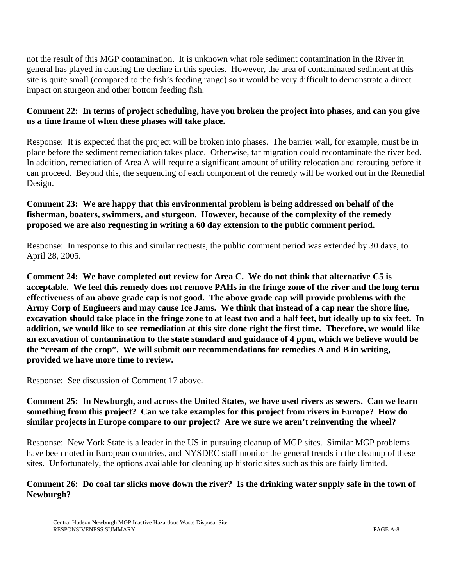not the result of this MGP contamination.It is unknown what role sediment contamination in the River in general has played in causing the decline in this species. However, the area of contaminated sediment at this site is quite small (compared to the fish's feeding range) so it would be very difficult to demonstrate a direct impact on sturgeon and other bottom feeding fish.

#### **Comment 22: In terms of project scheduling, have you broken the project into phases, and can you give us a time frame of when these phases will take place.**

Response: It is expected that the project will be broken into phases. The barrier wall, for example, must be in place before the sediment remediation takes place. Otherwise, tar migration could recontaminate the river bed. In addition, remediation of Area A will require a significant amount of utility relocation and rerouting before it can proceed. Beyond this, the sequencing of each component of the remedy will be worked out in the Remedial Design.

## **Comment 23: We are happy that this environmental problem is being addressed on behalf of the fisherman, boaters, swimmers, and sturgeon. However, because of the complexity of the remedy proposed we are also requesting in writing a 60 day extension to the public comment period.**

Response: In response to this and similar requests, the public comment period was extended by 30 days, to April 28, 2005.

**Comment 24: We have completed out review for Area C. We do not think that alternative C5 is acceptable. We feel this remedy does not remove PAHs in the fringe zone of the river and the long term effectiveness of an above grade cap is not good. The above grade cap will provide problems with the Army Corp of Engineers and may cause Ice Jams. We think that instead of a cap near the shore line, excavation should take place in the fringe zone to at least two and a half feet, but ideally up to six feet. In addition, we would like to see remediation at this site done right the first time. Therefore, we would like an excavation of contamination to the state standard and guidance of 4 ppm, which we believe would be the "cream of the crop". We will submit our recommendations for remedies A and B in writing, provided we have more time to review.** 

Response: See discussion of Comment 17 above.

## **Comment 25: In Newburgh, and across the United States, we have used rivers as sewers. Can we learn something from this project? Can we take examples for this project from rivers in Europe? How do similar projects in Europe compare to our project? Are we sure we aren't reinventing the wheel?**

Response: New York State is a leader in the US in pursuing cleanup of MGP sites. Similar MGP problems have been noted in European countries, and NYSDEC staff monitor the general trends in the cleanup of these sites. Unfortunately, the options available for cleaning up historic sites such as this are fairly limited.

#### **Comment 26: Do coal tar slicks move down the river? Is the drinking water supply safe in the town of Newburgh?**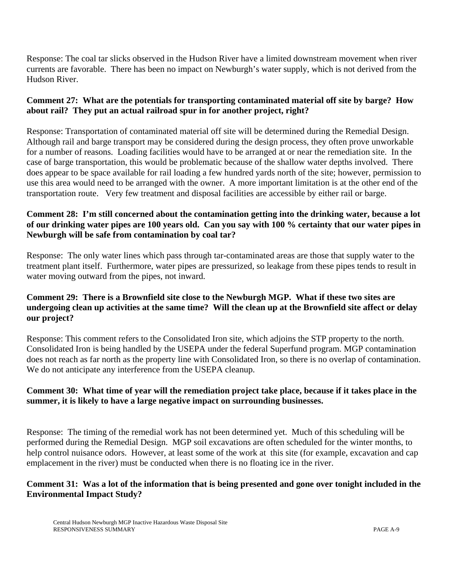Response: The coal tar slicks observed in the Hudson River have a limited downstream movement when river currents are favorable. There has been no impact on Newburgh's water supply, which is not derived from the Hudson River.

## **Comment 27: What are the potentials for transporting contaminated material off site by barge? How about rail? They put an actual railroad spur in for another project, right?**

Response: Transportation of contaminated material off site will be determined during the Remedial Design. Although rail and barge transport may be considered during the design process, they often prove unworkable for a number of reasons. Loading facilities would have to be arranged at or near the remediation site. In the case of barge transportation, this would be problematic because of the shallow water depths involved. There does appear to be space available for rail loading a few hundred yards north of the site; however, permission to use this area would need to be arranged with the owner. A more important limitation is at the other end of the transportation route. Very few treatment and disposal facilities are accessible by either rail or barge.

## **Comment 28: I'm still concerned about the contamination getting into the drinking water, because a lot of our drinking water pipes are 100 years old. Can you say with 100 % certainty that our water pipes in Newburgh will be safe from contamination by coal tar?**

Response:The only water lines which pass through tar-contaminated areas are those that supply water to the treatment plant itself. Furthermore, water pipes are pressurized, so leakage from these pipes tends to result in water moving outward from the pipes, not inward.

#### **Comment 29: There is a Brownfield site close to the Newburgh MGP. What if these two sites are undergoing clean up activities at the same time? Will the clean up at the Brownfield site affect or delay our project?**

Response: This comment refers to the Consolidated Iron site, which adjoins the STP property to the north. Consolidated Iron is being handled by the USEPA under the federal Superfund program. MGP contamination does not reach as far north as the property line with Consolidated Iron, so there is no overlap of contamination. We do not anticipate any interference from the USEPA cleanup.

## **Comment 30: What time of year will the remediation project take place, because if it takes place in the summer, it is likely to have a large negative impact on surrounding businesses.**

Response: The timing of the remedial work has not been determined yet. Much of this scheduling will be performed during the Remedial Design. MGP soil excavations are often scheduled for the winter months, to help control nuisance odors. However, at least some of the work at this site (for example, excavation and cap emplacement in the river) must be conducted when there is no floating ice in the river.

#### **Comment 31: Was a lot of the information that is being presented and gone over tonight included in the Environmental Impact Study?**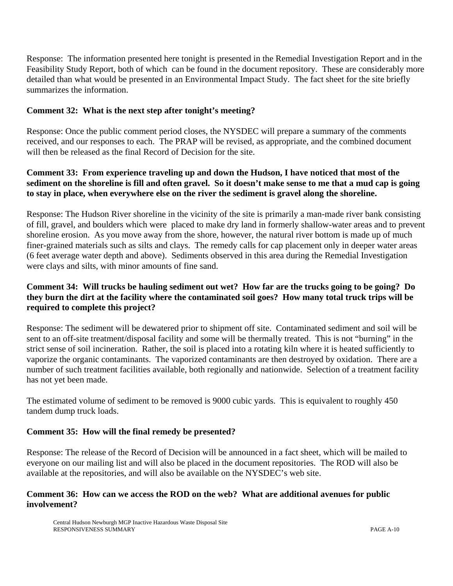Response: The information presented here tonight is presented in the Remedial Investigation Report and in the Feasibility Study Report, both of which can be found in the document repository. These are considerably more detailed than what would be presented in an Environmental Impact Study. The fact sheet for the site briefly summarizes the information.

#### **Comment 32: What is the next step after tonight's meeting?**

Response: Once the public comment period closes, the NYSDEC will prepare a summary of the comments received, and our responses to each. The PRAP will be revised, as appropriate, and the combined document will then be released as the final Record of Decision for the site.

## **Comment 33: From experience traveling up and down the Hudson, I have noticed that most of the sediment on the shoreline is fill and often gravel. So it doesn't make sense to me that a mud cap is going to stay in place, when everywhere else on the river the sediment is gravel along the shoreline.**

Response: The Hudson River shoreline in the vicinity of the site is primarily a man-made river bank consisting of fill, gravel, and boulders which were placed to make dry land in formerly shallow-water areas and to prevent shoreline erosion. As you move away from the shore, however, the natural river bottom is made up of much finer-grained materials such as silts and clays. The remedy calls for cap placement only in deeper water areas (6 feet average water depth and above). Sediments observed in this area during the Remedial Investigation were clays and silts, with minor amounts of fine sand.

## **Comment 34: Will trucks be hauling sediment out wet? How far are the trucks going to be going? Do they burn the dirt at the facility where the contaminated soil goes? How many total truck trips will be required to complete this project?**

Response: The sediment will be dewatered prior to shipment off site. Contaminated sediment and soil will be sent to an off-site treatment/disposal facility and some will be thermally treated. This is not "burning" in the strict sense of soil incineration. Rather, the soil is placed into a rotating kiln where it is heated sufficiently to vaporize the organic contaminants. The vaporized contaminants are then destroyed by oxidation. There are a number of such treatment facilities available, both regionally and nationwide. Selection of a treatment facility has not yet been made.

The estimated volume of sediment to be removed is 9000 cubic yards. This is equivalent to roughly 450 tandem dump truck loads.

#### **Comment 35: How will the final remedy be presented?**

Response: The release of the Record of Decision will be announced in a fact sheet, which will be mailed to everyone on our mailing list and will also be placed in the document repositories. The ROD will also be available at the repositories, and will also be available on the NYSDEC's web site.

#### **Comment 36: How can we access the ROD on the web? What are additional avenues for public involvement?**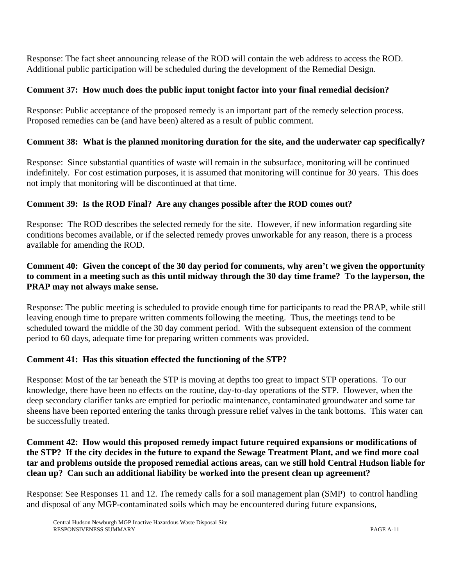Response: The fact sheet announcing release of the ROD will contain the web address to access the ROD. Additional public participation will be scheduled during the development of the Remedial Design.

## **Comment 37: How much does the public input tonight factor into your final remedial decision?**

Response: Public acceptance of the proposed remedy is an important part of the remedy selection process. Proposed remedies can be (and have been) altered as a result of public comment.

## **Comment 38: What is the planned monitoring duration for the site, and the underwater cap specifically?**

Response: Since substantial quantities of waste will remain in the subsurface, monitoring will be continued indefinitely. For cost estimation purposes, it is assumed that monitoring will continue for 30 years. This does not imply that monitoring will be discontinued at that time.

## **Comment 39: Is the ROD Final? Are any changes possible after the ROD comes out?**

Response: The ROD describes the selected remedy for the site. However, if new information regarding site conditions becomes available, or if the selected remedy proves unworkable for any reason, there is a process available for amending the ROD.

## **Comment 40: Given the concept of the 30 day period for comments, why aren't we given the opportunity to comment in a meeting such as this until midway through the 30 day time frame? To the layperson, the PRAP may not always make sense.**

Response: The public meeting is scheduled to provide enough time for participants to read the PRAP, while still leaving enough time to prepare written comments following the meeting. Thus, the meetings tend to be scheduled toward the middle of the 30 day comment period. With the subsequent extension of the comment period to 60 days, adequate time for preparing written comments was provided.

#### **Comment 41: Has this situation effected the functioning of the STP?**

Response: Most of the tar beneath the STP is moving at depths too great to impact STP operations. To our knowledge, there have been no effects on the routine, day-to-day operations of the STP. However, when the deep secondary clarifier tanks are emptied for periodic maintenance, contaminated groundwater and some tar sheens have been reported entering the tanks through pressure relief valves in the tank bottoms. This water can be successfully treated.

**Comment 42: How would this proposed remedy impact future required expansions or modifications of the STP? If the city decides in the future to expand the Sewage Treatment Plant, and we find more coal tar and problems outside the proposed remedial actions areas, can we still hold Central Hudson liable for clean up? Can such an additional liability be worked into the present clean up agreement?**

Response: See Responses 11 and 12. The remedy calls for a soil management plan (SMP) to control handling and disposal of any MGP-contaminated soils which may be encountered during future expansions,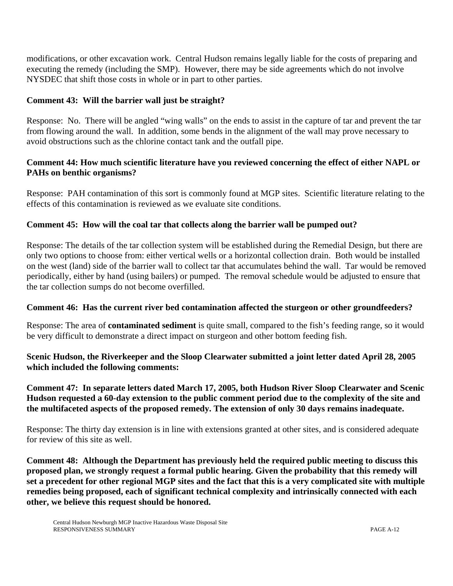modifications, or other excavation work. Central Hudson remains legally liable for the costs of preparing and executing the remedy (including the SMP). However, there may be side agreements which do not involve NYSDEC that shift those costs in whole or in part to other parties.

#### **Comment 43: Will the barrier wall just be straight?**

Response: No. There will be angled "wing walls" on the ends to assist in the capture of tar and prevent the tar from flowing around the wall. In addition, some bends in the alignment of the wall may prove necessary to avoid obstructions such as the chlorine contact tank and the outfall pipe.

#### **Comment 44: How much scientific literature have you reviewed concerning the effect of either NAPL or PAHs on benthic organisms?**

Response: PAH contamination of this sort is commonly found at MGP sites. Scientific literature relating to the effects of this contamination is reviewed as we evaluate site conditions.

#### **Comment 45: How will the coal tar that collects along the barrier wall be pumped out?**

Response: The details of the tar collection system will be established during the Remedial Design, but there are only two options to choose from: either vertical wells or a horizontal collection drain. Both would be installed on the west (land) side of the barrier wall to collect tar that accumulates behind the wall. Tar would be removed periodically, either by hand (using bailers) or pumped. The removal schedule would be adjusted to ensure that the tar collection sumps do not become overfilled.

#### **Comment 46: Has the current river bed contamination affected the sturgeon or other groundfeeders?**

Response: The area of **contaminated sediment** is quite small, compared to the fish's feeding range, so it would be very difficult to demonstrate a direct impact on sturgeon and other bottom feeding fish.

#### **Scenic Hudson, the Riverkeeper and the Sloop Clearwater submitted a joint letter dated April 28, 2005 which included the following comments:**

#### **Comment 47: In separate letters dated March 17, 2005, both Hudson River Sloop Clearwater and Scenic Hudson requested a 60-day extension to the public comment period due to the complexity of the site and the multifaceted aspects of the proposed remedy. The extension of only 30 days remains inadequate.**

Response: The thirty day extension is in line with extensions granted at other sites, and is considered adequate for review of this site as well.

**Comment 48: Although the Department has previously held the required public meeting to discuss this proposed plan, we strongly request a formal public hearing. Given the probability that this remedy will set a precedent for other regional MGP sites and the fact that this is a very complicated site with multiple remedies being proposed, each of significant technical complexity and intrinsically connected with each other, we believe this request should be honored.**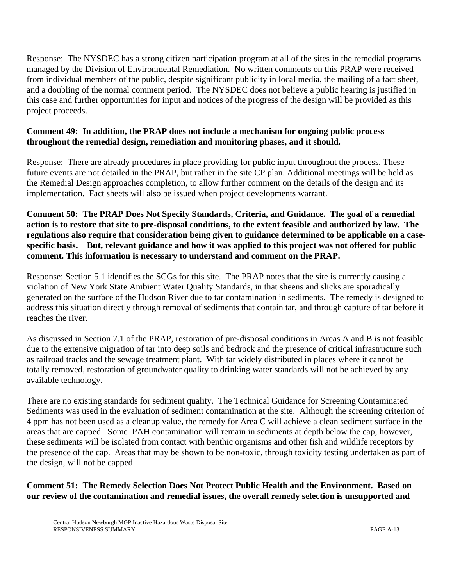Response: The NYSDEC has a strong citizen participation program at all of the sites in the remedial programs managed by the Division of Environmental Remediation. No written comments on this PRAP were received from individual members of the public, despite significant publicity in local media, the mailing of a fact sheet, and a doubling of the normal comment period. The NYSDEC does not believe a public hearing is justified in this case and further opportunities for input and notices of the progress of the design will be provided as this project proceeds.

#### **Comment 49: In addition, the PRAP does not include a mechanism for ongoing public process throughout the remedial design, remediation and monitoring phases, and it should.**

Response: There are already procedures in place providing for public input throughout the process. These future events are not detailed in the PRAP, but rather in the site CP plan. Additional meetings will be held as the Remedial Design approaches completion, to allow further comment on the details of the design and its implementation. Fact sheets will also be issued when project developments warrant.

**Comment 50: The PRAP Does Not Specify Standards, Criteria, and Guidance. The goal of a remedial action is to restore that site to pre-disposal conditions, to the extent feasible and authorized by law. The regulations also require that consideration being given to guidance determined to be applicable on a casespecific basis. But, relevant guidance and how it was applied to this project was not offered for public comment. This information is necessary to understand and comment on the PRAP.**

Response: Section 5.1 identifies the SCGs for this site. The PRAP notes that the site is currently causing a violation of New York State Ambient Water Quality Standards, in that sheens and slicks are sporadically generated on the surface of the Hudson River due to tar contamination in sediments. The remedy is designed to address this situation directly through removal of sediments that contain tar, and through capture of tar before it reaches the river.

As discussed in Section 7.1 of the PRAP, restoration of pre-disposal conditions in Areas A and B is not feasible due to the extensive migration of tar into deep soils and bedrock and the presence of critical infrastructure such as railroad tracks and the sewage treatment plant. With tar widely distributed in places where it cannot be totally removed, restoration of groundwater quality to drinking water standards will not be achieved by any available technology.

There are no existing standards for sediment quality. The Technical Guidance for Screening Contaminated Sediments was used in the evaluation of sediment contamination at the site. Although the screening criterion of 4 ppm has not been used as a cleanup value, the remedy for Area C will achieve a clean sediment surface in the areas that are capped. Some PAH contamination will remain in sediments at depth below the cap; however, these sediments will be isolated from contact with benthic organisms and other fish and wildlife receptors by the presence of the cap. Areas that may be shown to be non-toxic, through toxicity testing undertaken as part of the design, will not be capped.

## **Comment 51: The Remedy Selection Does Not Protect Public Health and the Environment. Based on our review of the contamination and remedial issues, the overall remedy selection is unsupported and**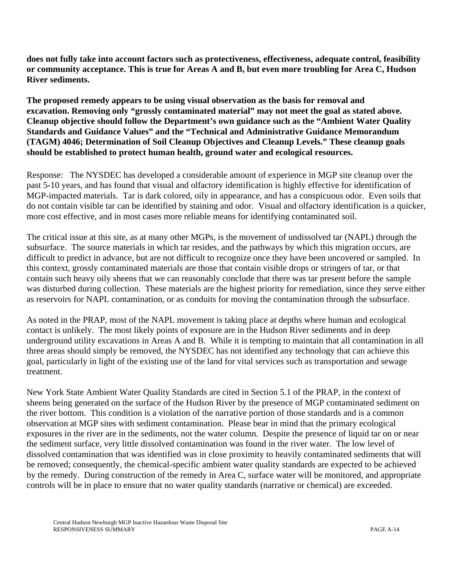**does not fully take into account factors such as protectiveness, effectiveness, adequate control, feasibility or community acceptance. This is true for Areas A and B, but even more troubling for Area C, Hudson River sediments.** 

**The proposed remedy appears to be using visual observation as the basis for removal and excavation. Removing only "grossly contaminated material" may not meet the goal as stated above. Cleanup objective should follow the Department's own guidance such as the "Ambient Water Quality Standards and Guidance Values" and the "Technical and Administrative Guidance Memorandum (TAGM) 4046; Determination of Soil Cleanup Objectives and Cleanup Levels." These cleanup goals should be established to protect human health, ground water and ecological resources.**

Response: The NYSDEC has developed a considerable amount of experience in MGP site cleanup over the past 5-10 years, and has found that visual and olfactory identification is highly effective for identification of MGP-impacted materials. Tar is dark colored, oily in appearance, and has a conspicuous odor. Even soils that do not contain visible tar can be identified by staining and odor. Visual and olfactory identification is a quicker, more cost effective, and in most cases more reliable means for identifying contaminated soil.

The critical issue at this site, as at many other MGPs, is the movement of undissolved tar (NAPL) through the subsurface. The source materials in which tar resides, and the pathways by which this migration occurs, are difficult to predict in advance, but are not difficult to recognize once they have been uncovered or sampled.In this context, grossly contaminated materials are those that contain visible drops or stringers of tar, or that contain such heavy oily sheens that we can reasonably conclude that there was tar present before the sample was disturbed during collection. These materials are the highest priority for remediation, since they serve either as reservoirs for NAPL contamination, or as conduits for moving the contamination through the subsurface.

As noted in the PRAP, most of the NAPL movement is taking place at depths where human and ecological contact is unlikely. The most likely points of exposure are in the Hudson River sediments and in deep underground utility excavations in Areas A and B. While it is tempting to maintain that all contamination in all three areas should simply be removed, the NYSDEC has not identified any technology that can achieve this goal, particularly in light of the existing use of the land for vital services such as transportation and sewage treatment.

New York State Ambient Water Quality Standards are cited in Section 5.1 of the PRAP, in the context of sheens being generated on the surface of the Hudson River by the presence of MGP contaminated sediment on the river bottom. This condition is a violation of the narrative portion of those standards and is a common observation at MGP sites with sediment contamination. Please bear in mind that the primary ecological exposures in the river are in the sediments, not the water column. Despite the presence of liquid tar on or near the sediment surface, very little dissolved contamination was found in the river water. The low level of dissolved contamination that was identified was in close proximity to heavily contaminated sediments that will be removed; consequently, the chemical-specific ambient water quality standards are expected to be achieved by the remedy. During construction of the remedy in Area C, surface water will be monitored, and appropriate controls will be in place to ensure that no water quality standards (narrative or chemical) are exceeded.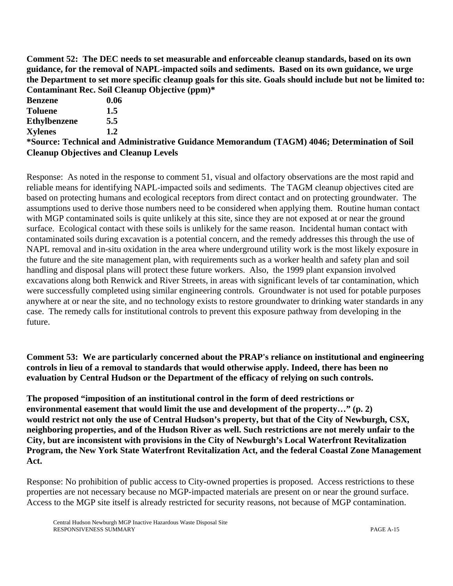**Comment 52: The DEC needs to set measurable and enforceable cleanup standards, based on its own guidance, for the removal of NAPL-impacted soils and sediments. Based on its own guidance, we urge the Department to set more specific cleanup goals for this site. Goals should include but not be limited to: Contaminant Rec. Soil Cleanup Objective (ppm)\***

| <b>Benzene</b>      | 0.06                                                                                         |
|---------------------|----------------------------------------------------------------------------------------------|
| <b>Toluene</b>      | 1.5                                                                                          |
| <b>Ethylbenzene</b> | 5.5                                                                                          |
| <b>Xylenes</b>      | 1.2                                                                                          |
|                     | *Source: Technical and Administrative Guidance Memorandum (TAGM) 4046; Determination of Soil |
|                     | <b>Cleanup Objectives and Cleanup Levels</b>                                                 |

Response: As noted in the response to comment 51, visual and olfactory observations are the most rapid and reliable means for identifying NAPL-impacted soils and sediments.The TAGM cleanup objectives cited are based on protecting humans and ecological receptors from direct contact and on protecting groundwater. The assumptions used to derive those numbers need to be considered when applying them. Routine human contact with MGP contaminated soils is quite unlikely at this site, since they are not exposed at or near the ground surface. Ecological contact with these soils is unlikely for the same reason. Incidental human contact with contaminated soils during excavation is a potential concern, and the remedy addresses this through the use of NAPL removal and in-situ oxidation in the area where underground utility work is the most likely exposure in the future and the site management plan, with requirements such as a worker health and safety plan and soil handling and disposal plans will protect these future workers. Also, the 1999 plant expansion involved excavations along both Renwick and River Streets, in areas with significant levels of tar contamination, which were successfully completed using similar engineering controls. Groundwater is not used for potable purposes anywhere at or near the site, and no technology exists to restore groundwater to drinking water standards in any case. The remedy calls for institutional controls to prevent this exposure pathway from developing in the future.

**Comment 53: We are particularly concerned about the PRAP's reliance on institutional and engineering controls in lieu of a removal to standards that would otherwise apply. Indeed, there has been no evaluation by Central Hudson or the Department of the efficacy of relying on such controls.**

**The proposed "imposition of an institutional control in the form of deed restrictions or environmental easement that would limit the use and development of the property…" (p. 2) would restrict not only the use of Central Hudson's property, but that of the City of Newburgh, CSX, neighboring properties, and of the Hudson River as well. Such restrictions are not merely unfair to the City, but are inconsistent with provisions in the City of Newburgh's Local Waterfront Revitalization Program, the New York State Waterfront Revitalization Act, and the federal Coastal Zone Management Act.**

Response: No prohibition of public access to City-owned properties is proposed. Access restrictions to these properties are not necessary because no MGP-impacted materials are present on or near the ground surface. Access to the MGP site itself is already restricted for security reasons, not because of MGP contamination.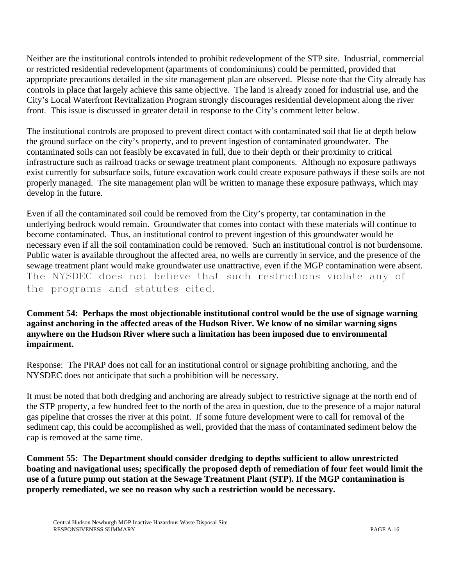Neither are the institutional controls intended to prohibit redevelopment of the STP site. Industrial, commercial or restricted residential redevelopment (apartments of condominiums) could be permitted, provided that appropriate precautions detailed in the site management plan are observed. Please note that the City already has controls in place that largely achieve this same objective. The land is already zoned for industrial use, and the City's Local Waterfront Revitalization Program strongly discourages residential development along the river front. This issue is discussed in greater detail in response to the City's comment letter below.

The institutional controls are proposed to prevent direct contact with contaminated soil that lie at depth below the ground surface on the city's property, and to prevent ingestion of contaminated groundwater. The contaminated soils can not feasibly be excavated in full, due to their depth or their proximity to critical infrastructure such as railroad tracks or sewage treatment plant components. Although no exposure pathways exist currently for subsurface soils, future excavation work could create exposure pathways if these soils are not properly managed. The site management plan will be written to manage these exposure pathways, which may develop in the future.

Even if all the contaminated soil could be removed from the City's property, tar contamination in the underlying bedrock would remain. Groundwater that comes into contact with these materials will continue to become contaminated. Thus, an institutional control to prevent ingestion of this groundwater would be necessary even if all the soil contamination could be removed. Such an institutional control is not burdensome. Public water is available throughout the affected area, no wells are currently in service, and the presence of the sewage treatment plant would make groundwater use unattractive, even if the MGP contamination were absent. The NYSDEC does not believe that such restrictions violate any of the programs and statutes cited.

**Comment 54: Perhaps the most objectionable institutional control would be the use of signage warning against anchoring in the affected areas of the Hudson River. We know of no similar warning signs anywhere on the Hudson River where such a limitation has been imposed due to environmental impairment.**

Response: The PRAP does not call for an institutional control or signage prohibiting anchoring, and the NYSDEC does not anticipate that such a prohibition will be necessary.

It must be noted that both dredging and anchoring are already subject to restrictive signage at the north end of the STP property, a few hundred feet to the north of the area in question, due to the presence of a major natural gas pipeline that crosses the river at this point. If some future development were to call for removal of the sediment cap, this could be accomplished as well, provided that the mass of contaminated sediment below the cap is removed at the same time.

**Comment 55: The Department should consider dredging to depths sufficient to allow unrestricted boating and navigational uses; specifically the proposed depth of remediation of four feet would limit the use of a future pump out station at the Sewage Treatment Plant (STP). If the MGP contamination is properly remediated, we see no reason why such a restriction would be necessary.**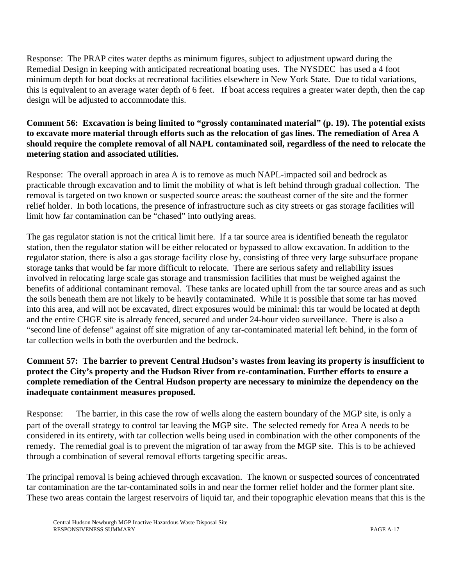Response: The PRAP cites water depths as minimum figures, subject to adjustment upward during the Remedial Design in keeping with anticipated recreational boating uses. The NYSDEC has used a 4 foot minimum depth for boat docks at recreational facilities elsewhere in New York State. Due to tidal variations, this is equivalent to an average water depth of 6 feet. If boat access requires a greater water depth, then the cap design will be adjusted to accommodate this.

## **Comment 56: Excavation is being limited to "grossly contaminated material" (p. 19). The potential exists to excavate more material through efforts such as the relocation of gas lines. The remediation of Area A should require the complete removal of all NAPL contaminated soil, regardless of the need to relocate the metering station and associated utilities.**

Response: The overall approach in area A is to remove as much NAPL-impacted soil and bedrock as practicable through excavation and to limit the mobility of what is left behind through gradual collection. The removal is targeted on two known or suspected source areas: the southeast corner of the site and the former relief holder. In both locations, the presence of infrastructure such as city streets or gas storage facilities will limit how far contamination can be "chased" into outlying areas.

The gas regulator station is not the critical limit here. If a tar source area is identified beneath the regulator station, then the regulator station will be either relocated or bypassed to allow excavation. In addition to the regulator station, there is also a gas storage facility close by, consisting of three very large subsurface propane storage tanks that would be far more difficult to relocate. There are serious safety and reliability issues involved in relocating large scale gas storage and transmission facilities that must be weighed against the benefits of additional contaminant removal. These tanks are located uphill from the tar source areas and as such the soils beneath them are not likely to be heavily contaminated. While it is possible that some tar has moved into this area, and will not be excavated, direct exposures would be minimal: this tar would be located at depth and the entire CHGE site is already fenced, secured and under 24-hour video surveillance. There is also a "second line of defense" against off site migration of any tar-contaminated material left behind, in the form of tar collection wells in both the overburden and the bedrock.

#### **Comment 57: The barrier to prevent Central Hudson's wastes from leaving its property is insufficient to protect the City's property and the Hudson River from re-contamination. Further efforts to ensure a complete remediation of the Central Hudson property are necessary to minimize the dependency on the inadequate containment measures proposed.**

Response: The barrier, in this case the row of wells along the eastern boundary of the MGP site, is only a part of the overall strategy to control tar leaving the MGP site. The selected remedy for Area A needs to be considered in its entirety, with tar collection wells being used in combination with the other components of the remedy. The remedial goal is to prevent the migration of tar away from the MGP site. This is to be achieved through a combination of several removal efforts targeting specific areas.

The principal removal is being achieved through excavation. The known or suspected sources of concentrated tar contamination are the tar-contaminated soils in and near the former relief holder and the former plant site. These two areas contain the largest reservoirs of liquid tar, and their topographic elevation means that this is the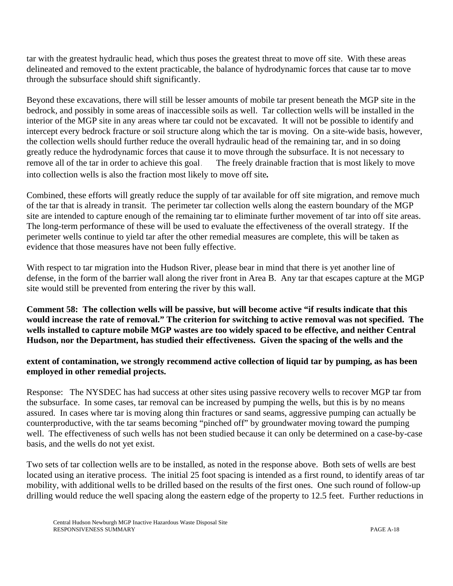tar with the greatest hydraulic head, which thus poses the greatest threat to move off site. With these areas delineated and removed to the extent practicable, the balance of hydrodynamic forces that cause tar to move through the subsurface should shift significantly.

Beyond these excavations, there will still be lesser amounts of mobile tar present beneath the MGP site in the bedrock, and possibly in some areas of inaccessible soils as well. Tar collection wells will be installed in the interior of the MGP site in any areas where tar could not be excavated. It will not be possible to identify and intercept every bedrock fracture or soil structure along which the tar is moving. On a site-wide basis, however, the collection wells should further reduce the overall hydraulic head of the remaining tar, and in so doing greatly reduce the hydrodynamic forces that cause it to move through the subsurface. It is not necessary to remove all of the tar in order to achieve this goal. The freely drainable fraction that is most likely to move into collection wells is also the fraction most likely to move off site*.*

Combined, these efforts will greatly reduce the supply of tar available for off site migration, and remove much of the tar that is already in transit. The perimeter tar collection wells along the eastern boundary of the MGP site are intended to capture enough of the remaining tar to eliminate further movement of tar into off site areas. The long-term performance of these will be used to evaluate the effectiveness of the overall strategy. If the perimeter wells continue to yield tar after the other remedial measures are complete, this will be taken as evidence that those measures have not been fully effective.

With respect to tar migration into the Hudson River, please bear in mind that there is yet another line of defense, in the form of the barrier wall along the river front in Area B. Any tar that escapes capture at the MGP site would still be prevented from entering the river by this wall.

**Comment 58: The collection wells will be passive, but will become active "if results indicate that this would increase the rate of removal." The criterion for switching to active removal was not specified. The wells installed to capture mobile MGP wastes are too widely spaced to be effective, and neither Central Hudson, nor the Department, has studied their effectiveness. Given the spacing of the wells and the** 

#### **extent of contamination, we strongly recommend active collection of liquid tar by pumping, as has been employed in other remedial projects.**

Response: The NYSDEC has had success at other sites using passive recovery wells to recover MGP tar from the subsurface. In some cases, tar removal can be increased by pumping the wells, but this is by no means assured. In cases where tar is moving along thin fractures or sand seams, aggressive pumping can actually be counterproductive, with the tar seams becoming "pinched off" by groundwater moving toward the pumping well. The effectiveness of such wells has not been studied because it can only be determined on a case-by-case basis, and the wells do not yet exist.

Two sets of tar collection wells are to be installed, as noted in the response above. Both sets of wells are best located using an iterative process. The initial 25 foot spacing is intended as a first round, to identify areas of tar mobility, with additional wells to be drilled based on the results of the first ones. One such round of follow-up drilling would reduce the well spacing along the eastern edge of the property to 12.5 feet. Further reductions in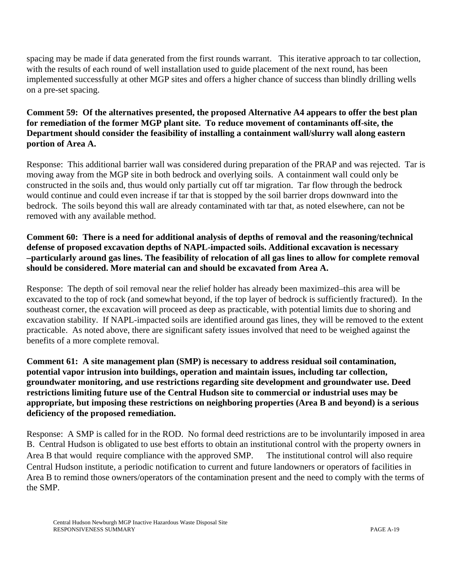spacing may be made if data generated from the first rounds warrant. This iterative approach to tar collection, with the results of each round of well installation used to guide placement of the next round, has been implemented successfully at other MGP sites and offers a higher chance of success than blindly drilling wells on a pre-set spacing.

## **Comment 59: Of the alternatives presented, the proposed Alternative A4 appears to offer the best plan for remediation of the former MGP plant site. To reduce movement of contaminants off-site, the Department should consider the feasibility of installing a containment wall/slurry wall along eastern portion of Area A.**

Response: This additional barrier wall was considered during preparation of the PRAP and was rejected. Tar is moving away from the MGP site in both bedrock and overlying soils. A containment wall could only be constructed in the soils and, thus would only partially cut off tar migration. Tar flow through the bedrock would continue and could even increase if tar that is stopped by the soil barrier drops downward into the bedrock. The soils beyond this wall are already contaminated with tar that, as noted elsewhere, can not be removed with any available method.

#### **Comment 60: There is a need for additional analysis of depths of removal and the reasoning/technical defense of proposed excavation depths of NAPL-impacted soils. Additional excavation is necessary –particularly around gas lines. The feasibility of relocation of all gas lines to allow for complete removal should be considered. More material can and should be excavated from Area A.**

Response: The depth of soil removal near the relief holder has already been maximized–this area will be excavated to the top of rock (and somewhat beyond, if the top layer of bedrock is sufficiently fractured). In the southeast corner, the excavation will proceed as deep as practicable, with potential limits due to shoring and excavation stability. If NAPL-impacted soils are identified around gas lines, they will be removed to the extent practicable. As noted above, there are significant safety issues involved that need to be weighed against the benefits of a more complete removal.

**Comment 61: A site management plan (SMP) is necessary to address residual soil contamination, potential vapor intrusion into buildings, operation and maintain issues, including tar collection, groundwater monitoring, and use restrictions regarding site development and groundwater use. Deed restrictions limiting future use of the Central Hudson site to commercial or industrial uses may be appropriate, but imposing these restrictions on neighboring properties (Area B and beyond) is a serious deficiency of the proposed remediation.**

Response: A SMP is called for in the ROD. No formal deed restrictions are to be involuntarily imposed in area B. Central Hudson is obligated to use best efforts to obtain an institutional control with the property owners in Area B that would require compliance with the approved SMP. The institutional control will also require Central Hudson institute, a periodic notification to current and future landowners or operators of facilities in Area B to remind those owners/operators of the contamination present and the need to comply with the terms of the SMP.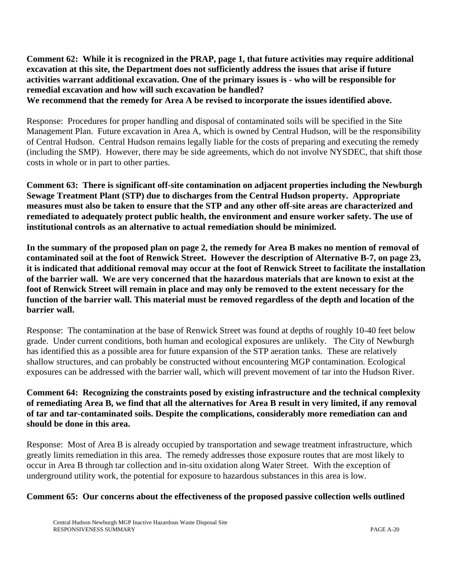**Comment 62: While it is recognized in the PRAP, page 1, that future activities may require additional excavation at this site, the Department does not sufficiently address the issues that arise if future activities warrant additional excavation. One of the primary issues is - who will be responsible for remedial excavation and how will such excavation be handled? We recommend that the remedy for Area A be revised to incorporate the issues identified above.**

Response: Procedures for proper handling and disposal of contaminated soils will be specified in the Site Management Plan. Future excavation in Area A, which is owned by Central Hudson, will be the responsibility of Central Hudson. Central Hudson remains legally liable for the costs of preparing and executing the remedy (including the SMP). However, there may be side agreements, which do not involve NYSDEC, that shift those costs in whole or in part to other parties.

**Comment 63: There is significant off-site contamination on adjacent properties including the Newburgh Sewage Treatment Plant (STP) due to discharges from the Central Hudson property. Appropriate measures must also be taken to ensure that the STP and any other off-site areas are characterized and remediated to adequately protect public health, the environment and ensure worker safety. The use of institutional controls as an alternative to actual remediation should be minimized.**

**In the summary of the proposed plan on page 2, the remedy for Area B makes no mention of removal of contaminated soil at the foot of Renwick Street. However the description of Alternative B-7, on page 23, it is indicated that additional removal may occur at the foot of Renwick Street to facilitate the installation of the barrier wall. We are very concerned that the hazardous materials that are known to exist at the foot of Renwick Street will remain in place and may only be removed to the extent necessary for the function of the barrier wall. This material must be removed regardless of the depth and location of the barrier wall.**

Response: The contamination at the base of Renwick Street was found at depths of roughly 10-40 feet below grade. Under current conditions, both human and ecological exposures are unlikely. The City of Newburgh has identified this as a possible area for future expansion of the STP aeration tanks. These are relatively shallow structures, and can probably be constructed without encountering MGP contamination. Ecological exposures can be addressed with the barrier wall, which will prevent movement of tar into the Hudson River.

## **Comment 64: Recognizing the constraints posed by existing infrastructure and the technical complexity of remediating Area B, we find that all the alternatives for Area B result in very limited, if any removal of tar and tar-contaminated soils. Despite the complications, considerably more remediation can and should be done in this area.**

Response: Most of Area B is already occupied by transportation and sewage treatment infrastructure, which greatly limits remediation in this area. The remedy addresses those exposure routes that are most likely to occur in Area B through tar collection and in-situ oxidation along Water Street. With the exception of underground utility work, the potential for exposure to hazardous substances in this area is low.

#### **Comment 65: Our concerns about the effectiveness of the proposed passive collection wells outlined**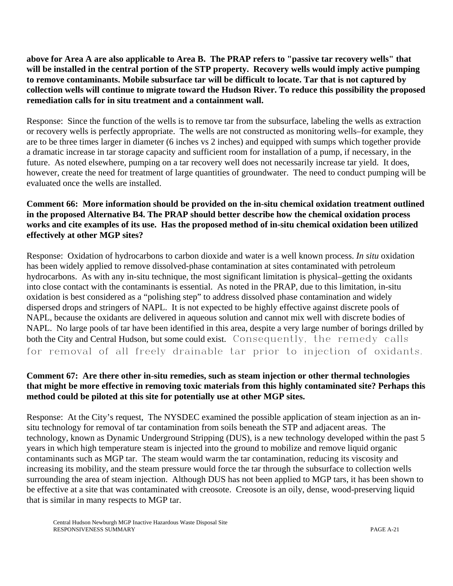**above for Area A are also applicable to Area B. The PRAP refers to "passive tar recovery wells" that will be installed in the central portion of the STP property. Recovery wells would imply active pumping to remove contaminants. Mobile subsurface tar will be difficult to locate. Tar that is not captured by collection wells will continue to migrate toward the Hudson River. To reduce this possibility the proposed remediation calls for in situ treatment and a containment wall.**

Response: Since the function of the wells is to remove tar from the subsurface, labeling the wells as extraction or recovery wells is perfectly appropriate. The wells are not constructed as monitoring wells–for example, they are to be three times larger in diameter (6 inches vs 2 inches) and equipped with sumps which together provide a dramatic increase in tar storage capacity and sufficient room for installation of a pump, if necessary, in the future. As noted elsewhere, pumping on a tar recovery well does not necessarily increase tar yield. It does, however, create the need for treatment of large quantities of groundwater. The need to conduct pumping will be evaluated once the wells are installed.

#### **Comment 66: More information should be provided on the in-situ chemical oxidation treatment outlined in the proposed Alternative B4. The PRAP should better describe how the chemical oxidation process works and cite examples of its use. Has the proposed method of in-situ chemical oxidation been utilized effectively at other MGP sites?**

Response: Oxidation of hydrocarbons to carbon dioxide and water is a well known process. *In situ* oxidation has been widely applied to remove dissolved-phase contamination at sites contaminated with petroleum hydrocarbons. As with any in-situ technique, the most significant limitation is physical–getting the oxidants into close contact with the contaminants is essential. As noted in the PRAP, due to this limitation, in-situ oxidation is best considered as a "polishing step" to address dissolved phase contamination and widely dispersed drops and stringers of NAPL. It is not expected to be highly effective against discrete pools of NAPL, because the oxidants are delivered in aqueous solution and cannot mix well with discrete bodies of NAPL. No large pools of tar have been identified in this area, despite a very large number of borings drilled by both the City and Central Hudson, but some could exist. Consequently, the remedy calls for removal of all freely drainable tar prior to injection of oxidants.

## **Comment 67: Are there other in-situ remedies, such as steam injection or other thermal technologies that might be more effective in removing toxic materials from this highly contaminated site? Perhaps this method could be piloted at this site for potentially use at other MGP sites.**

Response: At the City's request, The NYSDEC examined the possible application of steam injection as an insitu technology for removal of tar contamination from soils beneath the STP and adjacent areas. The technology, known as Dynamic Underground Stripping (DUS), is a new technology developed within the past 5 years in which high temperature steam is injected into the ground to mobilize and remove liquid organic contaminants such as MGP tar. The steam would warm the tar contamination, reducing its viscosity and increasing its mobility, and the steam pressure would force the tar through the subsurface to collection wells surrounding the area of steam injection. Although DUS has not been applied to MGP tars, it has been shown to be effective at a site that was contaminated with creosote. Creosote is an oily, dense, wood-preserving liquid that is similar in many respects to MGP tar.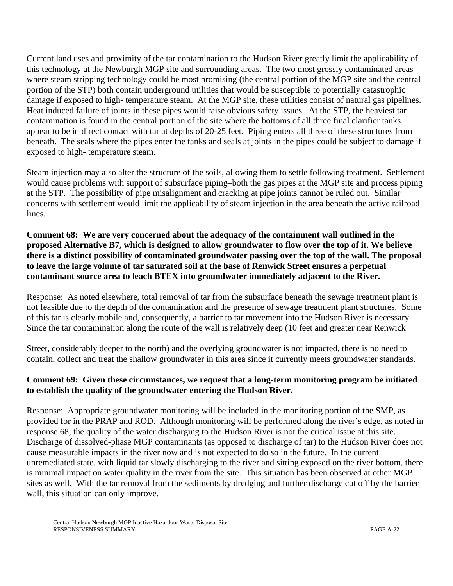Current land uses and proximity of the tar contamination to the Hudson River greatly limit the applicability of this technology at the Newburgh MGP site and surrounding areas. The two most grossly contaminated areas where steam stripping technology could be most promising (the central portion of the MGP site and the central portion of the STP) both contain underground utilities that would be susceptible to potentially catastrophic damage if exposed to high- temperature steam. At the MGP site, these utilities consist of natural gas pipelines. Heat induced failure of joints in these pipes would raise obvious safety issues. At the STP, the heaviest tar contamination is found in the central portion of the site where the bottoms of all three final clarifier tanks appear to be in direct contact with tar at depths of 20-25 feet. Piping enters all three of these structures from beneath. The seals where the pipes enter the tanks and seals at joints in the pipes could be subject to damage if exposed to high- temperature steam.

Steam injection may also alter the structure of the soils, allowing them to settle following treatment. Settlement would cause problems with support of subsurface piping–both the gas pipes at the MGP site and process piping at the STP. The possibility of pipe misalignment and cracking at pipe joints cannot be ruled out. Similar concerns with settlement would limit the applicability of steam injection in the area beneath the active railroad lines.

**Comment 68: We are very concerned about the adequacy of the containment wall outlined in the proposed Alternative B7, which is designed to allow groundwater to flow over the top of it. We believe there is a distinct possibility of contaminated groundwater passing over the top of the wall. The proposal to leave the large volume of tar saturated soil at the base of Renwick Street ensures a perpetual contaminant source area to leach BTEX into groundwater immediately adjacent to the River.**

Response: As noted elsewhere, total removal of tar from the subsurface beneath the sewage treatment plant is not feasible due to the depth of the contamination and the presence of sewage treatment plant structures. Some of this tar is clearly mobile and, consequently, a barrier to tar movement into the Hudson River is necessary. Since the tar contamination along the route of the wall is relatively deep (10 feet and greater near Renwick

Street, considerably deeper to the north) and the overlying groundwater is not impacted, there is no need to contain, collect and treat the shallow groundwater in this area since it currently meets groundwater standards.

#### **Comment 69: Given these circumstances, we request that a long-term monitoring program be initiated to establish the quality of the groundwater entering the Hudson River.**

Response: Appropriate groundwater monitoring will be included in the monitoring portion of the SMP, as provided for in the PRAP and ROD. Although monitoring will be performed along the river's edge, as noted in response 68, the quality of the water discharging to the Hudson River is not the critical issue at this site. Discharge of dissolved-phase MGP contaminants (as opposed to discharge of tar) to the Hudson River does not cause measurable impacts in the river now and is not expected to do so in the future. In the current unremediated state, with liquid tar slowly discharging to the river and sitting exposed on the river bottom, there is minimal impact on water quality in the river from the site. This situation has been observed at other MGP sites as well. With the tar removal from the sediments by dredging and further discharge cut off by the barrier wall, this situation can only improve.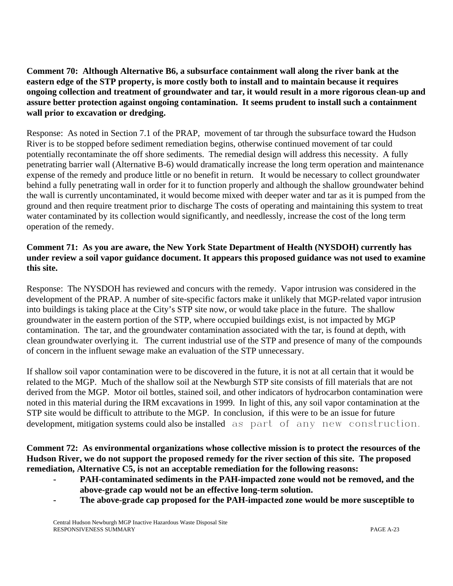**Comment 70: Although Alternative B6, a subsurface containment wall along the river bank at the eastern edge of the STP property, is more costly both to install and to maintain because it requires ongoing collection and treatment of groundwater and tar, it would result in a more rigorous clean-up and assure better protection against ongoing contamination. It seems prudent to install such a containment wall prior to excavation or dredging.**

Response: As noted in Section 7.1 of the PRAP, movement of tar through the subsurface toward the Hudson River is to be stopped before sediment remediation begins, otherwise continued movement of tar could potentially recontaminate the off shore sediments.The remedial design will address this necessity.A fully penetrating barrier wall (Alternative B-6) would dramatically increase the long term operation and maintenance expense of the remedy and produce little or no benefit in return. It would be necessary to collect groundwater behind a fully penetrating wall in order for it to function properly and although the shallow groundwater behind the wall is currently uncontaminated, it would become mixed with deeper water and tar as it is pumped from the ground and then require treatment prior to discharge The costs of operating and maintaining this system to treat water contaminated by its collection would significantly, and needlessly, increase the cost of the long term operation of the remedy.

## **Comment 71: As you are aware, the New York State Department of Health (NYSDOH) currently has under review a soil vapor guidance document. It appears this proposed guidance was not used to examine this site.**

Response: The NYSDOH has reviewed and concurs with the remedy. Vapor intrusion was considered in the development of the PRAP. A number of site-specific factors make it unlikely that MGP-related vapor intrusion into buildings is taking place at the City's STP site now, or would take place in the future. The shallow groundwater in the eastern portion of the STP, where occupied buildings exist, is not impacted by MGP contamination. The tar, and the groundwater contamination associated with the tar, is found at depth, with clean groundwater overlying it. The current industrial use of the STP and presence of many of the compounds of concern in the influent sewage make an evaluation of the STP unnecessary.

If shallow soil vapor contamination were to be discovered in the future, it is not at all certain that it would be related to the MGP. Much of the shallow soil at the Newburgh STP site consists of fill materials that are not derived from the MGP. Motor oil bottles, stained soil, and other indicators of hydrocarbon contamination were noted in this material during the IRM excavations in 1999. In light of this, any soil vapor contamination at the STP site would be difficult to attribute to the MGP. In conclusion, if this were to be an issue for future development, mitigation systems could also be installed as part of any new construction.

**Comment 72: As environmental organizations whose collective mission is to protect the resources of the Hudson River, we do not support the proposed remedy for the river section of this site. The proposed remediation, Alternative C5, is not an acceptable remediation for the following reasons:**

- PAH-contaminated sediments in the PAH-impacted zone would not be removed, and the **above-grade cap would not be an effective long-term solution.**
- **The above-grade cap proposed for the PAH-impacted zone would be more susceptible to**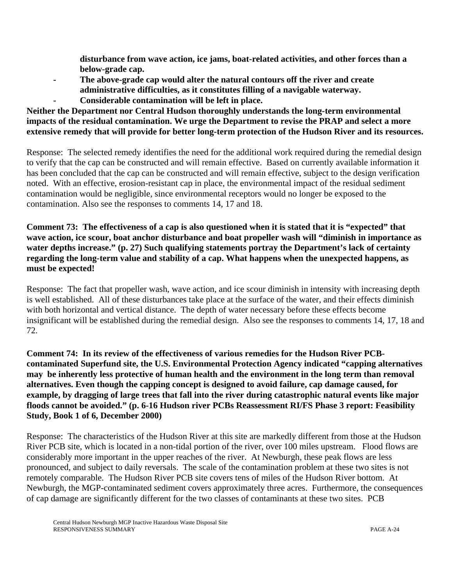**disturbance from wave action, ice jams, boat-related activities, and other forces than a below-grade cap.**

- **The above-grade cap would alter the natural contours off the river and create administrative difficulties, as it constitutes filling of a navigable waterway.**
	- **Considerable contamination will be left in place.**

## **Neither the Department nor Central Hudson thoroughly understands the long-term environmental impacts of the residual contamination. We urge the Department to revise the PRAP and select a more extensive remedy that will provide for better long-term protection of the Hudson River and its resources.**

Response: The selected remedy identifies the need for the additional work required during the remedial design to verify that the cap can be constructed and will remain effective. Based on currently available information it has been concluded that the cap can be constructed and will remain effective, subject to the design verification noted.With an effective, erosion-resistant cap in place, the environmental impact of the residual sediment contamination would be negligible, since environmental receptors would no longer be exposed to the contamination. Also see the responses to comments 14, 17 and 18.

**Comment 73: The effectiveness of a cap is also questioned when it is stated that it is "expected" that wave action, ice scour, boat anchor disturbance and boat propeller wash will "diminish in importance as water depths increase." (p. 27) Such qualifying statements portray the Department's lack of certainty regarding the long-term value and stability of a cap. What happens when the unexpected happens, as must be expected!**

Response: The fact that propeller wash, wave action, and ice scour diminish in intensity with increasing depth is well established. All of these disturbances take place at the surface of the water, and their effects diminish with both horizontal and vertical distance. The depth of water necessary before these effects become insignificant will be established during the remedial design. Also see the responses to comments 14, 17, 18 and 72.

**Comment 74: In its review of the effectiveness of various remedies for the Hudson River PCBcontaminated Superfund site, the U.S. Environmental Protection Agency indicated "capping alternatives may be inherently less protective of human health and the environment in the long term than removal alternatives. Even though the capping concept is designed to avoid failure, cap damage caused, for example, by dragging of large trees that fall into the river during catastrophic natural events like major floods cannot be avoided." (p. 6-16 Hudson river PCBs Reassessment RI/FS Phase 3 report: Feasibility Study, Book 1 of 6, December 2000)**

Response: The characteristics of the Hudson River at this site are markedly different from those at the Hudson River PCB site, which is located in a non-tidal portion of the river, over 100 miles upstream. Flood flows are considerably more important in the upper reaches of the river. At Newburgh, these peak flows are less pronounced, and subject to daily reversals. The scale of the contamination problem at these two sites is not remotely comparable. The Hudson River PCB site covers tens of miles of the Hudson River bottom. At Newburgh, the MGP-contaminated sediment covers approximately three acres. Furthermore, the consequences of cap damage are significantly different for the two classes of contaminants at these two sites. PCB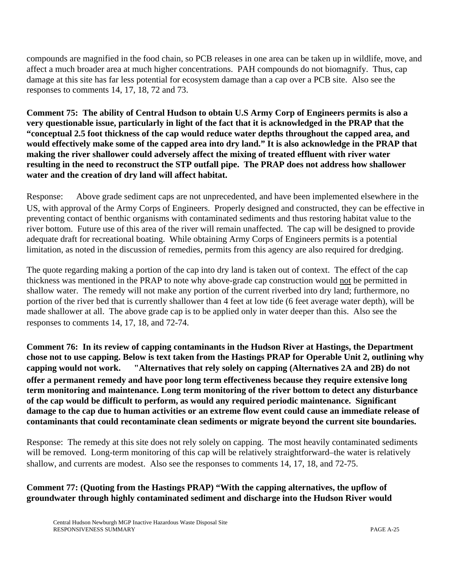compounds are magnified in the food chain, so PCB releases in one area can be taken up in wildlife, move, and affect a much broader area at much higher concentrations. PAH compounds do not biomagnify. Thus, cap damage at this site has far less potential for ecosystem damage than a cap over a PCB site.Also see the responses to comments 14, 17, 18, 72 and 73.

**Comment 75: The ability of Central Hudson to obtain U.S Army Corp of Engineers permits is also a very questionable issue, particularly in light of the fact that it is acknowledged in the PRAP that the "conceptual 2.5 foot thickness of the cap would reduce water depths throughout the capped area, and would effectively make some of the capped area into dry land." It is also acknowledge in the PRAP that making the river shallower could adversely affect the mixing of treated effluent with river water resulting in the need to reconstruct the STP outfall pipe. The PRAP does not address how shallower water and the creation of dry land will affect habitat.**

Response: Above grade sediment caps are not unprecedented, and have been implemented elsewhere in the US, with approval of the Army Corps of Engineers. Properly designed and constructed, they can be effective in preventing contact of benthic organisms with contaminated sediments and thus restoring habitat value to the river bottom. Future use of this area of the river will remain unaffected. The cap will be designed to provide adequate draft for recreational boating. While obtaining Army Corps of Engineers permits is a potential limitation, as noted in the discussion of remedies, permits from this agency are also required for dredging.

The quote regarding making a portion of the cap into dry land is taken out of context. The effect of the cap thickness was mentioned in the PRAP to note why above-grade cap construction would not be permitted in shallow water. The remedy will not make any portion of the current riverbed into dry land; furthermore, no portion of the river bed that is currently shallower than 4 feet at low tide (6 feet average water depth), will be made shallower at all. The above grade cap is to be applied only in water deeper than this. Also see the responses to comments 14, 17, 18, and 72-74.

**Comment 76: In its review of capping contaminants in the Hudson River at Hastings, the Department chose not to use capping. Below is text taken from the Hastings PRAP for Operable Unit 2, outlining why capping would not work. "Alternatives that rely solely on capping (Alternatives 2A and 2B) do not offer a permanent remedy and have poor long term effectiveness because they require extensive long term monitoring and maintenance. Long term monitoring of the river bottom to detect any disturbance of the cap would be difficult to perform, as would any required periodic maintenance. Significant damage to the cap due to human activities or an extreme flow event could cause an immediate release of contaminants that could recontaminate clean sediments or migrate beyond the current site boundaries.**

Response: The remedy at this site does not rely solely on capping. The most heavily contaminated sediments will be removed. Long-term monitoring of this cap will be relatively straightforward–the water is relatively shallow, and currents are modest. Also see the responses to comments 14, 17, 18, and 72-75.

## **Comment 77: (Quoting from the Hastings PRAP) "With the capping alternatives, the upflow of groundwater through highly contaminated sediment and discharge into the Hudson River would**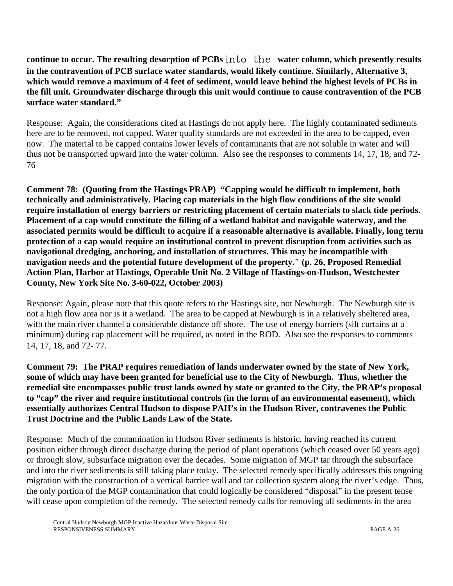**continue to occur. The resulting desorption of PCBs** into the **water column, which presently results in the contravention of PCB surface water standards, would likely continue. Similarly, Alternative 3, which would remove a maximum of 4 feet of sediment, would leave behind the highest levels of PCBs in the fill unit. Groundwater discharge through this unit would continue to cause contravention of the PCB surface water standard."**

Response: Again, the considerations cited at Hastings do not apply here. The highly contaminated sediments here are to be removed, not capped. Water quality standards are not exceeded in the area to be capped, even now. The material to be capped contains lower levels of contaminants that are not soluble in water and will thus not be transported upward into the water column. Also see the responses to comments 14, 17, 18, and 72- 76

**Comment 78: (Quoting from the Hastings PRAP) "Capping would be difficult to implement, both technically and administratively. Placing cap materials in the high flow conditions of the site would require installation of energy barriers or restricting placement of certain materials to slack tide periods. Placement of a cap would constitute the filling of a wetland habitat and navigable waterway, and the associated permits would be difficult to acquire if a reasonable alternative is available. Finally, long term protection of a cap would require an institutional control to prevent disruption from activities such as navigational dredging, anchoring, and installation of structures. This may be incompatible with navigation needs and the potential future development of the property." (p. 26, Proposed Remedial Action Plan, Harbor at Hastings, Operable Unit No. 2 Village of Hastings-on-Hudson, Westchester County, New York Site No. 3-60-022, October 2003)**

Response: Again, please note that this quote refers to the Hastings site, not Newburgh. The Newburgh site is not a high flow area nor is it a wetland. The area to be capped at Newburgh is in a relatively sheltered area, with the main river channel a considerable distance off shore. The use of energy barriers (silt curtains at a minimum) during cap placement will be required, as noted in the ROD. Also see the responses to comments 14, 17, 18, and 72- 77.

**Comment 79: The PRAP requires remediation of lands underwater owned by the state of New York, some of which may have been granted for beneficial use to the City of Newburgh. Thus, whether the remedial site encompasses public trust lands owned by state or granted to the City, the PRAP's proposal to "cap" the river and require institutional controls (in the form of an environmental easement), which essentially authorizes Central Hudson to dispose PAH's in the Hudson River, contravenes the Public Trust Doctrine and the Public Lands Law of the State.** 

Response: Much of the contamination in Hudson River sediments is historic, having reached its current position either through direct discharge during the period of plant operations (which ceased over 50 years ago) or through slow, subsurface migration over the decades. Some migration of MGP tar through the subsurface and into the river sediments is still taking place today. The selected remedy specifically addresses this ongoing migration with the construction of a vertical barrier wall and tar collection system along the river's edge. Thus, the only portion of the MGP contamination that could logically be considered "disposal" in the present tense will cease upon completion of the remedy. The selected remedy calls for removing all sediments in the area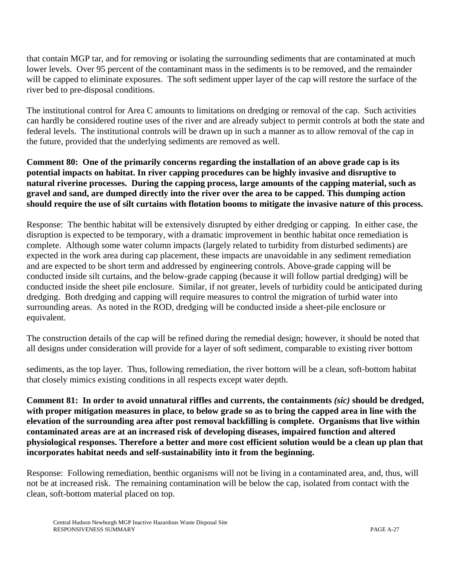that contain MGP tar, and for removing or isolating the surrounding sediments that are contaminated at much lower levels. Over 95 percent of the contaminant mass in the sediments is to be removed, and the remainder will be capped to eliminate exposures. The soft sediment upper layer of the cap will restore the surface of the river bed to pre-disposal conditions.

The institutional control for Area C amounts to limitations on dredging or removal of the cap. Such activities can hardly be considered routine uses of the river and are already subject to permit controls at both the state and federal levels. The institutional controls will be drawn up in such a manner as to allow removal of the cap in the future, provided that the underlying sediments are removed as well.

**Comment 80: One of the primarily concerns regarding the installation of an above grade cap is its potential impacts on habitat. In river capping procedures can be highly invasive and disruptive to natural riverine processes. During the capping process, large amounts of the capping material, such as gravel and sand, are dumped directly into the river over the area to be capped. This dumping action should require the use of silt curtains with flotation booms to mitigate the invasive nature of this process.**

Response: The benthic habitat will be extensively disrupted by either dredging or capping. In either case, the disruption is expected to be temporary, with a dramatic improvement in benthic habitat once remediation is complete. Although some water column impacts (largely related to turbidity from disturbed sediments) are expected in the work area during cap placement, these impacts are unavoidable in any sediment remediation and are expected to be short term and addressed by engineering controls. Above-grade capping will be conducted inside silt curtains, and the below-grade capping (because it will follow partial dredging) will be conducted inside the sheet pile enclosure. Similar, if not greater, levels of turbidity could be anticipated during dredging. Both dredging and capping will require measures to control the migration of turbid water into surrounding areas. As noted in the ROD, dredging will be conducted inside a sheet-pile enclosure or equivalent.

The construction details of the cap will be refined during the remedial design; however, it should be noted that all designs under consideration will provide for a layer of soft sediment, comparable to existing river bottom

sediments, as the top layer.Thus, following remediation, the river bottom will be a clean, soft-bottom habitat that closely mimics existing conditions in all respects except water depth.

**Comment 81: In order to avoid unnatural riffles and currents, the containments** *(sic)* **should be dredged, with proper mitigation measures in place, to below grade so as to bring the capped area in line with the elevation of the surrounding area after post removal backfilling is complete. Organisms that live within contaminated areas are at an increased risk of developing diseases, impaired function and altered physiological responses. Therefore a better and more cost efficient solution would be a clean up plan that incorporates habitat needs and self-sustainability into it from the beginning.**

Response: Following remediation, benthic organisms will not be living in a contaminated area, and, thus, will not be at increased risk. The remaining contamination will be below the cap, isolated from contact with the clean, soft-bottom material placed on top.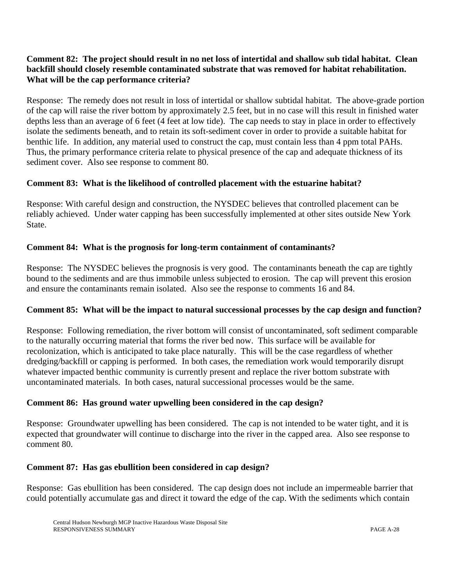## **Comment 82: The project should result in no net loss of intertidal and shallow sub tidal habitat. Clean backfill should closely resemble contaminated substrate that was removed for habitat rehabilitation. What will be the cap performance criteria?**

Response: The remedy does not result in loss of intertidal or shallow subtidal habitat. The above-grade portion of the cap will raise the river bottom by approximately 2.5 feet, but in no case will this result in finished water depths less than an average of 6 feet (4 feet at low tide). The cap needs to stay in place in order to effectively isolate the sediments beneath, and to retain its soft-sediment cover in order to provide a suitable habitat for benthic life. In addition, any material used to construct the cap, must contain less than 4 ppm total PAHs. Thus, the primary performance criteria relate to physical presence of the cap and adequate thickness of its sediment cover. Also see response to comment 80.

## **Comment 83: What is the likelihood of controlled placement with the estuarine habitat?**

Response: With careful design and construction, the NYSDEC believes that controlled placement can be reliably achieved. Under water capping has been successfully implemented at other sites outside New York State.

## **Comment 84: What is the prognosis for long-term containment of contaminants?**

Response: The NYSDEC believes the prognosis is very good. The contaminants beneath the cap are tightly bound to the sediments and are thus immobile unless subjected to erosion. The cap will prevent this erosion and ensure the contaminants remain isolated. Also see the response to comments 16 and 84.

#### **Comment 85: What will be the impact to natural successional processes by the cap design and function?**

Response: Following remediation, the river bottom will consist of uncontaminated, soft sediment comparable to the naturally occurring material that forms the river bed now. This surface will be available for recolonization, which is anticipated to take place naturally. This will be the case regardless of whether dredging/backfill or capping is performed. In both cases, the remediation work would temporarily disrupt whatever impacted benthic community is currently present and replace the river bottom substrate with uncontaminated materials. In both cases, natural successional processes would be the same.

#### **Comment 86: Has ground water upwelling been considered in the cap design?**

Response: Groundwater upwelling has been considered. The cap is not intended to be water tight, and it is expected that groundwater will continue to discharge into the river in the capped area. Also see response to comment 80.

#### **Comment 87: Has gas ebullition been considered in cap design?**

Response: Gas ebullition has been considered. The cap design does not include an impermeable barrier that could potentially accumulate gas and direct it toward the edge of the cap. With the sediments which contain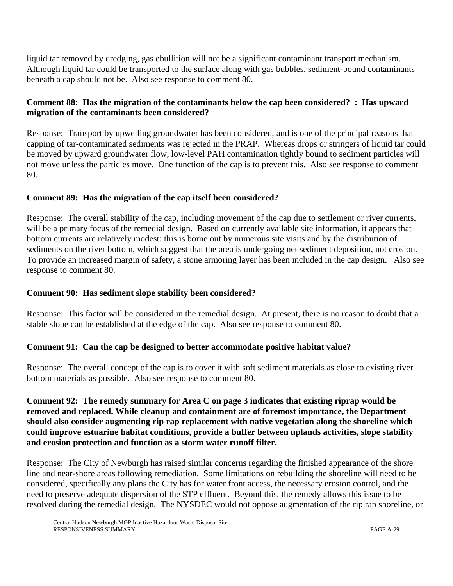liquid tar removed by dredging, gas ebullition will not be a significant contaminant transport mechanism. Although liquid tar could be transported to the surface along with gas bubbles, sediment-bound contaminants beneath a cap should not be. Also see response to comment 80.

#### **Comment 88: Has the migration of the contaminants below the cap been considered? : Has upward migration of the contaminants been considered?**

Response: Transport by upwelling groundwater has been considered, and is one of the principal reasons that capping of tar-contaminated sediments was rejected in the PRAP. Whereas drops or stringers of liquid tar could be moved by upward groundwater flow, low-level PAH contamination tightly bound to sediment particles will not move unless the particles move. One function of the cap is to prevent this. Also see response to comment 80.

#### **Comment 89: Has the migration of the cap itself been considered?**

Response: The overall stability of the cap, including movement of the cap due to settlement or river currents, will be a primary focus of the remedial design. Based on currently available site information, it appears that bottom currents are relatively modest: this is borne out by numerous site visits and by the distribution of sediments on the river bottom, which suggest that the area is undergoing net sediment deposition, not erosion. To provide an increased margin of safety, a stone armoring layer has been included in the cap design. Also see response to comment 80.

#### **Comment 90: Has sediment slope stability been considered?**

Response: This factor will be considered in the remedial design. At present, there is no reason to doubt that a stable slope can be established at the edge of the cap.Also see response to comment 80.

#### **Comment 91: Can the cap be designed to better accommodate positive habitat value?**

Response: The overall concept of the cap is to cover it with soft sediment materials as close to existing river bottom materials as possible.Also see response to comment 80.

**Comment 92: The remedy summary for Area C on page 3 indicates that existing riprap would be removed and replaced. While cleanup and containment are of foremost importance, the Department should also consider augmenting rip rap replacement with native vegetation along the shoreline which could improve estuarine habitat conditions, provide a buffer between uplands activities, slope stability and erosion protection and function as a storm water runoff filter.**

Response: The City of Newburgh has raised similar concerns regarding the finished appearance of the shore line and near-shore areas following remediation. Some limitations on rebuilding the shoreline will need to be considered, specifically any plans the City has for water front access, the necessary erosion control, and the need to preserve adequate dispersion of the STP effluent. Beyond this, the remedy allows this issue to be resolved during the remedial design. The NYSDEC would not oppose augmentation of the rip rap shoreline, or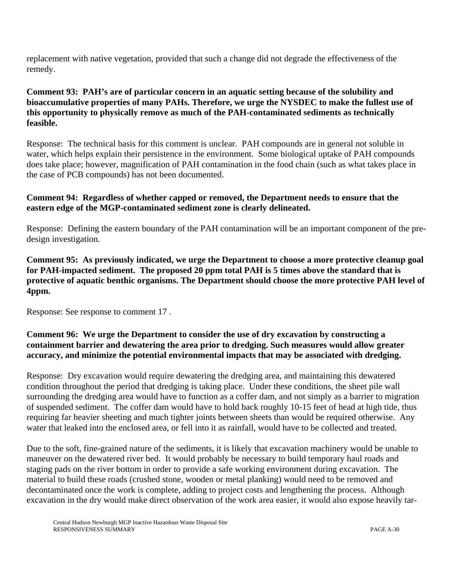replacement with native vegetation, provided that such a change did not degrade the effectiveness of the remedy.

#### **Comment 93: PAH's are of particular concern in an aquatic setting because of the solubility and bioaccumulative properties of many PAHs. Therefore, we urge the NYSDEC to make the fullest use of this opportunity to physically remove as much of the PAH-contaminated sediments as technically feasible.**

Response: The technical basis for this comment is unclear. PAH compounds are in general not soluble in water, which helps explain their persistence in the environment. Some biological uptake of PAH compounds does take place; however, magnification of PAH contamination in the food chain (such as what takes place in the case of PCB compounds) has not been documented.

## **Comment 94: Regardless of whether capped or removed, the Department needs to ensure that the eastern edge of the MGP-contaminated sediment zone is clearly delineated.**

Response: Defining the eastern boundary of the PAH contamination will be an important component of the predesign investigation.

**Comment 95: As previously indicated, we urge the Department to choose a more protective cleanup goal for PAH-impacted sediment. The proposed 20 ppm total PAH is 5 times above the standard that is protective of aquatic benthic organisms. The Department should choose the more protective PAH level of 4ppm.**

Response: See response to comment 17 .

## **Comment 96: We urge the Department to consider the use of dry excavation by constructing a containment barrier and dewatering the area prior to dredging. Such measures would allow greater accuracy, and minimize the potential environmental impacts that may be associated with dredging.**

Response: Dry excavation would require dewatering the dredging area, and maintaining this dewatered condition throughout the period that dredging is taking place. Under these conditions, the sheet pile wall surrounding the dredging area would have to function as a coffer dam, and not simply as a barrier to migration of suspended sediment. The coffer dam would have to hold back roughly 10-15 feet of head at high tide, thus requiring far heavier sheeting and much tighter joints between sheets than would be required otherwise. Any water that leaked into the enclosed area, or fell into it as rainfall, would have to be collected and treated.

Due to the soft, fine-grained nature of the sediments, it is likely that excavation machinery would be unable to maneuver on the dewatered river bed. It would probably be necessary to build temporary haul roads and staging pads on the river bottom in order to provide a safe working environment during excavation. The material to build these roads (crushed stone, wooden or metal planking) would need to be removed and decontaminated once the work is complete, adding to project costs and lengthening the process. Although excavation in the dry would make direct observation of the work area easier, it would also expose heavily tar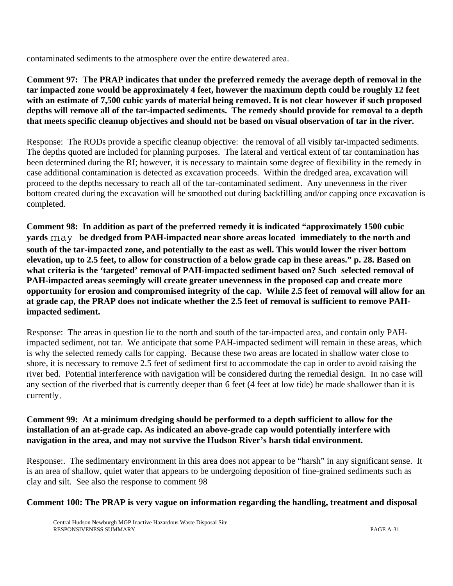contaminated sediments to the atmosphere over the entire dewatered area.

**Comment 97: The PRAP indicates that under the preferred remedy the average depth of removal in the tar impacted zone would be approximately 4 feet, however the maximum depth could be roughly 12 feet with an estimate of 7,500 cubic yards of material being removed. It is not clear however if such proposed depths will remove all of the tar-impacted sediments. The remedy should provide for removal to a depth that meets specific cleanup objectives and should not be based on visual observation of tar in the river.**

Response: The RODs provide a specific cleanup objective: the removal of all visibly tar-impacted sediments. The depths quoted are included for planning purposes. The lateral and vertical extent of tar contamination has been determined during the RI; however, it is necessary to maintain some degree of flexibility in the remedy in case additional contamination is detected as excavation proceeds. Within the dredged area, excavation will proceed to the depths necessary to reach all of the tar-contaminated sediment. Any unevenness in the river bottom created during the excavation will be smoothed out during backfilling and/or capping once excavation is completed.

**Comment 98: In addition as part of the preferred remedy it is indicated "approximately 1500 cubic yards** may **be dredged from PAH-impacted near shore areas located immediately to the north and south of the tar-impacted zone, and potentially to the east as well. This would lower the river bottom elevation, up to 2.5 feet, to allow for construction of a below grade cap in these areas." p. 28. Based on what criteria is the 'targeted' removal of PAH-impacted sediment based on? Such selected removal of PAH-impacted areas seemingly will create greater unevenness in the proposed cap and create more opportunity for erosion and compromised integrity of the cap. While 2.5 feet of removal will allow for an at grade cap, the PRAP does not indicate whether the 2.5 feet of removal is sufficient to remove PAHimpacted sediment.**

Response: The areas in question lie to the north and south of the tar-impacted area, and contain only PAHimpacted sediment, not tar. We anticipate that some PAH-impacted sediment will remain in these areas, which is why the selected remedy calls for capping. Because these two areas are located in shallow water close to shore, it is necessary to remove 2.5 feet of sediment first to accommodate the cap in order to avoid raising the river bed.Potential interference with navigation will be considered during the remedial design. In no case will any section of the riverbed that is currently deeper than 6 feet (4 feet at low tide) be made shallower than it is currently.

#### **Comment 99: At a minimum dredging should be performed to a depth sufficient to allow for the installation of an at-grade cap. As indicated an above-grade cap would potentially interfere with navigation in the area, and may not survive the Hudson River's harsh tidal environment.**

Response:. The sedimentary environment in this area does not appear to be "harsh" in any significant sense. It is an area of shallow, quiet water that appears to be undergoing deposition of fine-grained sediments such as clay and silt. See also the response to comment 98

#### **Comment 100: The PRAP is very vague on information regarding the handling, treatment and disposal**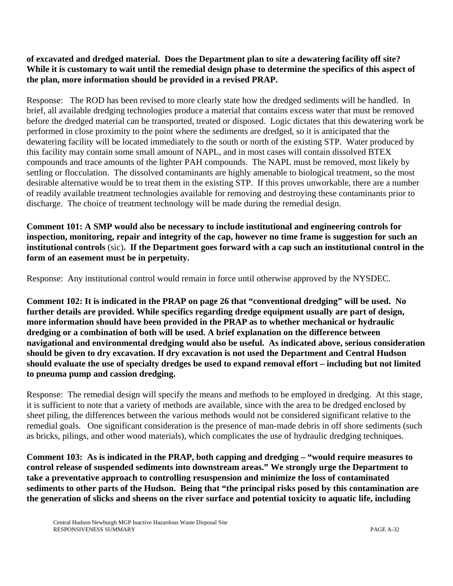#### **of excavated and dredged material. Does the Department plan to site a dewatering facility off site? While it is customary to wait until the remedial design phase to determine the specifics of this aspect of the plan, more information should be provided in a revised PRAP.**

Response: The ROD has been revised to more clearly state how the dredged sediments will be handled. In brief, all available dredging technologies produce a material that contains excess water that must be removed before the dredged material can be transported, treated or disposed. Logic dictates that this dewatering work be performed in close proximity to the point where the sediments are dredged, so it is anticipated that the dewatering facility will be located immediately to the south or north of the existing STP. Water produced by this facility may contain some small amount of NAPL, and in most cases will contain dissolved BTEX compounds and trace amounts of the lighter PAH compounds. The NAPL must be removed, most likely by settling or flocculation. The dissolved contaminants are highly amenable to biological treatment, so the most desirable alternative would be to treat them in the existing STP. If this proves unworkable, there are a number of readily available treatment technologies available for removing and destroying these contaminants prior to discharge. The choice of treatment technology will be made during the remedial design.

**Comment 101: A SMP would also be necessary to include institutional and engineering controls for inspection, monitoring, repair and integrity of the cap, however no time frame is suggestion for such an institutional controls** (sic)**. If the Department goes forward with a cap such an institutional control in the form of an easement must be in perpetuity.** 

Response: Any institutional control would remain in force until otherwise approved by the NYSDEC.

**Comment 102: It is indicated in the PRAP on page 26 that "conventional dredging" will be used. No further details are provided. While specifics regarding dredge equipment usually are part of design, more information should have been provided in the PRAP as to whether mechanical or hydraulic dredging or a combination of both will be used. A brief explanation on the difference between navigational and environmental dredging would also be useful. As indicated above, serious consideration should be given to dry excavation. If dry excavation is not used the Department and Central Hudson should evaluate the use of specialty dredges be used to expand removal effort – including but not limited to pneuma pump and cassion dredging.**

Response: The remedial design will specify the means and methods to be employed in dredging. At this stage, it is sufficient to note that a variety of methods are available, since with the area to be dredged enclosed by sheet piling, the differences between the various methods would not be considered significant relative to the remedial goals. One significant consideration is the presence of man-made debris in off shore sediments (such as bricks, pilings, and other wood materials), which complicates the use of hydraulic dredging techniques.

**Comment 103: As is indicated in the PRAP, both capping and dredging – "would require measures to control release of suspended sediments into downstream areas." We strongly urge the Department to take a preventative approach to controlling resuspension and minimize the loss of contaminated sediments to other parts of the Hudson. Being that "the principal risks posed by this contamination are the generation of slicks and sheens on the river surface and potential toxicity to aquatic life, including**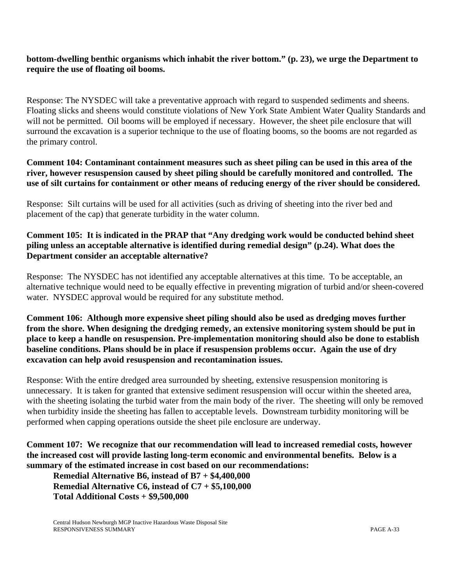#### **bottom-dwelling benthic organisms which inhabit the river bottom." (p. 23), we urge the Department to require the use of floating oil booms.**

Response: The NYSDEC will take a preventative approach with regard to suspended sediments and sheens. Floating slicks and sheens would constitute violations of New York State Ambient Water Quality Standards and will not be permitted. Oil booms will be employed if necessary. However, the sheet pile enclosure that will surround the excavation is a superior technique to the use of floating booms, so the booms are not regarded as the primary control.

#### **Comment 104: Contaminant containment measures such as sheet piling can be used in this area of the river, however resuspension caused by sheet piling should be carefully monitored and controlled. The use of silt curtains for containment or other means of reducing energy of the river should be considered.**

Response: Silt curtains will be used for all activities (such as driving of sheeting into the river bed and placement of the cap) that generate turbidity in the water column.

#### **Comment 105: It is indicated in the PRAP that "Any dredging work would be conducted behind sheet piling unless an acceptable alternative is identified during remedial design" (p.24). What does the Department consider an acceptable alternative?**

Response: The NYSDEC has not identified any acceptable alternatives at this time. To be acceptable, an alternative technique would need to be equally effective in preventing migration of turbid and/or sheen-covered water. NYSDEC approval would be required for any substitute method.

**Comment 106: Although more expensive sheet piling should also be used as dredging moves further from the shore. When designing the dredging remedy, an extensive monitoring system should be put in place to keep a handle on resuspension. Pre-implementation monitoring should also be done to establish baseline conditions. Plans should be in place if resuspension problems occur. Again the use of dry excavation can help avoid resuspension and recontamination issues.**

Response: With the entire dredged area surrounded by sheeting, extensive resuspension monitoring is unnecessary. It is taken for granted that extensive sediment resuspension will occur within the sheeted area, with the sheeting isolating the turbid water from the main body of the river. The sheeting will only be removed when turbidity inside the sheeting has fallen to acceptable levels.Downstream turbidity monitoring will be performed when capping operations outside the sheet pile enclosure are underway.

#### **Comment 107: We recognize that our recommendation will lead to increased remedial costs, however the increased cost will provide lasting long-term economic and environmental benefits. Below is a summary of the estimated increase in cost based on our recommendations:**

**Remedial Alternative B6, instead of B7 + \$4,400,000 Remedial Alternative C6, instead of C7 + \$5,100,000 Total Additional Costs + \$9,500,000**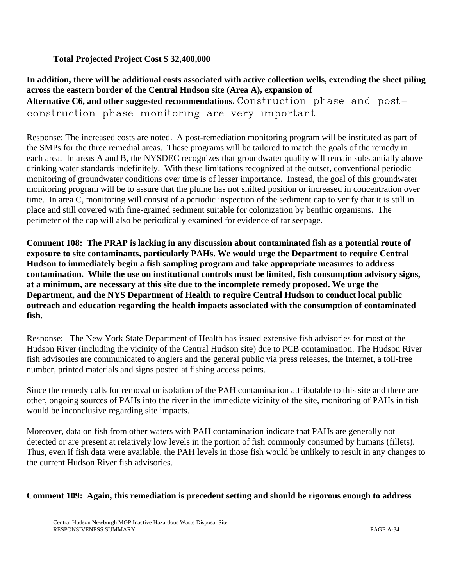#### **Total Projected Project Cost \$ 32,400,000**

## **In addition, there will be additional costs associated with active collection wells, extending the sheet piling across the eastern border of the Central Hudson site (Area A), expansion of Alternative C6, and other suggested recommendations.** Construction phase and postconstruction phase monitoring are very important.

Response: The increased costs are noted. A post-remediation monitoring program will be instituted as part of the SMPs for the three remedial areas. These programs will be tailored to match the goals of the remedy in each area. In areas A and B, the NYSDEC recognizes that groundwater quality will remain substantially above drinking water standards indefinitely. With these limitations recognized at the outset, conventional periodic monitoring of groundwater conditions over time is of lesser importance. Instead, the goal of this groundwater monitoring program will be to assure that the plume has not shifted position or increased in concentration over time. In area C, monitoring will consist of a periodic inspection of the sediment cap to verify that it is still in place and still covered with fine-grained sediment suitable for colonization by benthic organisms. The perimeter of the cap will also be periodically examined for evidence of tar seepage.

**Comment 108: The PRAP is lacking in any discussion about contaminated fish as a potential route of exposure to site contaminants, particularly PAHs. We would urge the Department to require Central Hudson to immediately begin a fish sampling program and take appropriate measures to address contamination. While the use on institutional controls must be limited, fish consumption advisory signs, at a minimum, are necessary at this site due to the incomplete remedy proposed. We urge the Department, and the NYS Department of Health to require Central Hudson to conduct local public outreach and education regarding the health impacts associated with the consumption of contaminated fish.**

Response: The New York State Department of Health has issued extensive fish advisories for most of the Hudson River (including the vicinity of the Central Hudson site) due to PCB contamination. The Hudson River fish advisories are communicated to anglers and the general public via press releases, the Internet, a toll-free number, printed materials and signs posted at fishing access points.

Since the remedy calls for removal or isolation of the PAH contamination attributable to this site and there are other, ongoing sources of PAHs into the river in the immediate vicinity of the site, monitoring of PAHs in fish would be inconclusive regarding site impacts.

Moreover, data on fish from other waters with PAH contamination indicate that PAHs are generally not detected or are present at relatively low levels in the portion of fish commonly consumed by humans (fillets). Thus, even if fish data were available, the PAH levels in those fish would be unlikely to result in any changes to the current Hudson River fish advisories.

#### **Comment 109: Again, this remediation is precedent setting and should be rigorous enough to address**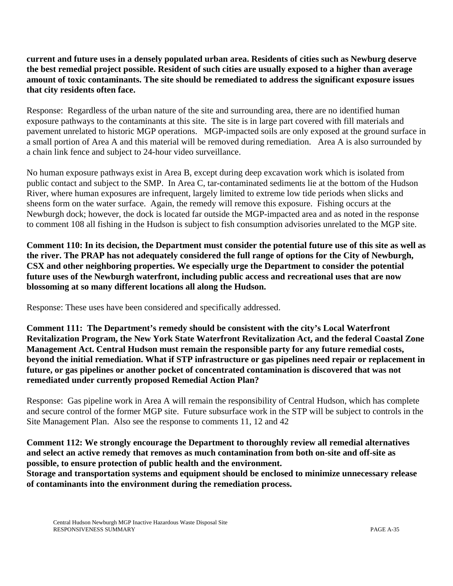**current and future uses in a densely populated urban area. Residents of cities such as Newburg deserve the best remedial project possible. Resident of such cities are usually exposed to a higher than average amount of toxic contaminants. The site should be remediated to address the significant exposure issues that city residents often face.**

Response: Regardless of the urban nature of the site and surrounding area, there are no identified human exposure pathways to the contaminants at this site. The site is in large part covered with fill materials and pavement unrelated to historic MGP operations. MGP-impacted soils are only exposed at the ground surface in a small portion of Area A and this material will be removed during remediation. Area A is also surrounded by a chain link fence and subject to 24-hour video surveillance.

No human exposure pathways exist in Area B, except during deep excavation work which is isolated from public contact and subject to the SMP. In Area C, tar-contaminated sediments lie at the bottom of the Hudson River, where human exposures are infrequent, largely limited to extreme low tide periods when slicks and sheens form on the water surface. Again, the remedy will remove this exposure. Fishing occurs at the Newburgh dock; however, the dock is located far outside the MGP-impacted area and as noted in the response to comment 108 all fishing in the Hudson is subject to fish consumption advisories unrelated to the MGP site.

**Comment 110: In its decision, the Department must consider the potential future use of this site as well as the river. The PRAP has not adequately considered the full range of options for the City of Newburgh, CSX and other neighboring properties. We especially urge the Department to consider the potential future uses of the Newburgh waterfront, including public access and recreational uses that are now blossoming at so many different locations all along the Hudson.** 

Response: These uses have been considered and specifically addressed.

**Comment 111: The Department's remedy should be consistent with the city's Local Waterfront Revitalization Program, the New York State Waterfront Revitalization Act, and the federal Coastal Zone Management Act. Central Hudson must remain the responsible party for any future remedial costs, beyond the initial remediation. What if STP infrastructure or gas pipelines need repair or replacement in future, or gas pipelines or another pocket of concentrated contamination is discovered that was not remediated under currently proposed Remedial Action Plan?** 

Response: Gas pipeline work in Area A will remain the responsibility of Central Hudson, which has complete and secure control of the former MGP site. Future subsurface work in the STP will be subject to controls in the Site Management Plan. Also see the response to comments 11, 12 and 42

## **Comment 112: We strongly encourage the Department to thoroughly review all remedial alternatives and select an active remedy that removes as much contamination from both on-site and off-site as possible, to ensure protection of public health and the environment.**

**Storage and transportation systems and equipment should be enclosed to minimize unnecessary release of contaminants into the environment during the remediation process.**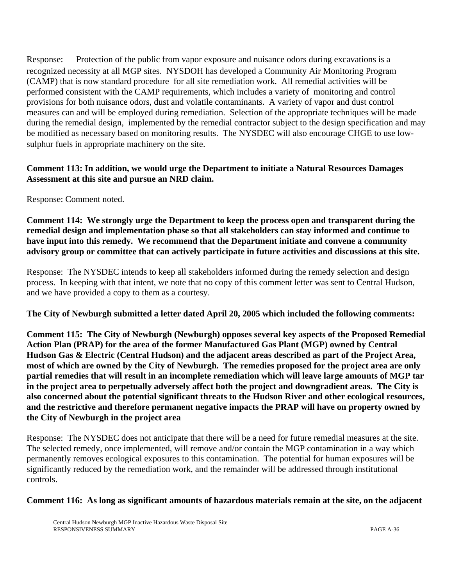Response: Protection of the public from vapor exposure and nuisance odors during excavations is a recognized necessity at all MGP sites. NYSDOH has developed a Community Air Monitoring Program (CAMP) that is now standard procedure for all site remediation work. All remedial activities will be performed consistent with the CAMP requirements, which includes a variety of monitoring and control provisions for both nuisance odors, dust and volatile contaminants. A variety of vapor and dust control measures can and will be employed during remediation. Selection of the appropriate techniques will be made during the remedial design, implemented by the remedial contractor subject to the design specification and may be modified as necessary based on monitoring results. The NYSDEC will also encourage CHGE to use lowsulphur fuels in appropriate machinery on the site.

#### **Comment 113: In addition, we would urge the Department to initiate a Natural Resources Damages Assessment at this site and pursue an NRD claim.**

Response: Comment noted.

**Comment 114: We strongly urge the Department to keep the process open and transparent during the remedial design and implementation phase so that all stakeholders can stay informed and continue to have input into this remedy. We recommend that the Department initiate and convene a community advisory group or committee that can actively participate in future activities and discussions at this site.**

Response: The NYSDEC intends to keep all stakeholders informed during the remedy selection and design process. In keeping with that intent, we note that no copy of this comment letter was sent to Central Hudson, and we have provided a copy to them as a courtesy.

**The City of Newburgh submitted a letter dated April 20, 2005 which included the following comments:**

**Comment 115: The City of Newburgh (Newburgh) opposes several key aspects of the Proposed Remedial Action Plan (PRAP) for the area of the former Manufactured Gas Plant (MGP) owned by Central Hudson Gas & Electric (Central Hudson) and the adjacent areas described as part of the Project Area, most of which are owned by the City of Newburgh. The remedies proposed for the project area are only partial remedies that will result in an incomplete remediation which will leave large amounts of MGP tar in the project area to perpetually adversely affect both the project and downgradient areas. The City is also concerned about the potential significant threats to the Hudson River and other ecological resources, and the restrictive and therefore permanent negative impacts the PRAP will have on property owned by the City of Newburgh in the project area**

Response: The NYSDEC does not anticipate that there will be a need for future remedial measures at the site. The selected remedy, once implemented, will remove and/or contain the MGP contamination in a way which permanently removes ecological exposures to this contamination. The potential for human exposures will be significantly reduced by the remediation work, and the remainder will be addressed through institutional controls.

#### **Comment 116: As long as significant amounts of hazardous materials remain at the site, on the adjacent**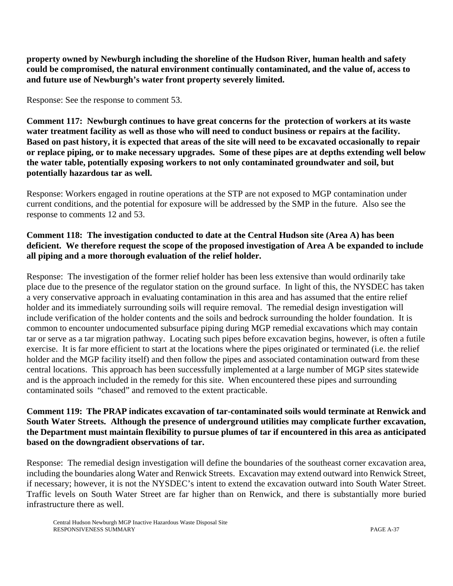**property owned by Newburgh including the shoreline of the Hudson River, human health and safety could be compromised, the natural environment continually contaminated, and the value of, access to and future use of Newburgh's water front property severely limited.**

Response: See the response to comment 53.

**Comment 117: Newburgh continues to have great concerns for the protection of workers at its waste water treatment facility as well as those who will need to conduct business or repairs at the facility. Based on past history, it is expected that areas of the site will need to be excavated occasionally to repair or replace piping, or to make necessary upgrades. Some of these pipes are at depths extending well below the water table, potentially exposing workers to not only contaminated groundwater and soil, but potentially hazardous tar as well.**

Response: Workers engaged in routine operations at the STP are not exposed to MGP contamination under current conditions, and the potential for exposure will be addressed by the SMP in the future. Also see the response to comments 12 and 53.

### **Comment 118: The investigation conducted to date at the Central Hudson site (Area A) has been deficient. We therefore request the scope of the proposed investigation of Area A be expanded to include all piping and a more thorough evaluation of the relief holder.**

Response: The investigation of the former relief holder has been less extensive than would ordinarily take place due to the presence of the regulator station on the ground surface. In light of this, the NYSDEC has taken a very conservative approach in evaluating contamination in this area and has assumed that the entire relief holder and its immediately surrounding soils will require removal. The remedial design investigation will include verification of the holder contents and the soils and bedrock surrounding the holder foundation. It is common to encounter undocumented subsurface piping during MGP remedial excavations which may contain tar or serve as a tar migration pathway. Locating such pipes before excavation begins, however, is often a futile exercise. It is far more efficient to start at the locations where the pipes originated or terminated (i.e. the relief holder and the MGP facility itself) and then follow the pipes and associated contamination outward from these central locations. This approach has been successfully implemented at a large number of MGP sites statewide and is the approach included in the remedy for this site. When encountered these pipes and surrounding contaminated soils "chased" and removed to the extent practicable.

### **Comment 119: The PRAP indicates excavation of tar-contaminated soils would terminate at Renwick and South Water Streets. Although the presence of underground utilities may complicate further excavation, the Department must maintain flexibility to pursue plumes of tar if encountered in this area as anticipated based on the downgradient observations of tar.**

Response: The remedial design investigation will define the boundaries of the southeast corner excavation area, including the boundaries along Water and Renwick Streets. Excavation may extend outward into Renwick Street, if necessary; however, it is not the NYSDEC's intent to extend the excavation outward into South Water Street. Traffic levels on South Water Street are far higher than on Renwick, and there is substantially more buried infrastructure there as well.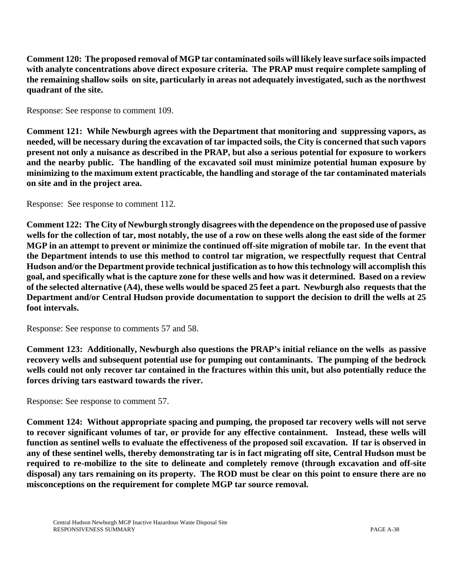**Comment 120: The proposed removal of MGP tar contaminated soils will likely leave surface soils impacted with analyte concentrations above direct exposure criteria. The PRAP must require complete sampling of the remaining shallow soils on site, particularly in areas not adequately investigated, such as the northwest quadrant of the site.** 

Response: See response to comment 109.

**Comment 121: While Newburgh agrees with the Department that monitoring and suppressing vapors, as needed, will be necessary during the excavation of tar impacted soils, the City is concerned that such vapors present not only a nuisance as described in the PRAP, but also a serious potential for exposure to workers and the nearby public. The handling of the excavated soil must minimize potential human exposure by minimizing to the maximum extent practicable, the handling and storage of the tar contaminated materials on site and in the project area.** 

Response: See response to comment 112.

**Comment 122: The City of Newburgh strongly disagrees with the dependence on the proposed use of passive wells for the collection of tar, most notably, the use of a row on these wells along the east side of the former MGP in an attempt to prevent or minimize the continued off-site migration of mobile tar. In the event that the Department intends to use this method to control tar migration, we respectfully request that Central Hudson and/or the Department provide technical justification as to how this technology will accomplish this goal, and specifically what is the capture zone for these wells and how was it determined. Based on a review of the selected alternative (A4), these wells would be spaced 25 feet a part. Newburgh also requests that the Department and/or Central Hudson provide documentation to support the decision to drill the wells at 25 foot intervals.**

Response: See response to comments 57 and 58.

**Comment 123: Additionally, Newburgh also questions the PRAP's initial reliance on the wells as passive recovery wells and subsequent potential use for pumping out contaminants. The pumping of the bedrock wells could not only recover tar contained in the fractures within this unit, but also potentially reduce the forces driving tars eastward towards the river.** 

Response: See response to comment 57.

**Comment 124: Without appropriate spacing and pumping, the proposed tar recovery wells will not serve to recover significant volumes of tar, or provide for any effective containment. Instead, these wells will function as sentinel wells to evaluate the effectiveness of the proposed soil excavation. If tar is observed in any of these sentinel wells, thereby demonstrating tar is in fact migrating off site, Central Hudson must be required to re-mobilize to the site to delineate and completely remove (through excavation and off-site disposal) any tars remaining on its property. The ROD must be clear on this point to ensure there are no misconceptions on the requirement for complete MGP tar source removal.**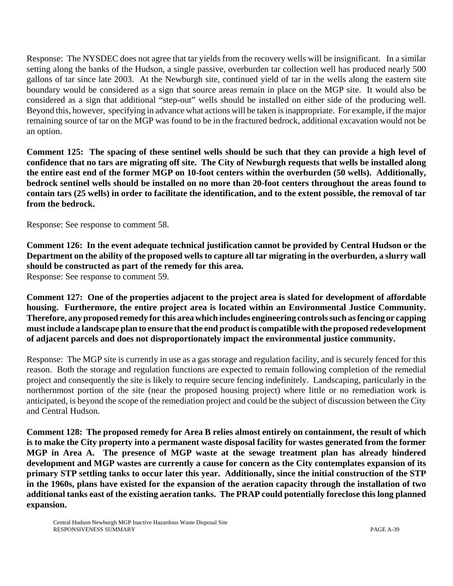Response: The NYSDEC does not agree that tar yields from the recovery wells will be insignificant. In a similar setting along the banks of the Hudson, a single passive, overburden tar collection well has produced nearly 500 gallons of tar since late 2003. At the Newburgh site, continued yield of tar in the wells along the eastern site boundary would be considered as a sign that source areas remain in place on the MGP site. It would also be considered as a sign that additional "step-out" wells should be installed on either side of the producing well. Beyond this, however, specifying in advance what actions will be taken is inappropriate. For example, if the major remaining source of tar on the MGP was found to be in the fractured bedrock, additional excavation would not be an option.

**Comment 125: The spacing of these sentinel wells should be such that they can provide a high level of confidence that no tars are migrating off site. The City of Newburgh requests that wells be installed along the entire east end of the former MGP on 10-foot centers within the overburden (50 wells). Additionally, bedrock sentinel wells should be installed on no more than 20-foot centers throughout the areas found to contain tars (25 wells) in order to facilitate the identification, and to the extent possible, the removal of tar from the bedrock.**

Response: See response to comment 58.

**Comment 126: In the event adequate technical justification cannot be provided by Central Hudson or the Department on the ability of the proposed wells to capture all tar migrating in the overburden, a slurry wall should be constructed as part of the remedy for this area.**

Response: See response to comment 59.

**Comment 127: One of the properties adjacent to the project area is slated for development of affordable housing. Furthermore, the entire project area is located within an Environmental Justice Community. Therefore, any proposed remedy for this area which includes engineering controls such as fencing or capping must include a landscape plan to ensure that the end product is compatible with the proposed redevelopment of adjacent parcels and does not disproportionately impact the environmental justice community.** 

Response: The MGP site is currently in use as a gas storage and regulation facility, and is securely fenced for this reason. Both the storage and regulation functions are expected to remain following completion of the remedial project and consequently the site is likely to require secure fencing indefinitely. Landscaping, particularly in the northernmost portion of the site (near the proposed housing project) where little or no remediation work is anticipated, is beyond the scope of the remediation project and could be the subject of discussion between the City and Central Hudson.

**Comment 128: The proposed remedy for Area B relies almost entirely on containment, the result of which is to make the City property into a permanent waste disposal facility for wastes generated from the former MGP in Area A. The presence of MGP waste at the sewage treatment plan has already hindered development and MGP wastes are currently a cause for concern as the City contemplates expansion of its primary STP settling tanks to occur later this year. Additionally, since the initial construction of the STP in the 1960s, plans have existed for the expansion of the aeration capacity through the installation of two additional tanks east of the existing aeration tanks. The PRAP could potentially foreclose this long planned expansion.**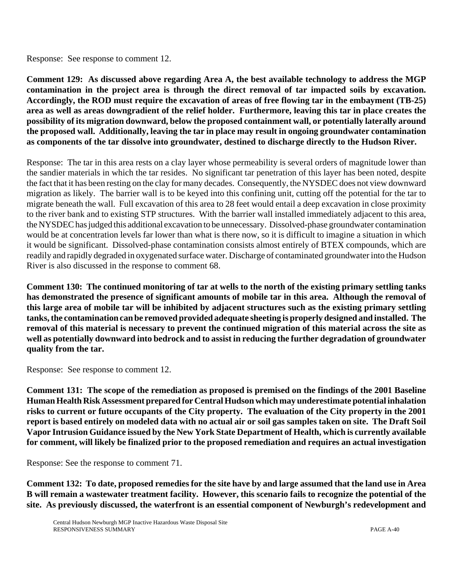Response: See response to comment 12.

**Comment 129: As discussed above regarding Area A, the best available technology to address the MGP contamination in the project area is through the direct removal of tar impacted soils by excavation. Accordingly, the ROD must require the excavation of areas of free flowing tar in the embayment (TB-25) area as well as areas downgradient of the relief holder. Furthermore, leaving this tar in place creates the possibility of its migration downward, below the proposed containment wall, or potentially laterally around the proposed wall. Additionally, leaving the tar in place may result in ongoing groundwater contamination as components of the tar dissolve into groundwater, destined to discharge directly to the Hudson River.** 

Response: The tar in this area rests on a clay layer whose permeability is several orders of magnitude lower than the sandier materials in which the tar resides. No significant tar penetration of this layer has been noted, despite the fact that it has been resting on the clay for many decades. Consequently, the NYSDEC does not view downward migration as likely. The barrier wall is to be keyed into this confining unit, cutting off the potential for the tar to migrate beneath the wall. Full excavation of this area to 28 feet would entail a deep excavation in close proximity to the river bank and to existing STP structures. With the barrier wall installed immediately adjacent to this area, the NYSDEC has judged this additional excavation to be unnecessary. Dissolved-phase groundwater contamination would be at concentration levels far lower than what is there now, so it is difficult to imagine a situation in which it would be significant. Dissolved-phase contamination consists almost entirely of BTEX compounds, which are readily and rapidly degraded in oxygenated surface water. Discharge of contaminated groundwater into the Hudson River is also discussed in the response to comment 68.

**Comment 130: The continued monitoring of tar at wells to the north of the existing primary settling tanks has demonstrated the presence of significant amounts of mobile tar in this area. Although the removal of this large area of mobile tar will be inhibited by adjacent structures such as the existing primary settling tanks, the contamination can be removed provided adequate sheeting is properly designed and installed. The removal of this material is necessary to prevent the continued migration of this material across the site as well as potentially downward into bedrock and to assist in reducing the further degradation of groundwater quality from the tar.**

Response: See response to comment 12.

**Comment 131: The scope of the remediation as proposed is premised on the findings of the 2001 Baseline Human Health Risk Assessment prepared for Central Hudson which may underestimate potential inhalation risks to current or future occupants of the City property. The evaluation of the City property in the 2001 report is based entirely on modeled data with no actual air or soil gas samples taken on site. The Draft Soil Vapor Intrusion Guidance issued by the New York State Department of Health, which is currently available for comment, will likely be finalized prior to the proposed remediation and requires an actual investigation**

Response: See the response to comment 71.

**Comment 132: To date, proposed remedies for the site have by and large assumed that the land use in Area B will remain a wastewater treatment facility. However, this scenario fails to recognize the potential of the site. As previously discussed, the waterfront is an essential component of Newburgh's redevelopment and**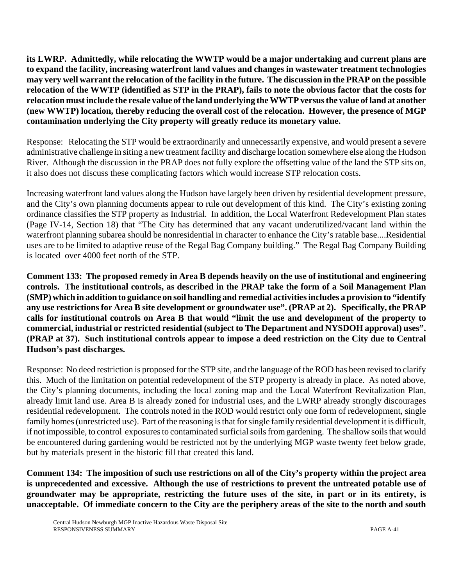**its LWRP. Admittedly, while relocating the WWTP would be a major undertaking and current plans are to expand the facility, increasing waterfront land values and changes in wastewater treatment technologies may very well warrant the relocation of the facility in the future. The discussion in the PRAP on the possible relocation of the WWTP (identified as STP in the PRAP), fails to note the obvious factor that the costs for relocation must include the resale value of the land underlying the WWTP versus the value of land at another (new WWTP) location, thereby reducing the overall cost of the relocation. However, the presence of MGP contamination underlying the City property will greatly reduce its monetary value.** 

Response: Relocating the STP would be extraordinarily and unnecessarily expensive, and would present a severe administrative challenge in siting a new treatment facility and discharge location somewhere else along the Hudson River.Although the discussion in the PRAP does not fully explore the offsetting value of the land the STP sits on, it also does not discuss these complicating factors which would increase STP relocation costs.

Increasing waterfront land values along the Hudson have largely been driven by residential development pressure, and the City's own planning documents appear to rule out development of this kind. The City's existing zoning ordinance classifies the STP property as Industrial. In addition, the Local Waterfront Redevelopment Plan states (Page IV-14, Section 18) that "The City has determined that any vacant underutilized/vacant land within the waterfront planning subarea should be nonresidential in character to enhance the City's ratable base....Residential uses are to be limited to adaptive reuse of the Regal Bag Company building." The Regal Bag Company Building is located over 4000 feet north of the STP.

**Comment 133: The proposed remedy in Area B depends heavily on the use of institutional and engineering controls. The institutional controls, as described in the PRAP take the form of a Soil Management Plan (SMP) which in addition to guidance on soil handling and remedial activities includes a provision to "identify any use restrictions for Area B site development or groundwater use". (PRAP at 2). Specifically, the PRAP calls for institutional controls on Area B that would "limit the use and development of the property to commercial, industrial or restricted residential (subject to The Department and NYSDOH approval) uses". (PRAP at 37). Such institutional controls appear to impose a deed restriction on the City due to Central Hudson's past discharges.**

Response: No deed restriction is proposed for the STP site, and the language of the ROD has been revised to clarify this. Much of the limitation on potential redevelopment of the STP property is already in place. As noted above, the City's planning documents, including the local zoning map and the Local Waterfront Revitalization Plan, already limit land use. Area B is already zoned for industrial uses, and the LWRP already strongly discourages residential redevelopment. The controls noted in the ROD would restrict only one form of redevelopment, single family homes (unrestricted use). Part of the reasoning is that for single family residential development it is difficult, if not impossible, to control exposures to contaminated surficial soils from gardening. The shallow soils that would be encountered during gardening would be restricted not by the underlying MGP waste twenty feet below grade, but by materials present in the historic fill that created this land.

**Comment 134: The imposition of such use restrictions on all of the City's property within the project area is unprecedented and excessive. Although the use of restrictions to prevent the untreated potable use of groundwater may be appropriate, restricting the future uses of the site, in part or in its entirety, is unacceptable. Of immediate concern to the City are the periphery areas of the site to the north and south**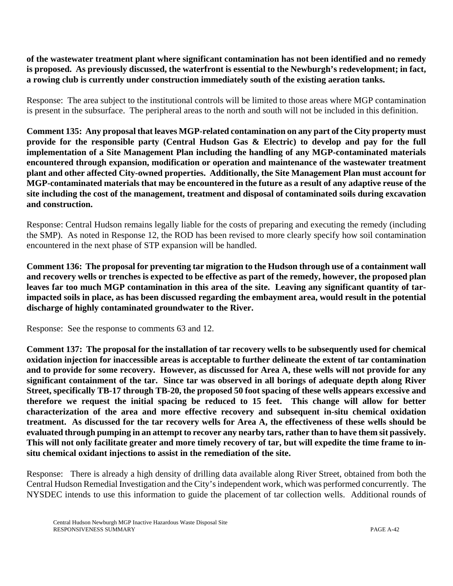**of the wastewater treatment plant where significant contamination has not been identified and no remedy is proposed. As previously discussed, the waterfront is essential to the Newburgh's redevelopment; in fact, a rowing club is currently under construction immediately south of the existing aeration tanks.**

Response: The area subject to the institutional controls will be limited to those areas where MGP contamination is present in the subsurface. The peripheral areas to the north and south will not be included in this definition.

**Comment 135: Any proposal that leaves MGP-related contamination on any part of the City property must provide for the responsible party (Central Hudson Gas & Electric) to develop and pay for the full implementation of a Site Management Plan including the handling of any MGP-contaminated materials encountered through expansion, modification or operation and maintenance of the wastewater treatment plant and other affected City-owned properties. Additionally, the Site Management Plan must account for MGP-contaminated materials that may be encountered in the future as a result of any adaptive reuse of the site including the cost of the management, treatment and disposal of contaminated soils during excavation and construction.** 

Response: Central Hudson remains legally liable for the costs of preparing and executing the remedy (including the SMP). As noted in Response 12, the ROD has been revised to more clearly specify how soil contamination encountered in the next phase of STP expansion will be handled.

**Comment 136: The proposal for preventing tar migration to the Hudson through use of a containment wall and recovery wells or trenches is expected to be effective as part of the remedy, however, the proposed plan leaves far too much MGP contamination in this area of the site. Leaving any significant quantity of tarimpacted soils in place, as has been discussed regarding the embayment area, would result in the potential discharge of highly contaminated groundwater to the River.** 

Response: See the response to comments 63 and 12.

**Comment 137: The proposal for the installation of tar recovery wells to be subsequently used for chemical oxidation injection for inaccessible areas is acceptable to further delineate the extent of tar contamination and to provide for some recovery. However, as discussed for Area A, these wells will not provide for any significant containment of the tar. Since tar was observed in all borings of adequate depth along River Street, specifically TB-17 through TB-20, the proposed 50 foot spacing of these wells appears excessive and therefore we request the initial spacing be reduced to 15 feet. This change will allow for better characterization of the area and more effective recovery and subsequent in-situ chemical oxidation treatment. As discussed for the tar recovery wells for Area A, the effectiveness of these wells should be evaluated through pumping in an attempt to recover any nearby tars, rather than to have them sit passively. This will not only facilitate greater and more timely recovery of tar, but will expedite the time frame to insitu chemical oxidant injections to assist in the remediation of the site.**

Response: There is already a high density of drilling data available along River Street, obtained from both the Central Hudson Remedial Investigation and the City's independent work, which was performed concurrently. The NYSDEC intends to use this information to guide the placement of tar collection wells. Additional rounds of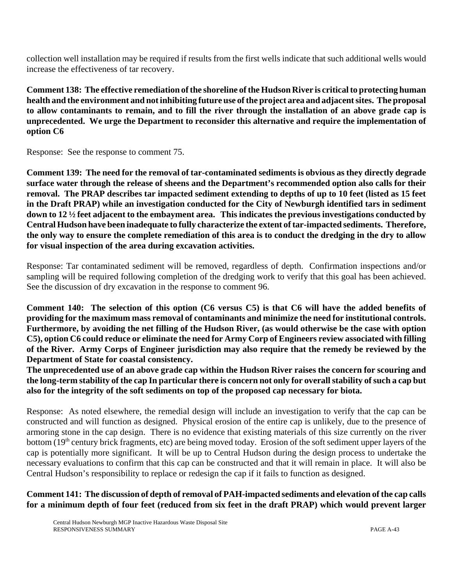collection well installation may be required if results from the first wells indicate that such additional wells would increase the effectiveness of tar recovery.

**Comment 138: The effective remediation of the shoreline of the Hudson River is critical to protecting human health and the environment and not inhibiting future use of the project area and adjacent sites. The proposal to allow contaminants to remain, and to fill the river through the installation of an above grade cap is unprecedented. We urge the Department to reconsider this alternative and require the implementation of option C6**

Response: See the response to comment 75.

**Comment 139: The need for the removal of tar-contaminated sediments is obvious as they directly degrade surface water through the release of sheens and the Department's recommended option also calls for their removal. The PRAP describes tar impacted sediment extending to depths of up to 10 feet (listed as 15 feet in the Draft PRAP) while an investigation conducted for the City of Newburgh identified tars in sediment down to 12 ½ feet adjacent to the embayment area. This indicates the previous investigations conducted by Central Hudson have been inadequate to fully characterize the extent of tar-impacted sediments. Therefore, the only way to ensure the complete remediation of this area is to conduct the dredging in the dry to allow for visual inspection of the area during excavation activities.** 

Response: Tar contaminated sediment will be removed, regardless of depth. Confirmation inspections and/or sampling will be required following completion of the dredging work to verify that this goal has been achieved. See the discussion of dry excavation in the response to comment 96.

**Comment 140: The selection of this option (C6 versus C5) is that C6 will have the added benefits of providing for the maximum mass removal of contaminants and minimize the need for institutional controls. Furthermore, by avoiding the net filling of the Hudson River, (as would otherwise be the case with option C5), option C6 could reduce or eliminate the need for Army Corp of Engineers review associated with filling of the River. Army Corps of Engineer jurisdiction may also require that the remedy be reviewed by the Department of State for coastal consistency.**

**The unprecedented use of an above grade cap within the Hudson River raises the concern for scouring and the long-term stability of the cap In particular there is concern not only for overall stability of such a cap but also for the integrity of the soft sediments on top of the proposed cap necessary for biota.**

Response: As noted elsewhere, the remedial design will include an investigation to verify that the cap can be constructed and will function as designed. Physical erosion of the entire cap is unlikely, due to the presence of armoring stone in the cap design. There is no evidence that existing materials of this size currently on the river bottom (19<sup>th</sup> century brick fragments, etc) are being moved today. Erosion of the soft sediment upper layers of the cap is potentially more significant. It will be up to Central Hudson during the design process to undertake the necessary evaluations to confirm that this cap can be constructed and that it will remain in place. It will also be Central Hudson's responsibility to replace or redesign the cap if it fails to function as designed.

## **Comment 141: The discussion of depth of removal of PAH-impacted sediments and elevation of the cap calls for a minimum depth of four feet (reduced from six feet in the draft PRAP) which would prevent larger**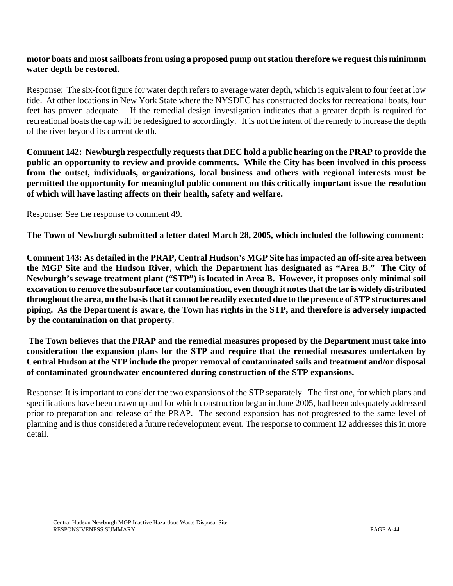#### **motor boats and most sailboats from using a proposed pump out station therefore we request this minimum water depth be restored.**

Response: The six-foot figure for water depth refers to average water depth, which is equivalent to four feet at low tide. At other locations in New York State where the NYSDEC has constructed docks for recreational boats, four feet has proven adequate.If the remedial design investigation indicates that a greater depth is required for recreational boats the cap will be redesigned to accordingly. It is not the intent of the remedy to increase the depth of the river beyond its current depth.

**Comment 142: Newburgh respectfully requests that DEC hold a public hearing on the PRAP to provide the public an opportunity to review and provide comments. While the City has been involved in this process from the outset, individuals, organizations, local business and others with regional interests must be permitted the opportunity for meaningful public comment on this critically important issue the resolution of which will have lasting affects on their health, safety and welfare.** 

Response: See the response to comment 49.

**The Town of Newburgh submitted a letter dated March 28, 2005, which included the following comment:**

**Comment 143: As detailed in the PRAP, Central Hudson's MGP Site has impacted an off-site area between the MGP Site and the Hudson River, which the Department has designated as "Area B." The City of Newburgh's sewage treatment plant ("STP") is located in Area B. However, it proposes only minimal soil excavation to remove the subsurface tar contamination, even though it notes that the tar is widely distributed throughout the area, on the basis that it cannot be readily executed due to the presence of STP structures and piping. As the Department is aware, the Town has rights in the STP, and therefore is adversely impacted by the contamination on that property**.

**The Town believes that the PRAP and the remedial measures proposed by the Department must take into consideration the expansion plans for the STP and require that the remedial measures undertaken by Central Hudson at the STP include the proper removal of contaminated soils and treatment and/or disposal of contaminated groundwater encountered during construction of the STP expansions.** 

Response: It is important to consider the two expansions of the STP separately. The first one, for which plans and specifications have been drawn up and for which construction began in June 2005, had been adequately addressed prior to preparation and release of the PRAP. The second expansion has not progressed to the same level of planning and is thus considered a future redevelopment event. The response to comment 12 addresses this in more detail.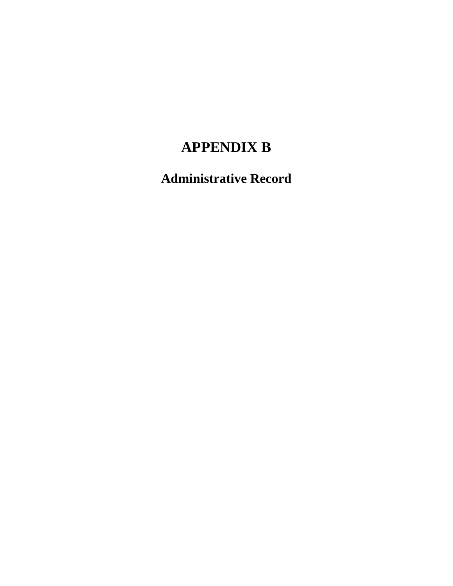# **APPENDIX B**

**Administrative Record**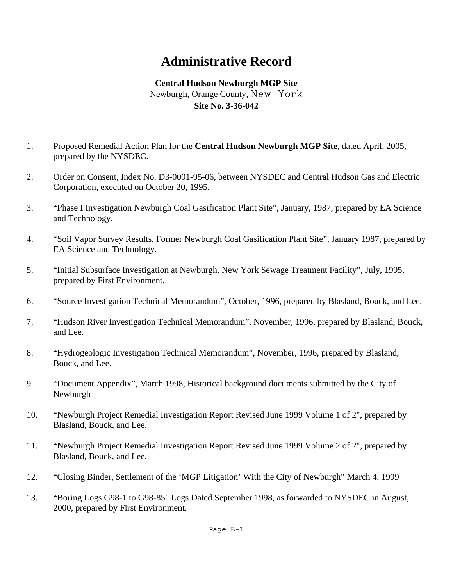# **Administrative Record**

# **Central Hudson Newburgh MGP Site** Newburgh, Orange County, New York **Site No. 3-36-042**

- 1. Proposed Remedial Action Plan for the **Central Hudson Newburgh MGP Site**, dated April, 2005, prepared by the NYSDEC.
- 2. Order on Consent, Index No. D3-0001-95-06, between NYSDEC and Central Hudson Gas and Electric Corporation, executed on October 20, 1995.
- 3. "Phase I Investigation Newburgh Coal Gasification Plant Site", January, 1987, prepared by EA Science and Technology.
- 4. "Soil Vapor Survey Results, Former Newburgh Coal Gasification Plant Site", January 1987, prepared by EA Science and Technology.
- 5. "Initial Subsurface Investigation at Newburgh, New York Sewage Treatment Facility", July, 1995, prepared by First Environment.
- 6. "Source Investigation Technical Memorandum", October, 1996, prepared by Blasland, Bouck, and Lee.
- 7. "Hudson River Investigation Technical Memorandum", November, 1996, prepared by Blasland, Bouck, and Lee.
- 8. "Hydrogeologic Investigation Technical Memorandum", November, 1996, prepared by Blasland, Bouck, and Lee.
- 9. "Document Appendix", March 1998, Historical background documents submitted by the City of Newburgh
- 10. "Newburgh Project Remedial Investigation Report Revised June 1999 Volume 1 of 2", prepared by Blasland, Bouck, and Lee.
- 11. "Newburgh Project Remedial Investigation Report Revised June 1999 Volume 2 of 2", prepared by Blasland, Bouck, and Lee.
- 12. "Closing Binder, Settlement of the 'MGP Litigation' With the City of Newburgh" March 4, 1999
- 13. "Boring Logs G98-1 to G98-85" Logs Dated September 1998, as forwarded to NYSDEC in August, 2000, prepared by First Environment.